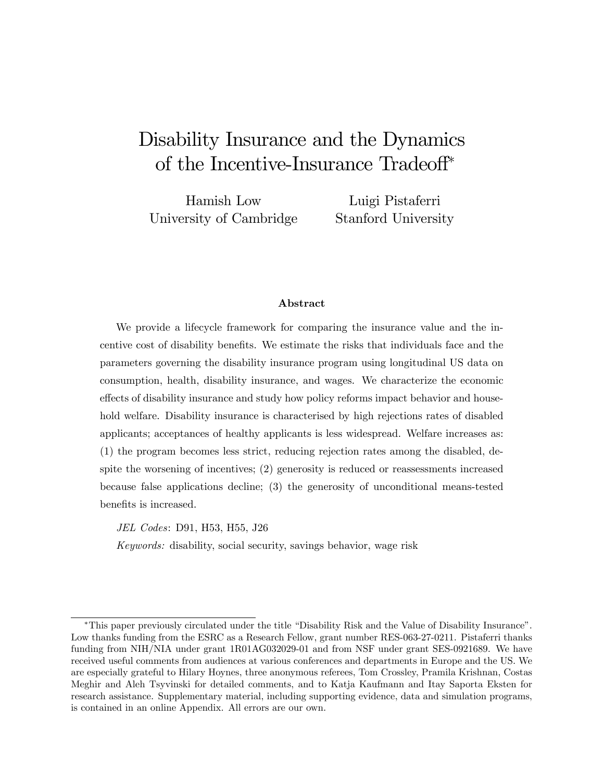# Disability Insurance and the Dynamics of the Incentive-Insurance Tradeoff<sup>\*</sup>

Hamish Low University of Cambridge Luigi Pistaferri Stanford University

#### Abstract

We provide a lifecycle framework for comparing the insurance value and the incentive cost of disability benefits. We estimate the risks that individuals face and the parameters governing the disability insurance program using longitudinal US data on consumption, health, disability insurance, and wages. We characterize the economic effects of disability insurance and study how policy reforms impact behavior and household welfare. Disability insurance is characterised by high rejections rates of disabled applicants; acceptances of healthy applicants is less widespread. Welfare increases as: (1) the program becomes less strict, reducing rejection rates among the disabled, despite the worsening of incentives; (2) generosity is reduced or reassessments increased because false applications decline; (3) the generosity of unconditional means-tested benefits is increased.

JEL Codes: D91, H53, H55, J26

Keywords: disability, social security, savings behavior, wage risk

<sup>\*</sup>This paper previously circulated under the title "Disability Risk and the Value of Disability Insurance". Low thanks funding from the ESRC as a Research Fellow, grant number RES-063-27-0211. Pistaferri thanks funding from NIH/NIA under grant 1R01AG032029-01 and from NSF under grant SES-0921689. We have received useful comments from audiences at various conferences and departments in Europe and the US. We are especially grateful to Hilary Hoynes, three anonymous referees, Tom Crossley, Pramila Krishnan, Costas Meghir and Aleh Tsyvinski for detailed comments, and to Katja Kaufmann and Itay Saporta Eksten for research assistance. Supplementary material, including supporting evidence, data and simulation programs, is contained in an online Appendix. All errors are our own.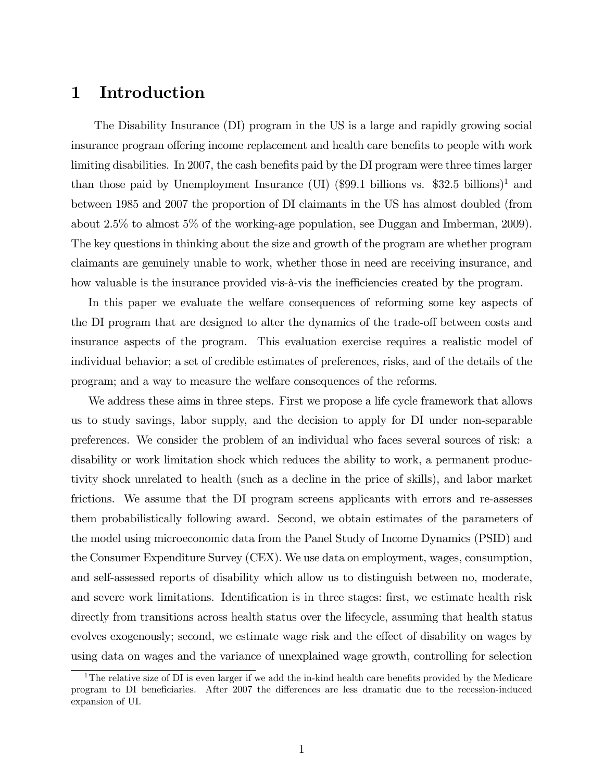# 1 Introduction

The Disability Insurance (DI) program in the US is a large and rapidly growing social insurance program offering income replacement and health care benefits to people with work limiting disabilities. In 2007, the cash benefits paid by the DI program were three times larger than those paid by Unemployment Insurance (UI) (\$99.1 billions vs. \$32.5 billions)<sup>1</sup> and between 1985 and 2007 the proportion of DI claimants in the US has almost doubled (from about 2.5% to almost 5% of the working-age population, see Duggan and Imberman, 2009). The key questions in thinking about the size and growth of the program are whether program claimants are genuinely unable to work, whether those in need are receiving insurance, and how valuable is the insurance provided vis- $\alpha$ -vis the inefficiencies created by the program.

In this paper we evaluate the welfare consequences of reforming some key aspects of the DI program that are designed to alter the dynamics of the trade-off between costs and insurance aspects of the program. This evaluation exercise requires a realistic model of individual behavior; a set of credible estimates of preferences, risks, and of the details of the program; and a way to measure the welfare consequences of the reforms.

We address these aims in three steps. First we propose a life cycle framework that allows us to study savings, labor supply, and the decision to apply for DI under non-separable preferences. We consider the problem of an individual who faces several sources of risk: a disability or work limitation shock which reduces the ability to work, a permanent productivity shock unrelated to health (such as a decline in the price of skills), and labor market frictions. We assume that the DI program screens applicants with errors and re-assesses them probabilistically following award. Second, we obtain estimates of the parameters of the model using microeconomic data from the Panel Study of Income Dynamics (PSID) and the Consumer Expenditure Survey (CEX). We use data on employment, wages, consumption, and self-assessed reports of disability which allow us to distinguish between no, moderate, and severe work limitations. Identification is in three stages: first, we estimate health risk directly from transitions across health status over the lifecycle, assuming that health status evolves exogenously; second, we estimate wage risk and the effect of disability on wages by using data on wages and the variance of unexplained wage growth, controlling for selection

<sup>&</sup>lt;sup>1</sup>The relative size of DI is even larger if we add the in-kind health care benefits provided by the Medicare program to DI beneficiaries. After 2007 the differences are less dramatic due to the recession-induced expansion of UI.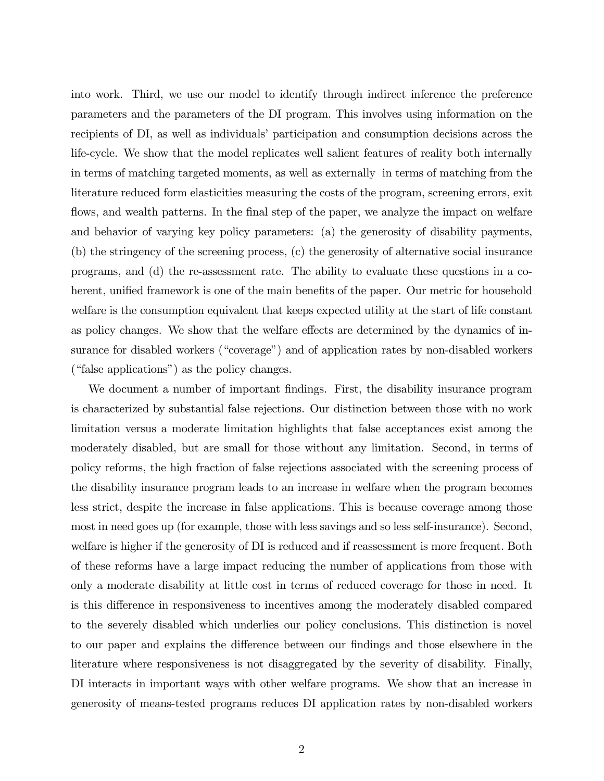into work. Third, we use our model to identify through indirect inference the preference parameters and the parameters of the DI program. This involves using information on the recipients of DI, as well as individuals' participation and consumption decisions across the life-cycle. We show that the model replicates well salient features of reality both internally in terms of matching targeted moments, as well as externally in terms of matching from the literature reduced form elasticities measuring the costs of the program, screening errors, exit flows, and wealth patterns. In the final step of the paper, we analyze the impact on welfare and behavior of varying key policy parameters: (a) the generosity of disability payments, (b) the stringency of the screening process, (c) the generosity of alternative social insurance programs, and (d) the re-assessment rate. The ability to evaluate these questions in a coherent, unified framework is one of the main benefits of the paper. Our metric for household welfare is the consumption equivalent that keeps expected utility at the start of life constant as policy changes. We show that the welfare effects are determined by the dynamics of insurance for disabled workers ("coverage") and of application rates by non-disabled workers  $("false applications")$  as the policy changes.

We document a number of important findings. First, the disability insurance program is characterized by substantial false rejections. Our distinction between those with no work limitation versus a moderate limitation highlights that false acceptances exist among the moderately disabled, but are small for those without any limitation. Second, in terms of policy reforms, the high fraction of false rejections associated with the screening process of the disability insurance program leads to an increase in welfare when the program becomes less strict, despite the increase in false applications. This is because coverage among those most in need goes up (for example, those with less savings and so less self-insurance). Second, welfare is higher if the generosity of DI is reduced and if reassessment is more frequent. Both of these reforms have a large impact reducing the number of applications from those with only a moderate disability at little cost in terms of reduced coverage for those in need. It is this difference in responsiveness to incentives among the moderately disabled compared to the severely disabled which underlies our policy conclusions. This distinction is novel to our paper and explains the difference between our findings and those elsewhere in the literature where responsiveness is not disaggregated by the severity of disability. Finally, DI interacts in important ways with other welfare programs. We show that an increase in generosity of means-tested programs reduces DI application rates by non-disabled workers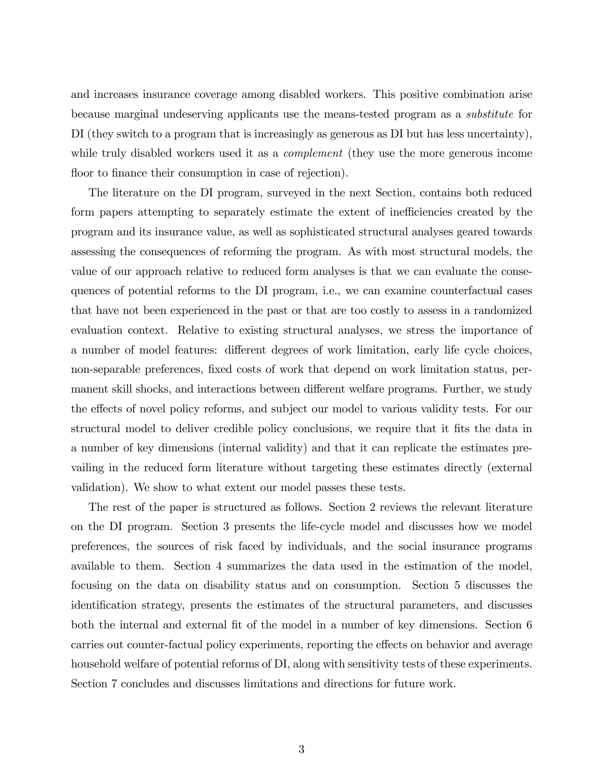and increases insurance coverage among disabled workers. This positive combination arise because marginal undeserving applicants use the means-tested program as a substitute for DI (they switch to a program that is increasingly as generous as DI but has less uncertainty), while truly disabled workers used it as a *complement* (they use the more generous income floor to finance their consumption in case of rejection).

The literature on the DI program, surveyed in the next Section, contains both reduced form papers attempting to separately estimate the extent of inefficiencies created by the program and its insurance value, as well as sophisticated structural analyses geared towards assessing the consequences of reforming the program. As with most structural models, the value of our approach relative to reduced form analyses is that we can evaluate the consequences of potential reforms to the DI program, i.e., we can examine counterfactual cases that have not been experienced in the past or that are too costly to assess in a randomized evaluation context. Relative to existing structural analyses, we stress the importance of a number of model features: different degrees of work limitation, early life cycle choices, non-separable preferences, fixed costs of work that depend on work limitation status, permanent skill shocks, and interactions between different welfare programs. Further, we study the effects of novel policy reforms, and subject our model to various validity tests. For our structural model to deliver credible policy conclusions, we require that it fits the data in a number of key dimensions (internal validity) and that it can replicate the estimates prevailing in the reduced form literature without targeting these estimates directly (external validation). We show to what extent our model passes these tests.

The rest of the paper is structured as follows. Section 2 reviews the relevant literature on the DI program. Section 3 presents the life-cycle model and discusses how we model preferences, the sources of risk faced by individuals, and the social insurance programs available to them. Section 4 summarizes the data used in the estimation of the model, focusing on the data on disability status and on consumption. Section 5 discusses the identification strategy, presents the estimates of the structural parameters, and discusses both the internal and external fit of the model in a number of key dimensions. Section 6 carries out counter-factual policy experiments, reporting the effects on behavior and average household welfare of potential reforms of DI, along with sensitivity tests of these experiments. Section 7 concludes and discusses limitations and directions for future work.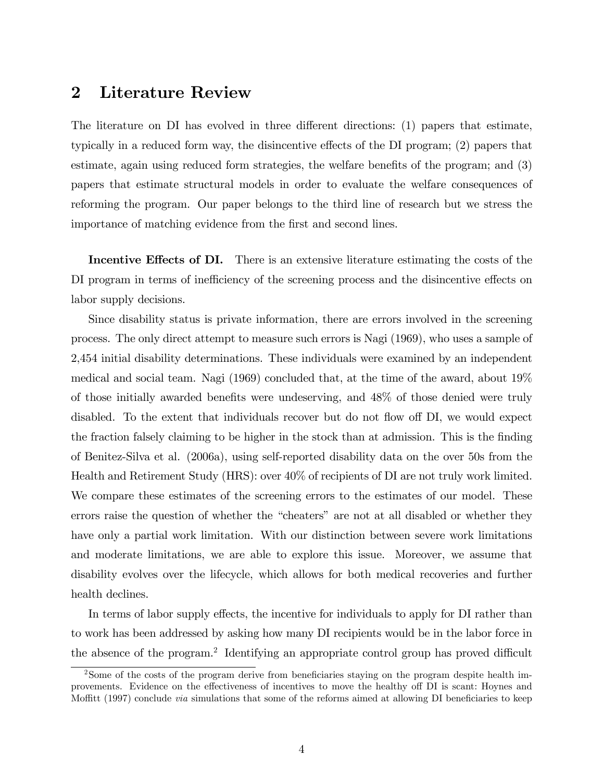# 2 Literature Review

The literature on  $DI$  has evolved in three different directions: (1) papers that estimate, typically in a reduced form way, the disincentive effects of the  $DI$  program;  $(2)$  papers that estimate, again using reduced form strategies, the welfare benefits of the program; and  $(3)$ papers that estimate structural models in order to evaluate the welfare consequences of reforming the program. Our paper belongs to the third line of research but we stress the importance of matching evidence from the first and second lines.

Incentive Effects of DI. There is an extensive literature estimating the costs of the DI program in terms of inefficiency of the screening process and the disincentive effects on labor supply decisions.

Since disability status is private information, there are errors involved in the screening process. The only direct attempt to measure such errors is Nagi (1969), who uses a sample of 2,454 initial disability determinations. These individuals were examined by an independent medical and social team. Nagi (1969) concluded that, at the time of the award, about 19% of those initially awarded benefits were undeserving, and  $48\%$  of those denied were truly disabled. To the extent that individuals recover but do not flow off DI, we would expect the fraction falsely claiming to be higher in the stock than at admission. This is the finding of Benitez-Silva et al. (2006a), using self-reported disability data on the over 50s from the Health and Retirement Study (HRS): over 40% of recipients of DI are not truly work limited. We compare these estimates of the screening errors to the estimates of our model. These errors raise the question of whether the "cheaters" are not at all disabled or whether they have only a partial work limitation. With our distinction between severe work limitations and moderate limitations, we are able to explore this issue. Moreover, we assume that disability evolves over the lifecycle, which allows for both medical recoveries and further health declines.

In terms of labor supply effects, the incentive for individuals to apply for DI rather than to work has been addressed by asking how many DI recipients would be in the labor force in the absence of the program.<sup>2</sup> Identifying an appropriate control group has proved difficult

<sup>&</sup>lt;sup>2</sup>Some of the costs of the program derive from beneficiaries staying on the program despite health improvements. Evidence on the effectiveness of incentives to move the healthy off DI is scant: Hoynes and Moffitt (1997) conclude *via* simulations that some of the reforms aimed at allowing DI beneficiaries to keep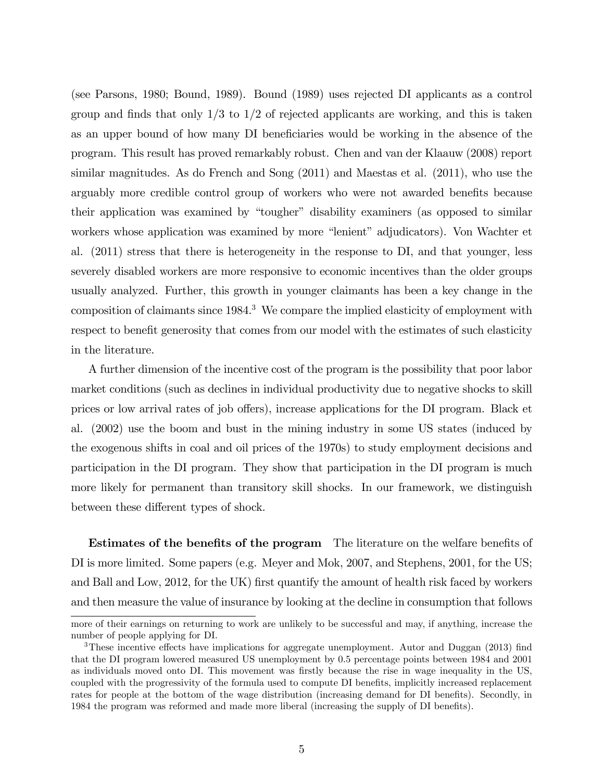(see Parsons, 1980; Bound, 1989). Bound (1989) uses rejected DI applicants as a control group and finds that only  $1/3$  to  $1/2$  of rejected applicants are working, and this is taken as an upper bound of how many DI beneficiaries would be working in the absence of the program. This result has proved remarkably robust. Chen and van der Klaauw (2008) report similar magnitudes. As do French and Song (2011) and Maestas et al. (2011), who use the arguably more credible control group of workers who were not awarded benefits because their application was examined by "tougher" disability examiners (as opposed to similar workers whose application was examined by more "lenient" adjudicators). Von Wachter et al. (2011) stress that there is heterogeneity in the response to DI, and that younger, less severely disabled workers are more responsive to economic incentives than the older groups usually analyzed. Further, this growth in younger claimants has been a key change in the composition of claimants since 1984.<sup>3</sup> We compare the implied elasticity of employment with respect to benefit generosity that comes from our model with the estimates of such elasticity in the literature.

A further dimension of the incentive cost of the program is the possibility that poor labor market conditions (such as declines in individual productivity due to negative shocks to skill prices or low arrival rates of job offers), increase applications for the DI program. Black et al. (2002) use the boom and bust in the mining industry in some US states (induced by the exogenous shifts in coal and oil prices of the 1970s) to study employment decisions and participation in the DI program. They show that participation in the DI program is much more likely for permanent than transitory skill shocks. In our framework, we distinguish between these different types of shock.

**Estimates of the benefits of the program** The literature on the welfare benefits of DI is more limited. Some papers (e.g. Meyer and Mok, 2007, and Stephens, 2001, for the US; and Ball and Low, 2012, for the UK) first quantify the amount of health risk faced by workers and then measure the value of insurance by looking at the decline in consumption that follows

more of their earnings on returning to work are unlikely to be successful and may, if anything, increase the number of people applying for DI.

 $3$ These incentive effects have implications for aggregate unemployment. Autor and Duggan (2013) find that the DI program lowered measured US unemployment by 0.5 percentage points between 1984 and 2001 as individuals moved onto DI. This movement was firstly because the rise in wage inequality in the US, coupled with the progressivity of the formula used to compute DI benefits, implicitly increased replacement rates for people at the bottom of the wage distribution (increasing demand for DI benefits). Secondly, in 1984 the program was reformed and made more liberal (increasing the supply of DI benefits).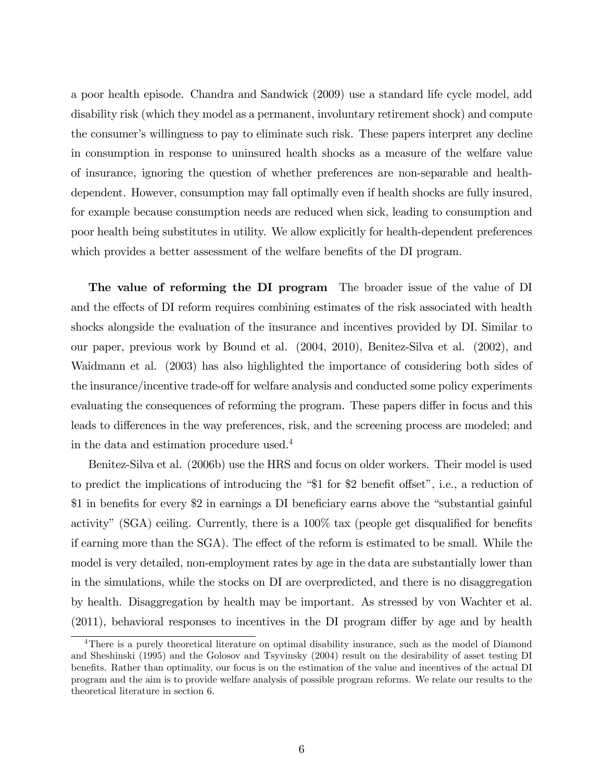a poor health episode. Chandra and Sandwick (2009) use a standard life cycle model, add disability risk (which they model as a permanent, involuntary retirement shock) and compute the consumer's willingness to pay to eliminate such risk. These papers interpret any decline in consumption in response to uninsured health shocks as a measure of the welfare value of insurance, ignoring the question of whether preferences are non-separable and healthdependent. However, consumption may fall optimally even if health shocks are fully insured, for example because consumption needs are reduced when sick, leading to consumption and poor health being substitutes in utility. We allow explicitly for health-dependent preferences which provides a better assessment of the welfare benefits of the DI program.

The value of reforming the DI program The broader issue of the value of DI and the effects of DI reform requires combining estimates of the risk associated with health shocks alongside the evaluation of the insurance and incentives provided by DI. Similar to our paper, previous work by Bound et al. (2004, 2010), Benitez-Silva et al. (2002), and Waidmann et al. (2003) has also highlighted the importance of considering both sides of the insurance/incentive trade-off for welfare analysis and conducted some policy experiments evaluating the consequences of reforming the program. These papers differ in focus and this leads to differences in the way preferences, risk, and the screening process are modeled; and in the data and estimation procedure used.<sup>4</sup>

Benitez-Silva et al. (2006b) use the HRS and focus on older workers. Their model is used to predict the implications of introducing the  $\$1$  for \$2 benefit offset", i.e., a reduction of \$1 in benefits for every \$2 in earnings a DI beneficiary earns above the "substantial gainful activity" (SGA) ceiling. Currently, there is a  $100\%$  tax (people get disqualified for benefits if earning more than the SGA). The effect of the reform is estimated to be small. While the model is very detailed, non-employment rates by age in the data are substantially lower than in the simulations, while the stocks on DI are overpredicted, and there is no disaggregation by health. Disaggregation by health may be important. As stressed by von Wachter et al.  $(2011)$ , behavioral responses to incentives in the DI program differ by age and by health

<sup>&</sup>lt;sup>4</sup>There is a purely theoretical literature on optimal disability insurance, such as the model of Diamond and Sheshinski (1995) and the Golosov and Tsyvinsky (2004) result on the desirability of asset testing DI benefits. Rather than optimality, our focus is on the estimation of the value and incentives of the actual DI program and the aim is to provide welfare analysis of possible program reforms. We relate our results to the theoretical literature in section 6.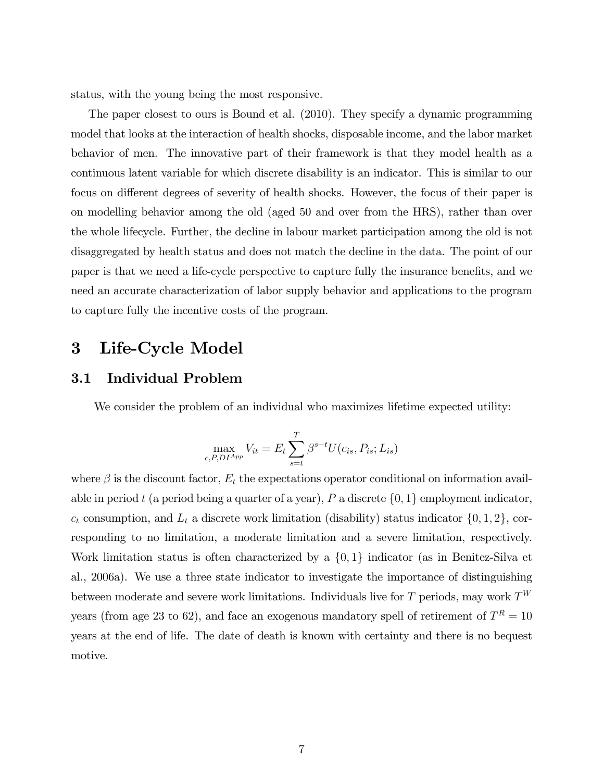status, with the young being the most responsive.

The paper closest to ours is Bound et al. (2010). They specify a dynamic programming model that looks at the interaction of health shocks, disposable income, and the labor market behavior of men. The innovative part of their framework is that they model health as a continuous latent variable for which discrete disability is an indicator. This is similar to our focus on different degrees of severity of health shocks. However, the focus of their paper is on modelling behavior among the old (aged 50 and over from the HRS), rather than over the whole lifecycle. Further, the decline in labour market participation among the old is not disaggregated by health status and does not match the decline in the data. The point of our paper is that we need a life-cycle perspective to capture fully the insurance benefits, and we need an accurate characterization of labor supply behavior and applications to the program to capture fully the incentive costs of the program.

## 3 Life-Cycle Model

### 3.1 Individual Problem

We consider the problem of an individual who maximizes lifetime expected utility:

$$
\max_{c, P, D I^{App}} V_{it} = E_t \sum_{s=t}^{T} \beta^{s-t} U(c_{is}, P_{is}; L_{is})
$$

where  $\beta$  is the discount factor,  $E_t$  the expectations operator conditional on information available in period t (a period being a quarter of a year), P a discrete  $\{0, 1\}$  employment indicator,  $c_t$  consumption, and  $L_t$  a discrete work limitation (disability) status indicator  $\{0, 1, 2\}$ , corresponding to no limitation, a moderate limitation and a severe limitation, respectively. Work limitation status is often characterized by a  $\{0,1\}$  indicator (as in Benitez-Silva et al., 2006a). We use a three state indicator to investigate the importance of distinguishing between moderate and severe work limitations. Individuals live for T periods, may work  $T^W$ years (from age 23 to 62), and face an exogenous mandatory spell of retirement of  $T<sup>R</sup> = 10$ years at the end of life. The date of death is known with certainty and there is no bequest motive.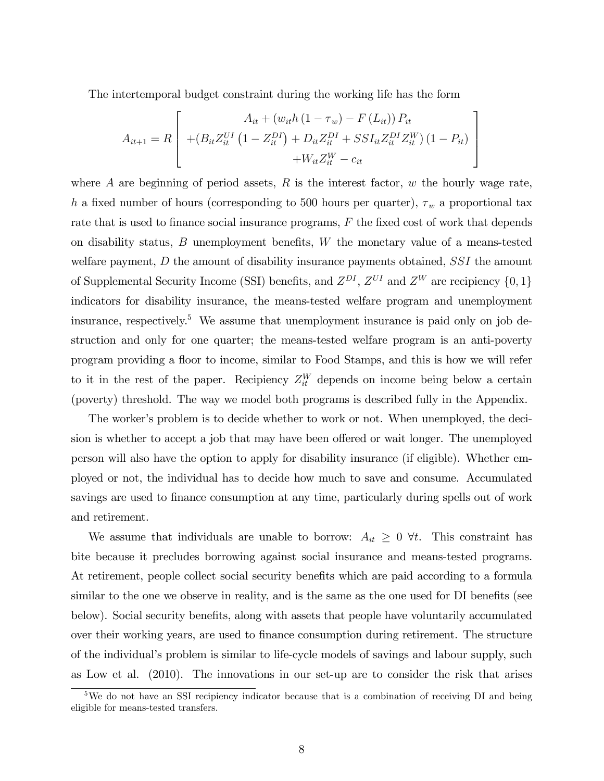The intertemporal budget constraint during the working life has the form

$$
A_{it+1} = R \left[ \begin{array}{c} A_{it} + (w_{it}h (1 - \tau_w) - F (L_{it})) P_{it} \\ + (B_{it} Z_{it}^{UI} (1 - Z_{it}^{DI}) + D_{it} Z_{it}^{DI} + S S I_{it} Z_{it}^{DI} Z_{it}^{W}) (1 - P_{it}) \\ + W_{it} Z_{it}^{W} - c_{it} \end{array} \right]
$$

where  $A$  are beginning of period assets,  $R$  is the interest factor,  $w$  the hourly wage rate, h a fixed number of hours (corresponding to 500 hours per quarter),  $\tau_w$  a proportional tax rate that is used to finance social insurance programs,  $F$  the fixed cost of work that depends on disability status,  $B$  unemployment benefits,  $W$  the monetary value of a means-tested welfare payment, D the amount of disability insurance payments obtained, SSI the amount of Supplemental Security Income (SSI) benefits, and  $Z^{DI}$ ,  $Z^{UI}$  and  $Z^{W}$  are recipiency  $\{0, 1\}$ indicators for disability insurance, the means-tested welfare program and unemployment insurance, respectively.<sup>5</sup> We assume that unemployment insurance is paid only on job destruction and only for one quarter; the means-tested welfare program is an anti-poverty program providing a áoor to income, similar to Food Stamps, and this is how we will refer to it in the rest of the paper. Recipiency  $Z_{it}^W$  depends on income being below a certain (poverty) threshold. The way we model both programs is described fully in the Appendix.

The worker's problem is to decide whether to work or not. When unemployed, the decision is whether to accept a job that may have been offered or wait longer. The unemployed person will also have the option to apply for disability insurance (if eligible). Whether employed or not, the individual has to decide how much to save and consume. Accumulated savings are used to finance consumption at any time, particularly during spells out of work and retirement.

We assume that individuals are unable to borrow:  $A_{it} \geq 0$   $\forall t$ . This constraint has bite because it precludes borrowing against social insurance and means-tested programs. At retirement, people collect social security benefits which are paid according to a formula similar to the one we observe in reality, and is the same as the one used for DI benefits (see below). Social security benefits, along with assets that people have voluntarily accumulated over their working years, are used to Önance consumption during retirement. The structure of the individualís problem is similar to life-cycle models of savings and labour supply, such as Low et al. (2010). The innovations in our set-up are to consider the risk that arises

<sup>5</sup>We do not have an SSI recipiency indicator because that is a combination of receiving DI and being eligible for means-tested transfers.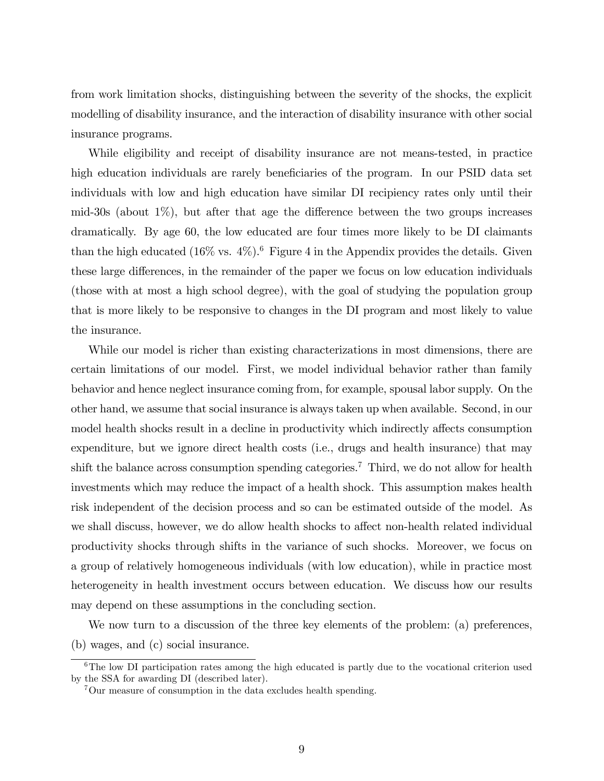from work limitation shocks, distinguishing between the severity of the shocks, the explicit modelling of disability insurance, and the interaction of disability insurance with other social insurance programs.

While eligibility and receipt of disability insurance are not means-tested, in practice high education individuals are rarely beneficiaries of the program. In our PSID data set individuals with low and high education have similar DI recipiency rates only until their mid-30s (about  $1\%$ ), but after that age the difference between the two groups increases dramatically. By age 60, the low educated are four times more likely to be DI claimants than the high educated  $(16\% \text{ vs. } 4\%)$ .<sup>6</sup> Figure 4 in the Appendix provides the details. Given these large differences, in the remainder of the paper we focus on low education individuals (those with at most a high school degree), with the goal of studying the population group that is more likely to be responsive to changes in the DI program and most likely to value the insurance.

While our model is richer than existing characterizations in most dimensions, there are certain limitations of our model. First, we model individual behavior rather than family behavior and hence neglect insurance coming from, for example, spousal labor supply. On the other hand, we assume that social insurance is always taken up when available. Second, in our model health shocks result in a decline in productivity which indirectly affects consumption expenditure, but we ignore direct health costs (i.e., drugs and health insurance) that may shift the balance across consumption spending categories.<sup>7</sup> Third, we do not allow for health investments which may reduce the impact of a health shock. This assumption makes health risk independent of the decision process and so can be estimated outside of the model. As we shall discuss, however, we do allow health shocks to affect non-health related individual productivity shocks through shifts in the variance of such shocks. Moreover, we focus on a group of relatively homogeneous individuals (with low education), while in practice most heterogeneity in health investment occurs between education. We discuss how our results may depend on these assumptions in the concluding section.

We now turn to a discussion of the three key elements of the problem: (a) preferences, (b) wages, and (c) social insurance.

 ${}^{6}$ The low DI participation rates among the high educated is partly due to the vocational criterion used by the SSA for awarding DI (described later).

<sup>7</sup>Our measure of consumption in the data excludes health spending.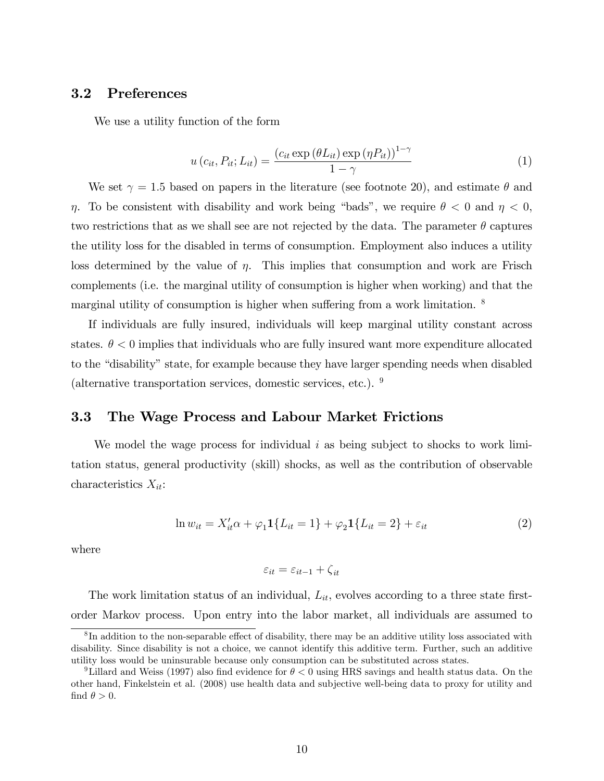### 3.2 Preferences

We use a utility function of the form

$$
u\left(c_{it}, P_{it}; L_{it}\right) = \frac{\left(c_{it} \exp\left(\theta L_{it}\right) \exp\left(\eta P_{it}\right)\right)^{1-\gamma}}{1-\gamma}
$$
\n(1)

We set  $\gamma = 1.5$  based on papers in the literature (see footnote 20), and estimate  $\theta$  and  $\eta$ . To be consistent with disability and work being "bads", we require  $\theta < 0$  and  $\eta < 0$ , two restrictions that as we shall see are not rejected by the data. The parameter  $\theta$  captures the utility loss for the disabled in terms of consumption. Employment also induces a utility loss determined by the value of  $\eta$ . This implies that consumption and work are Frisch complements (i.e. the marginal utility of consumption is higher when working) and that the marginal utility of consumption is higher when suffering from a work limitation.  $8$ 

If individuals are fully insured, individuals will keep marginal utility constant across states.  $\theta < 0$  implies that individuals who are fully insured want more expenditure allocated to the "disability" state, for example because they have larger spending needs when disabled (alternative transportation services, domestic services, etc.). <sup>9</sup>

### 3.3 The Wage Process and Labour Market Frictions

We model the wage process for individual  $i$  as being subject to shocks to work limitation status, general productivity (skill) shocks, as well as the contribution of observable characteristics  $X_{it}$ :

$$
\ln w_{it} = X'_{it}\alpha + \varphi_1 \mathbf{1}\{L_{it} = 1\} + \varphi_2 \mathbf{1}\{L_{it} = 2\} + \varepsilon_{it}
$$
\n(2)

where

$$
\varepsilon_{it} = \varepsilon_{it-1} + \zeta_{it}
$$

The work limitation status of an individual,  $L_{it}$ , evolves according to a three state firstorder Markov process. Upon entry into the labor market, all individuals are assumed to

 ${}^{8}$ In addition to the non-separable effect of disability, there may be an additive utility loss associated with disability. Since disability is not a choice, we cannot identify this additive term. Further, such an additive utility loss would be uninsurable because only consumption can be substituted across states.

<sup>&</sup>lt;sup>9</sup>Lillard and Weiss (1997) also find evidence for  $\theta < 0$  using HRS savings and health status data. On the other hand, Finkelstein et al. (2008) use health data and subjective well-being data to proxy for utility and find  $\theta > 0$ .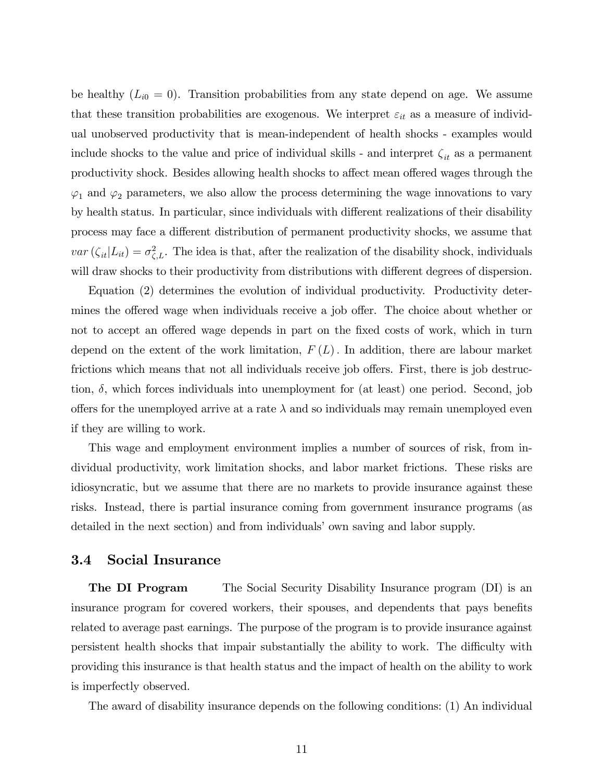be healthy  $(L_{i0} = 0)$ . Transition probabilities from any state depend on age. We assume that these transition probabilities are exogenous. We interpret  $\varepsilon_{it}$  as a measure of individual unobserved productivity that is mean-independent of health shocks - examples would include shocks to the value and price of individual skills - and interpret  $\zeta_{it}$  as a permanent productivity shock. Besides allowing health shocks to affect mean offered wages through the  $\varphi_1$  and  $\varphi_2$  parameters, we also allow the process determining the wage innovations to vary by health status. In particular, since individuals with different realizations of their disability process may face a different distribution of permanent productivity shocks, we assume that  $var(\zeta_{it}|L_{it}) = \sigma_{\zeta,L}^2$ . The idea is that, after the realization of the disability shock, individuals will draw shocks to their productivity from distributions with different degrees of dispersion.

Equation (2) determines the evolution of individual productivity. Productivity determines the offered wage when individuals receive a job offer. The choice about whether or not to accept an offered wage depends in part on the fixed costs of work, which in turn depend on the extent of the work limitation,  $F(L)$ . In addition, there are labour market frictions which means that not all individuals receive job offers. First, there is job destruction,  $\delta$ , which forces individuals into unemployment for (at least) one period. Second, job offers for the unemployed arrive at a rate  $\lambda$  and so individuals may remain unemployed even if they are willing to work.

This wage and employment environment implies a number of sources of risk, from individual productivity, work limitation shocks, and labor market frictions. These risks are idiosyncratic, but we assume that there are no markets to provide insurance against these risks. Instead, there is partial insurance coming from government insurance programs (as detailed in the next section) and from individuals' own saving and labor supply.

### 3.4 Social Insurance

**The DI Program** The Social Security Disability Insurance program (DI) is an insurance program for covered workers, their spouses, and dependents that pays benefits related to average past earnings. The purpose of the program is to provide insurance against persistent health shocks that impair substantially the ability to work. The difficulty with providing this insurance is that health status and the impact of health on the ability to work is imperfectly observed.

The award of disability insurance depends on the following conditions: (1) An individual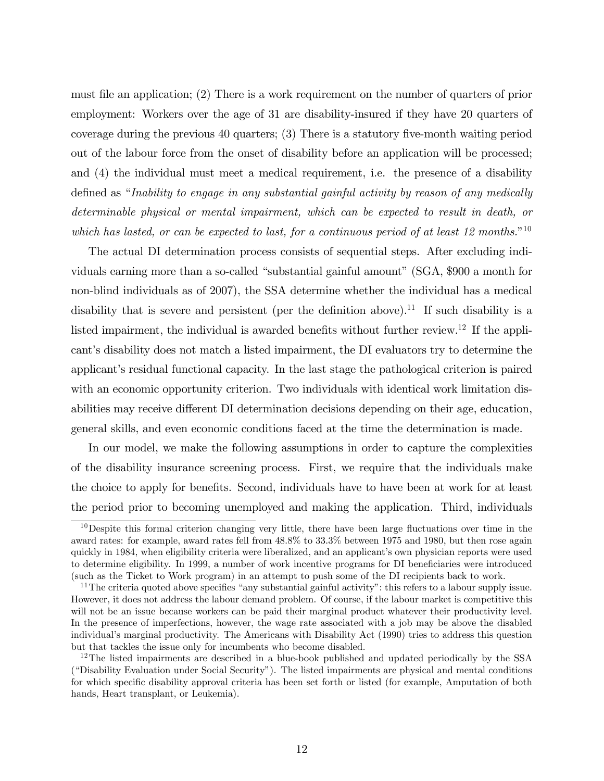must file an application; (2) There is a work requirement on the number of quarters of prior employment: Workers over the age of 31 are disability-insured if they have 20 quarters of coverage during the previous 40 quarters; (3) There is a statutory Öve-month waiting period out of the labour force from the onset of disability before an application will be processed; and (4) the individual must meet a medical requirement, i.e. the presence of a disability defined as "Inability to engage in any substantial gainful activity by reason of any medically determinable physical or mental impairment, which can be expected to result in death, or which has lasted, or can be expected to last, for a continuous period of at least 12 months."<sup>10</sup>

The actual DI determination process consists of sequential steps. After excluding individuals earning more than a so-called "substantial gainful amount" (SGA, \$900 a month for non-blind individuals as of 2007), the SSA determine whether the individual has a medical disability that is severe and persistent (per the definition above).<sup>11</sup> If such disability is a listed impairment, the individual is awarded benefits without further review.<sup>12</sup> If the applicant's disability does not match a listed impairment, the DI evaluators try to determine the applicant's residual functional capacity. In the last stage the pathological criterion is paired with an economic opportunity criterion. Two individuals with identical work limitation disabilities may receive different DI determination decisions depending on their age, education, general skills, and even economic conditions faced at the time the determination is made.

In our model, we make the following assumptions in order to capture the complexities of the disability insurance screening process. First, we require that the individuals make the choice to apply for benefits. Second, individuals have to have been at work for at least the period prior to becoming unemployed and making the application. Third, individuals

 $10$ Despite this formal criterion changing very little, there have been large fluctuations over time in the award rates: for example, award rates fell from 48.8% to 33.3% between 1975 and 1980, but then rose again quickly in 1984, when eligibility criteria were liberalized, and an applicant's own physician reports were used to determine eligibility. In 1999, a number of work incentive programs for DI beneficiaries were introduced (such as the Ticket to Work program) in an attempt to push some of the DI recipients back to work.

<sup>&</sup>lt;sup>11</sup>The criteria quoted above specifies "any substantial gainful activity": this refers to a labour supply issue. However, it does not address the labour demand problem. Of course, if the labour market is competitive this will not be an issue because workers can be paid their marginal product whatever their productivity level. In the presence of imperfections, however, the wage rate associated with a job may be above the disabled individualís marginal productivity. The Americans with Disability Act (1990) tries to address this question but that tackles the issue only for incumbents who become disabled.

<sup>&</sup>lt;sup>12</sup>The listed impairments are described in a blue-book published and updated periodically by the SSA ("Disability Evaluation under Social Security"). The listed impairments are physical and mental conditions for which specific disability approval criteria has been set forth or listed (for example, Amputation of both hands, Heart transplant, or Leukemia).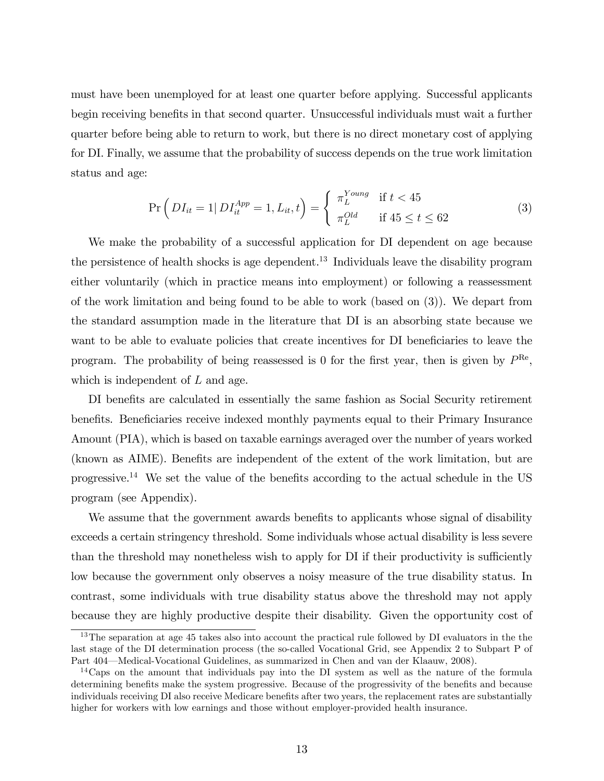must have been unemployed for at least one quarter before applying. Successful applicants begin receiving benefits in that second quarter. Unsuccessful individuals must wait a further quarter before being able to return to work, but there is no direct monetary cost of applying for DI. Finally, we assume that the probability of success depends on the true work limitation status and age:

$$
\Pr\left(DI_{it} = 1 | DI_{it}^{App} = 1, L_{it}, t\right) = \begin{cases} \pi_L^{Young} & \text{if } t < 45\\ \pi_L^{Old} & \text{if } 45 \le t \le 62 \end{cases}
$$
 (3)

We make the probability of a successful application for DI dependent on age because the persistence of health shocks is age dependent.<sup>13</sup> Individuals leave the disability program either voluntarily (which in practice means into employment) or following a reassessment of the work limitation and being found to be able to work (based on (3)). We depart from the standard assumption made in the literature that DI is an absorbing state because we want to be able to evaluate policies that create incentives for DI beneficiaries to leave the program. The probability of being reassessed is 0 for the first year, then is given by  $P^{\text{Re}}$ , which is independent of L and age.

DI benefits are calculated in essentially the same fashion as Social Security retirement benefits. Beneficiaries receive indexed monthly payments equal to their Primary Insurance Amount (PIA), which is based on taxable earnings averaged over the number of years worked (known as AIME). Benefits are independent of the extent of the work limitation, but are progressive.<sup>14</sup> We set the value of the benefits according to the actual schedule in the US program (see Appendix).

We assume that the government awards benefits to applicants whose signal of disability exceeds a certain stringency threshold. Some individuals whose actual disability is less severe than the threshold may nonetheless wish to apply for DI if their productivity is sufficiently low because the government only observes a noisy measure of the true disability status. In contrast, some individuals with true disability status above the threshold may not apply because they are highly productive despite their disability. Given the opportunity cost of

<sup>&</sup>lt;sup>13</sup>The separation at age 45 takes also into account the practical rule followed by DI evaluators in the the last stage of the DI determination process (the so-called Vocational Grid, see Appendix 2 to Subpart P of Part 404—Medical-Vocational Guidelines, as summarized in Chen and van der Klaauw, 2008).

<sup>&</sup>lt;sup>14</sup>Caps on the amount that individuals pay into the DI system as well as the nature of the formula determining benefits make the system progressive. Because of the progressivity of the benefits and because individuals receiving DI also receive Medicare benefits after two years, the replacement rates are substantially higher for workers with low earnings and those without employer-provided health insurance.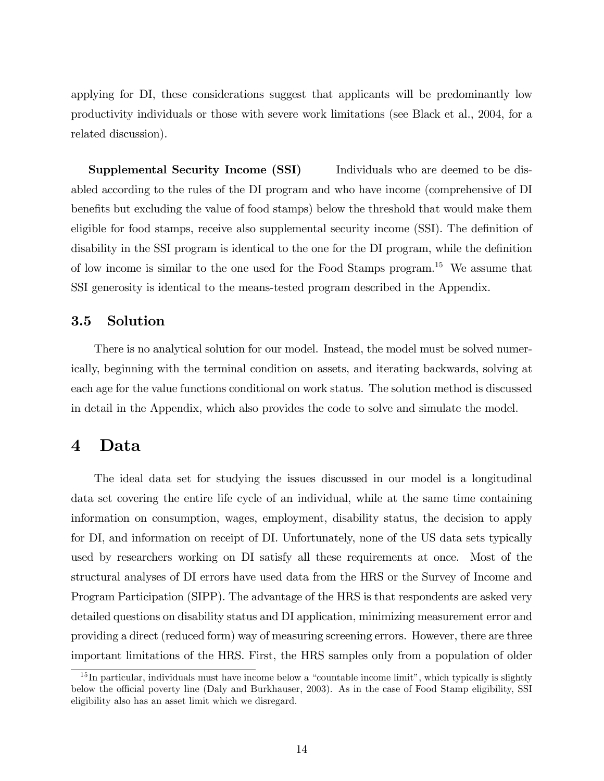applying for DI, these considerations suggest that applicants will be predominantly low productivity individuals or those with severe work limitations (see Black et al., 2004, for a related discussion).

**Supplemental Security Income (SSI)** Individuals who are deemed to be disabled according to the rules of the DI program and who have income (comprehensive of DI benefits but excluding the value of food stamps) below the threshold that would make them eligible for food stamps, receive also supplemental security income (SSI). The definition of disability in the SSI program is identical to the one for the DI program, while the definition of low income is similar to the one used for the Food Stamps program.<sup>15</sup> We assume that SSI generosity is identical to the means-tested program described in the Appendix.

### 3.5 Solution

There is no analytical solution for our model. Instead, the model must be solved numerically, beginning with the terminal condition on assets, and iterating backwards, solving at each age for the value functions conditional on work status. The solution method is discussed in detail in the Appendix, which also provides the code to solve and simulate the model.

### 4 Data

The ideal data set for studying the issues discussed in our model is a longitudinal data set covering the entire life cycle of an individual, while at the same time containing information on consumption, wages, employment, disability status, the decision to apply for DI, and information on receipt of DI. Unfortunately, none of the US data sets typically used by researchers working on DI satisfy all these requirements at once. Most of the structural analyses of DI errors have used data from the HRS or the Survey of Income and Program Participation (SIPP). The advantage of the HRS is that respondents are asked very detailed questions on disability status and DI application, minimizing measurement error and providing a direct (reduced form) way of measuring screening errors. However, there are three important limitations of the HRS. First, the HRS samples only from a population of older

 $15$  In particular, individuals must have income below a "countable income limit", which typically is slightly below the official poverty line (Daly and Burkhauser, 2003). As in the case of Food Stamp eligibility, SSI eligibility also has an asset limit which we disregard.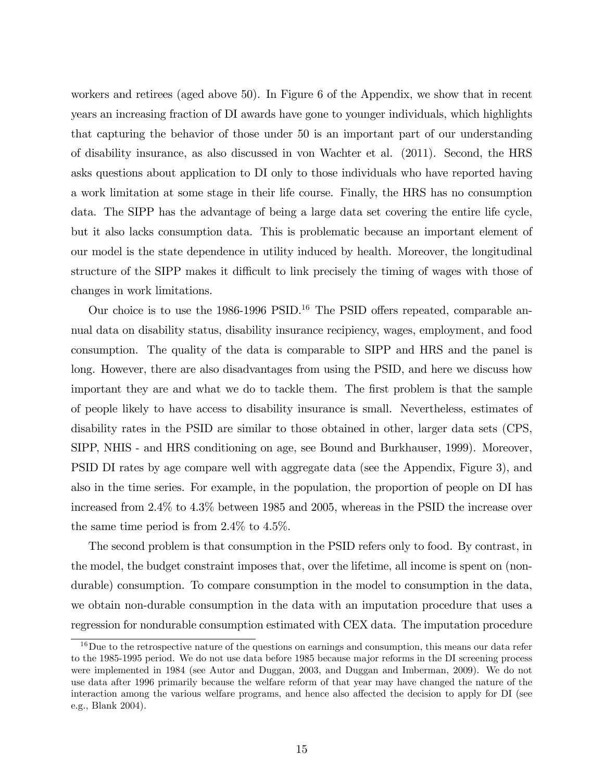workers and retirees (aged above 50). In Figure 6 of the Appendix, we show that in recent years an increasing fraction of DI awards have gone to younger individuals, which highlights that capturing the behavior of those under 50 is an important part of our understanding of disability insurance, as also discussed in von Wachter et al. (2011). Second, the HRS asks questions about application to DI only to those individuals who have reported having a work limitation at some stage in their life course. Finally, the HRS has no consumption data. The SIPP has the advantage of being a large data set covering the entire life cycle, but it also lacks consumption data. This is problematic because an important element of our model is the state dependence in utility induced by health. Moreover, the longitudinal structure of the SIPP makes it difficult to link precisely the timing of wages with those of changes in work limitations.

Our choice is to use the  $1986-1996$  PSID.<sup>16</sup> The PSID offers repeated, comparable annual data on disability status, disability insurance recipiency, wages, employment, and food consumption. The quality of the data is comparable to SIPP and HRS and the panel is long. However, there are also disadvantages from using the PSID, and here we discuss how important they are and what we do to tackle them. The first problem is that the sample of people likely to have access to disability insurance is small. Nevertheless, estimates of disability rates in the PSID are similar to those obtained in other, larger data sets (CPS, SIPP, NHIS - and HRS conditioning on age, see Bound and Burkhauser, 1999). Moreover, PSID DI rates by age compare well with aggregate data (see the Appendix, Figure 3), and also in the time series. For example, in the population, the proportion of people on DI has increased from 2.4% to 4.3% between 1985 and 2005, whereas in the PSID the increase over the same time period is from 2.4% to 4.5%.

The second problem is that consumption in the PSID refers only to food. By contrast, in the model, the budget constraint imposes that, over the lifetime, all income is spent on (nondurable) consumption. To compare consumption in the model to consumption in the data, we obtain non-durable consumption in the data with an imputation procedure that uses a regression for nondurable consumption estimated with CEX data. The imputation procedure

<sup>&</sup>lt;sup>16</sup>Due to the retrospective nature of the questions on earnings and consumption, this means our data refer to the 1985-1995 period. We do not use data before 1985 because major reforms in the DI screening process were implemented in 1984 (see Autor and Duggan, 2003, and Duggan and Imberman, 2009). We do not use data after 1996 primarily because the welfare reform of that year may have changed the nature of the interaction among the various welfare programs, and hence also affected the decision to apply for DI (see e.g., Blank 2004).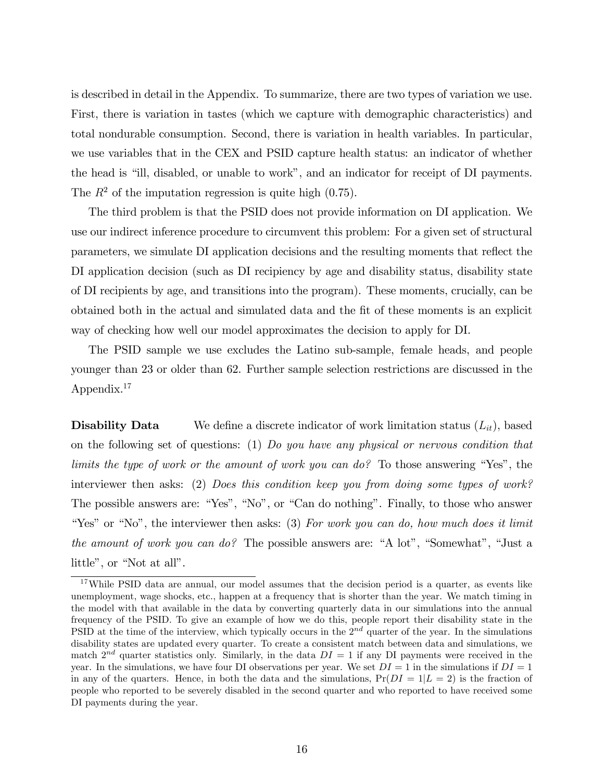is described in detail in the Appendix. To summarize, there are two types of variation we use. First, there is variation in tastes (which we capture with demographic characteristics) and total nondurable consumption. Second, there is variation in health variables. In particular, we use variables that in the CEX and PSID capture health status: an indicator of whether the head is "ill, disabled, or unable to work", and an indicator for receipt of DI payments. The  $R^2$  of the imputation regression is quite high (0.75).

The third problem is that the PSID does not provide information on DI application. We use our indirect inference procedure to circumvent this problem: For a given set of structural parameters, we simulate DI application decisions and the resulting moments that reflect the DI application decision (such as DI recipiency by age and disability status, disability state of DI recipients by age, and transitions into the program). These moments, crucially, can be obtained both in the actual and simulated data and the Öt of these moments is an explicit way of checking how well our model approximates the decision to apply for DI.

The PSID sample we use excludes the Latino sub-sample, female heads, and people younger than 23 or older than 62. Further sample selection restrictions are discussed in the Appendix.<sup>17</sup>

**Disability Data** We define a discrete indicator of work limitation status  $(L_{it})$ , based on the following set of questions: (1) Do you have any physical or nervous condition that limits the type of work or the amount of work you can do? To those answering "Yes", the interviewer then asks: (2) Does this condition keep you from doing some types of work? The possible answers are: "Yes", "No", or "Can do nothing". Finally, to those who answer "Yes" or "No", the interviewer then asks:  $(3)$  For work you can do, how much does it limit the amount of work you can do? The possible answers are: "A lot", "Somewhat", "Just a little", or "Not at all".

<sup>17</sup>While PSID data are annual, our model assumes that the decision period is a quarter, as events like unemployment, wage shocks, etc., happen at a frequency that is shorter than the year. We match timing in the model with that available in the data by converting quarterly data in our simulations into the annual frequency of the PSID. To give an example of how we do this, people report their disability state in the PSID at the time of the interview, which typically occurs in the  $2^{nd}$  quarter of the year. In the simulations disability states are updated every quarter. To create a consistent match between data and simulations, we match  $2^{nd}$  quarter statistics only. Similarly, in the data  $DI = 1$  if any DI payments were received in the year. In the simulations, we have four DI observations per year. We set  $DI = 1$  in the simulations if  $DI = 1$ in any of the quarters. Hence, in both the data and the simulations,  $Pr(DI = 1|L = 2)$  is the fraction of people who reported to be severely disabled in the second quarter and who reported to have received some DI payments during the year.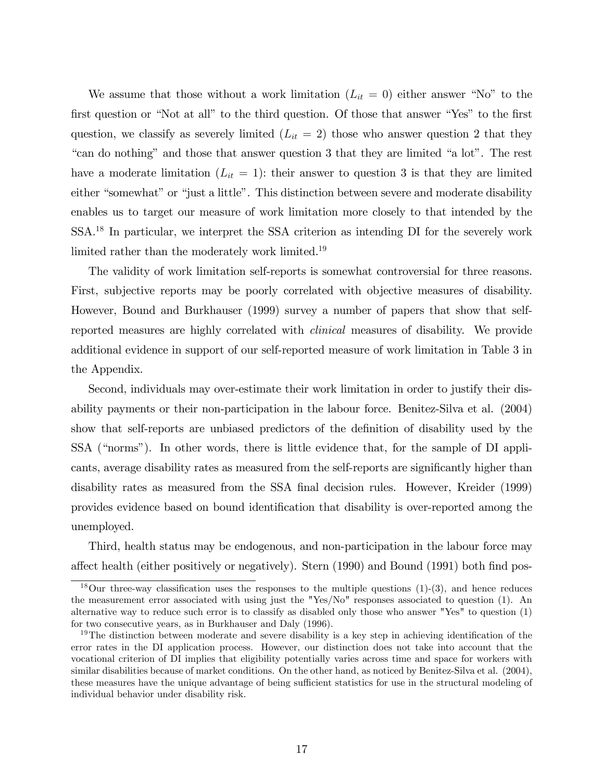We assume that those without a work limitation  $(L_{it} = 0)$  either answer "No" to the first question or "Not at all" to the third question. Of those that answer "Yes" to the first question, we classify as severely limited  $(L_{it} = 2)$  those who answer question 2 that they "can do nothing" and those that answer question 3 that they are limited "a lot". The rest have a moderate limitation  $(L_{it} = 1)$ : their answer to question 3 is that they are limited either "somewhat" or "just a little". This distinction between severe and moderate disability enables us to target our measure of work limitation more closely to that intended by the SSA.<sup>18</sup> In particular, we interpret the SSA criterion as intending DI for the severely work limited rather than the moderately work limited.<sup>19</sup>

The validity of work limitation self-reports is somewhat controversial for three reasons. First, subjective reports may be poorly correlated with objective measures of disability. However, Bound and Burkhauser (1999) survey a number of papers that show that selfreported measures are highly correlated with clinical measures of disability. We provide additional evidence in support of our self-reported measure of work limitation in Table 3 in the Appendix.

Second, individuals may over-estimate their work limitation in order to justify their disability payments or their non-participation in the labour force. Benitez-Silva et al. (2004) show that self-reports are unbiased predictors of the definition of disability used by the SSA ("norms"). In other words, there is little evidence that, for the sample of DI applicants, average disability rates as measured from the self-reports are significantly higher than disability rates as measured from the SSA final decision rules. However, Kreider (1999) provides evidence based on bound identification that disability is over-reported among the unemployed.

Third, health status may be endogenous, and non-participation in the labour force may affect health (either positively or negatively). Stern (1990) and Bound (1991) both find pos-

<sup>&</sup>lt;sup>18</sup>Our three-way classification uses the responses to the multiple questions  $(1)-(3)$ , and hence reduces the measurement error associated with using just the "Yes/No" responses associated to question (1). An alternative way to reduce such error is to classify as disabled only those who answer "Yes" to question (1) for two consecutive years, as in Burkhauser and Daly (1996).

 $19$ The distinction between moderate and severe disability is a key step in achieving identification of the error rates in the DI application process. However, our distinction does not take into account that the vocational criterion of DI implies that eligibility potentially varies across time and space for workers with similar disabilities because of market conditions. On the other hand, as noticed by Benitez-Silva et al. (2004), these measures have the unique advantage of being sufficient statistics for use in the structural modeling of individual behavior under disability risk.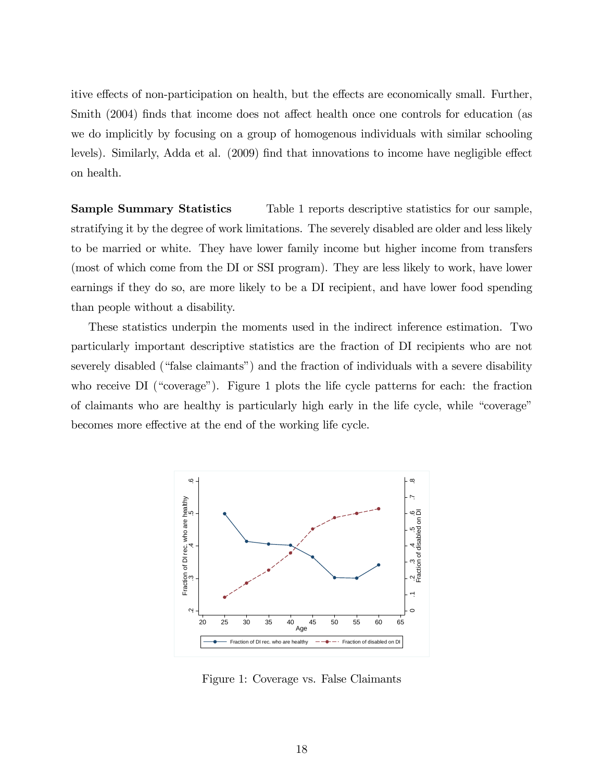itive effects of non-participation on health, but the effects are economically small. Further, Smith (2004) finds that income does not affect health once one controls for education (as we do implicitly by focusing on a group of homogenous individuals with similar schooling levels). Similarly, Adda et al. (2009) find that innovations to income have negligible effect on health.

Sample Summary Statistics Table 1 reports descriptive statistics for our sample, stratifying it by the degree of work limitations. The severely disabled are older and less likely to be married or white. They have lower family income but higher income from transfers (most of which come from the DI or SSI program). They are less likely to work, have lower earnings if they do so, are more likely to be a DI recipient, and have lower food spending than people without a disability.

These statistics underpin the moments used in the indirect inference estimation. Two particularly important descriptive statistics are the fraction of DI recipients who are not severely disabled ("false claimants") and the fraction of individuals with a severe disability who receive  $DI$  ("coverage"). Figure 1 plots the life cycle patterns for each: the fraction of claimants who are healthy is particularly high early in the life cycle, while "coverage" becomes more effective at the end of the working life cycle.



Figure 1: Coverage vs. False Claimants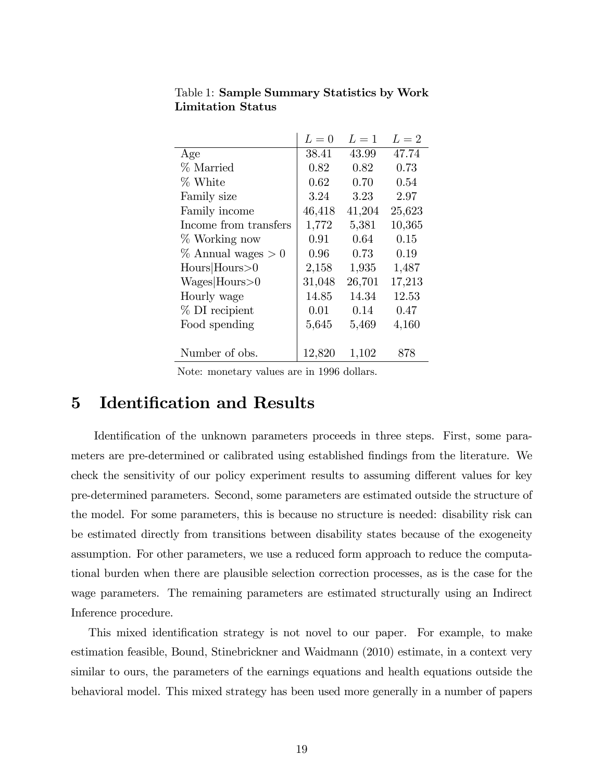|                        | $L=0$  | $L=1$  | $L=2$  |
|------------------------|--------|--------|--------|
| Age                    | 38.41  | 43.99  | 47.74  |
| % Married              | 0.82   | 0.82   | 0.73   |
| % White                | 0.62   | 0.70   | 0.54   |
| Family size            | 3.24   | 3.23   | 2.97   |
| Family income          | 46,418 | 41,204 | 25,623 |
| Income from transfers  | 1,772  | 5,381  | 10,365 |
| % Working now          | 0.91   | 0.64   | 0.15   |
| $\%$ Annual wages $>0$ | 0.96   | 0.73   | 0.19   |
| Hours Hours>0          | 2,158  | 1,935  | 1,487  |
| Wages Hours>0          | 31,048 | 26,701 | 17,213 |
| Hourly wage            | 14.85  | 14.34  | 12.53  |
| % DI recipient         | 0.01   | 0.14   | 0.47   |
| Food spending          | 5,645  | 5,469  | 4,160  |
|                        |        |        |        |
| Number of obs.         | 12,820 | 1,102  | 878    |

Table 1: Sample Summary Statistics by Work Limitation Status

Note: monetary values are in 1996 dollars.

# 5 Identification and Results

Identification of the unknown parameters proceeds in three steps. First, some parameters are pre-determined or calibrated using established findings from the literature. We check the sensitivity of our policy experiment results to assuming different values for key pre-determined parameters. Second, some parameters are estimated outside the structure of the model. For some parameters, this is because no structure is needed: disability risk can be estimated directly from transitions between disability states because of the exogeneity assumption. For other parameters, we use a reduced form approach to reduce the computational burden when there are plausible selection correction processes, as is the case for the wage parameters. The remaining parameters are estimated structurally using an Indirect Inference procedure.

This mixed identification strategy is not novel to our paper. For example, to make estimation feasible, Bound, Stinebrickner and Waidmann (2010) estimate, in a context very similar to ours, the parameters of the earnings equations and health equations outside the behavioral model. This mixed strategy has been used more generally in a number of papers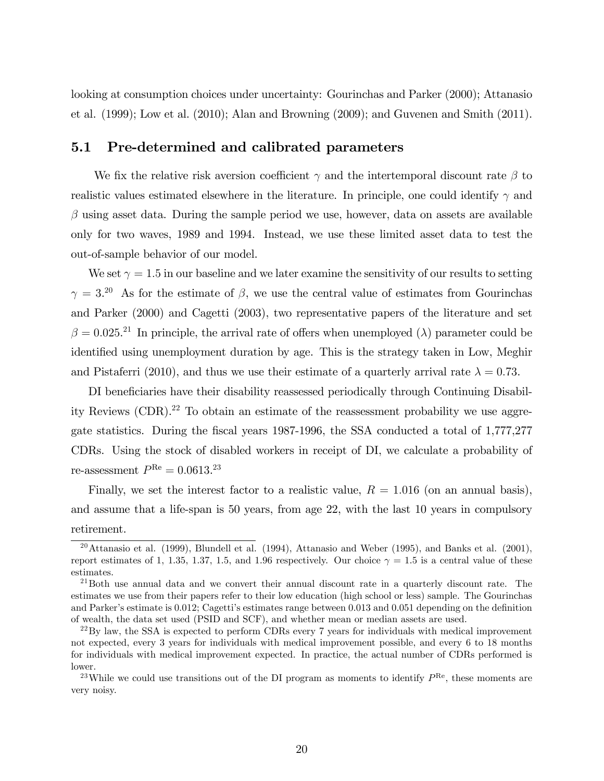looking at consumption choices under uncertainty: Gourinchas and Parker (2000); Attanasio et al. (1999); Low et al. (2010); Alan and Browning (2009); and Guvenen and Smith (2011).

### 5.1 Pre-determined and calibrated parameters

We fix the relative risk aversion coefficient  $\gamma$  and the intertemporal discount rate  $\beta$  to realistic values estimated elsewhere in the literature. In principle, one could identify  $\gamma$  and  $\beta$  using asset data. During the sample period we use, however, data on assets are available only for two waves, 1989 and 1994. Instead, we use these limited asset data to test the out-of-sample behavior of our model.

We set  $\gamma = 1.5$  in our baseline and we later examine the sensitivity of our results to setting  $\gamma = 3.^{20}$  As for the estimate of  $\beta$ , we use the central value of estimates from Gourinchas and Parker (2000) and Cagetti (2003), two representative papers of the literature and set  $\beta = 0.025$ <sup>21</sup> In principle, the arrival rate of offers when unemployed ( $\lambda$ ) parameter could be identified using unemployment duration by age. This is the strategy taken in Low, Meghir and Pistaferri (2010), and thus we use their estimate of a quarterly arrival rate  $\lambda = 0.73$ .

DI beneficiaries have their disability reassessed periodically through Continuing Disability Reviews  $(CDR)^{22}$  To obtain an estimate of the reassessment probability we use aggregate statistics. During the Öscal years 1987-1996, the SSA conducted a total of 1,777,277 CDRs. Using the stock of disabled workers in receipt of DI, we calculate a probability of re-assessment  $P^{\text{Re}} = 0.0613.^{23}$ 

Finally, we set the interest factor to a realistic value,  $R = 1.016$  (on an annual basis), and assume that a life-span is 50 years, from age 22, with the last 10 years in compulsory retirement.

<sup>&</sup>lt;sup>20</sup>Attanasio et al. (1999), Blundell et al. (1994), Attanasio and Weber (1995), and Banks et al. (2001), report estimates of 1, 1.35, 1.37, 1.5, and 1.96 respectively. Our choice  $\gamma = 1.5$  is a central value of these estimates.

<sup>&</sup>lt;sup>21</sup>Both use annual data and we convert their annual discount rate in a quarterly discount rate. The estimates we use from their papers refer to their low education (high school or less) sample. The Gourinchas and Parker's estimate is  $0.012$ ; Cagetti's estimates range between  $0.013$  and  $0.051$  depending on the definition of wealth, the data set used (PSID and SCF), and whether mean or median assets are used.

 $^{22}$ By law, the SSA is expected to perform CDRs every 7 years for individuals with medical improvement not expected, every 3 years for individuals with medical improvement possible, and every 6 to 18 months for individuals with medical improvement expected. In practice, the actual number of CDRs performed is lower.

<sup>&</sup>lt;sup>23</sup>While we could use transitions out of the DI program as moments to identify  $P^{\text{Re}}$ , these moments are very noisy.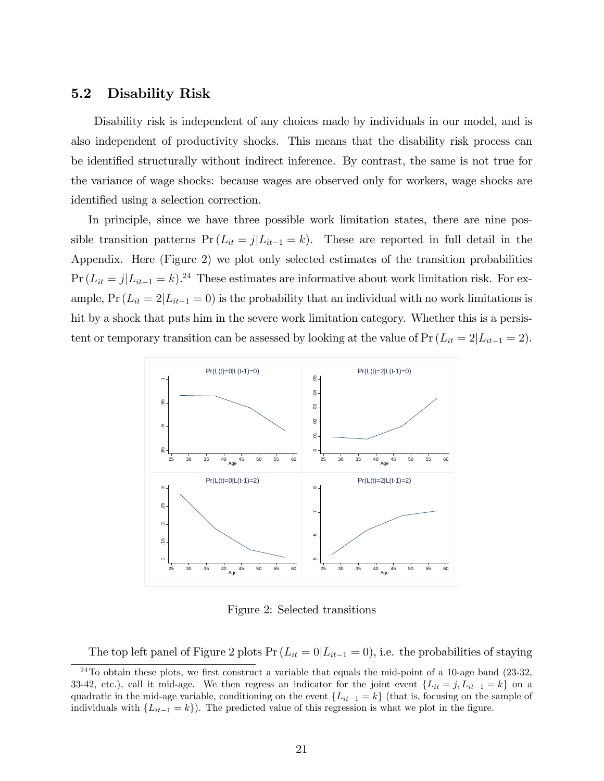### 5.2 Disability Risk

Disability risk is independent of any choices made by individuals in our model, and is also independent of productivity shocks. This means that the disability risk process can be identified structurally without indirect inference. By contrast, the same is not true for the variance of wage shocks: because wages are observed only for workers, wage shocks are identified using a selection correction.

In principle, since we have three possible work limitation states, there are nine possible transition patterns  $Pr(L_{it} = j | L_{it-1} = k)$ . These are reported in full detail in the Appendix. Here (Figure 2) we plot only selected estimates of the transition probabilities  $Pr (L_{it} = j | L_{it-1} = k).^{24}$  These estimates are informative about work limitation risk. For example,  $Pr(L_{it} = 2|L_{it-1} = 0)$  is the probability that an individual with no work limitations is hit by a shock that puts him in the severe work limitation category. Whether this is a persistent or temporary transition can be assessed by looking at the value of  $Pr(L_{it} = 2|L_{it-1} = 2)$ .



Figure 2: Selected transitions

The top left panel of Figure 2 plots  $Pr(L_{it} = 0|L_{it-1} = 0)$ , i.e. the probabilities of staying

 $24$ To obtain these plots, we first construct a variable that equals the mid-point of a 10-age band (23-32, 33-42, etc.), call it mid-age. We then regress an indicator for the joint event  $\{L_{it} = j, L_{it-1} = k\}$  on a quadratic in the mid-age variable, conditioning on the event  $\{L_{it-1} = k\}$  (that is, focusing on the sample of individuals with  $\{L_{it-1} = k\}$ . The predicted value of this regression is what we plot in the figure.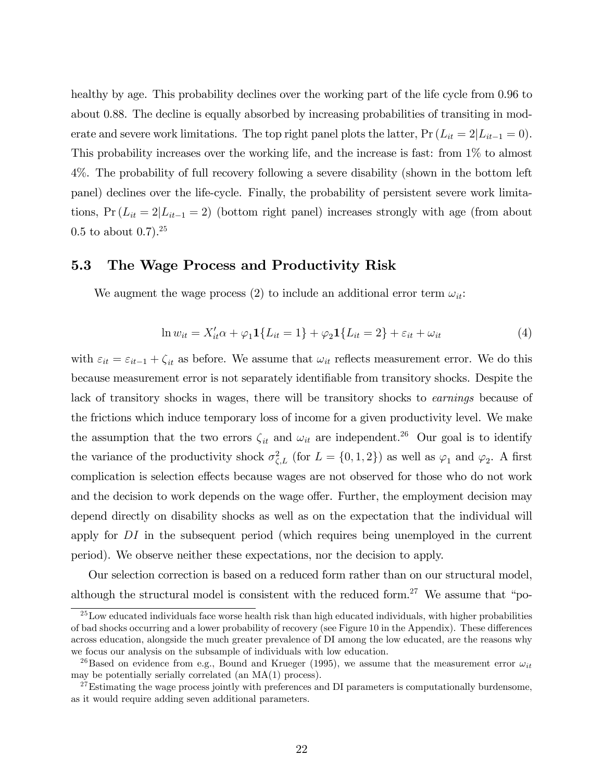healthy by age. This probability declines over the working part of the life cycle from 0.96 to about 0.88. The decline is equally absorbed by increasing probabilities of transiting in moderate and severe work limitations. The top right panel plots the latter,  $Pr(L_{it} = 2|L_{it-1} = 0)$ . This probability increases over the working life, and the increase is fast: from 1% to almost 4%. The probability of full recovery following a severe disability (shown in the bottom left panel) declines over the life-cycle. Finally, the probability of persistent severe work limitations,  $Pr(L_{it} = 2|L_{it-1} = 2)$  (bottom right panel) increases strongly with age (from about  $0.5$  to about  $0.7$ ).<sup>25</sup>

### 5.3 The Wage Process and Productivity Risk

We augment the wage process (2) to include an additional error term  $\omega_{it}$ :

$$
\ln w_{it} = X'_{it}\alpha + \varphi_1 \mathbf{1} \{L_{it} = 1\} + \varphi_2 \mathbf{1} \{L_{it} = 2\} + \varepsilon_{it} + \omega_{it}
$$
(4)

with  $\varepsilon_{it} = \varepsilon_{it-1} + \zeta_{it}$  as before. We assume that  $\omega_{it}$  reflects measurement error. We do this because measurement error is not separately identifiable from transitory shocks. Despite the lack of transitory shocks in wages, there will be transitory shocks to earnings because of the frictions which induce temporary loss of income for a given productivity level. We make the assumption that the two errors  $\zeta_{it}$  and  $\omega_{it}$  are independent.<sup>26</sup> Our goal is to identify the variance of the productivity shock  $\sigma_{\zeta,L}^2$  (for  $L = \{0,1,2\}$ ) as well as  $\varphi_1$  and  $\varphi_2$ . A first complication is selection effects because wages are not observed for those who do not work and the decision to work depends on the wage offer. Further, the employment decision may depend directly on disability shocks as well as on the expectation that the individual will apply for DI in the subsequent period (which requires being unemployed in the current period). We observe neither these expectations, nor the decision to apply.

Our selection correction is based on a reduced form rather than on our structural model, although the structural model is consistent with the reduced form.<sup>27</sup> We assume that "po-

<sup>&</sup>lt;sup>25</sup>Low educated individuals face worse health risk than high educated individuals, with higher probabilities of bad shocks occurring and a lower probability of recovery (see Figure 10 in the Appendix). These differences across education, alongside the much greater prevalence of DI among the low educated, are the reasons why we focus our analysis on the subsample of individuals with low education.

<sup>&</sup>lt;sup>26</sup>Based on evidence from e.g., Bound and Krueger (1995), we assume that the measurement error  $\omega_{it}$ may be potentially serially correlated (an MA(1) process).

 $27$ Estimating the wage process jointly with preferences and DI parameters is computationally burdensome, as it would require adding seven additional parameters.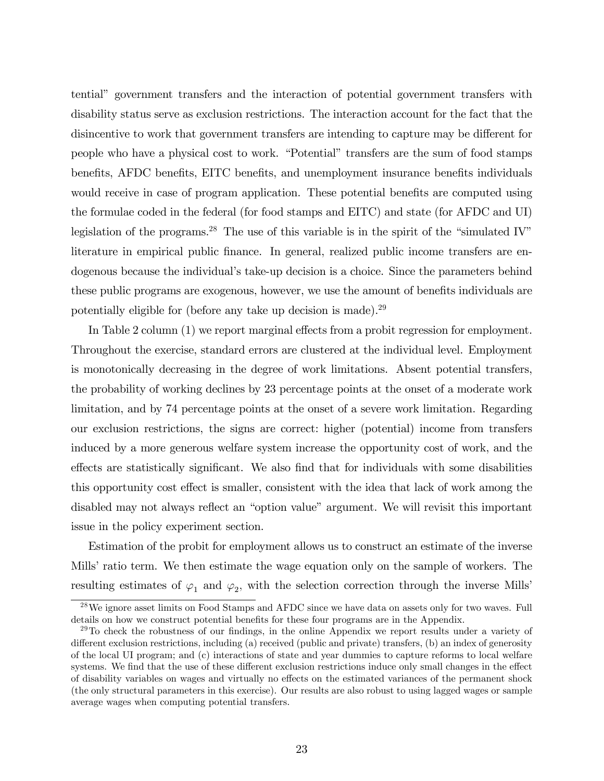tentialî government transfers and the interaction of potential government transfers with disability status serve as exclusion restrictions. The interaction account for the fact that the disincentive to work that government transfers are intending to capture may be different for people who have a physical cost to work. "Potential" transfers are the sum of food stamps benefits, AFDC benefits, EITC benefits, and unemployment insurance benefits individuals would receive in case of program application. These potential benefits are computed using the formulae coded in the federal (for food stamps and EITC) and state (for AFDC and UI) legislation of the programs.<sup>28</sup> The use of this variable is in the spirit of the "simulated IV" literature in empirical public finance. In general, realized public income transfers are endogenous because the individual's take-up decision is a choice. Since the parameters behind these public programs are exogenous, however, we use the amount of benefits individuals are potentially eligible for (before any take up decision is made).<sup>29</sup>

In Table 2 column (1) we report marginal effects from a probit regression for employment. Throughout the exercise, standard errors are clustered at the individual level. Employment is monotonically decreasing in the degree of work limitations. Absent potential transfers, the probability of working declines by 23 percentage points at the onset of a moderate work limitation, and by 74 percentage points at the onset of a severe work limitation. Regarding our exclusion restrictions, the signs are correct: higher (potential) income from transfers induced by a more generous welfare system increase the opportunity cost of work, and the effects are statistically significant. We also find that for individuals with some disabilities this opportunity cost effect is smaller, consistent with the idea that lack of work among the disabled may not always reflect an "option value" argument. We will revisit this important issue in the policy experiment section.

Estimation of the probit for employment allows us to construct an estimate of the inverse Mills' ratio term. We then estimate the wage equation only on the sample of workers. The resulting estimates of  $\varphi_1$  and  $\varphi_2$ , with the selection correction through the inverse Mills'

<sup>28</sup>We ignore asset limits on Food Stamps and AFDC since we have data on assets only for two waves. Full details on how we construct potential benefits for these four programs are in the Appendix.

 $^{29}$ To check the robustness of our findings, in the online Appendix we report results under a variety of different exclusion restrictions, including (a) received (public and private) transfers, (b) an index of generosity of the local UI program; and (c) interactions of state and year dummies to capture reforms to local welfare systems. We find that the use of these different exclusion restrictions induce only small changes in the effect of disability variables on wages and virtually no effects on the estimated variances of the permanent shock (the only structural parameters in this exercise). Our results are also robust to using lagged wages or sample average wages when computing potential transfers.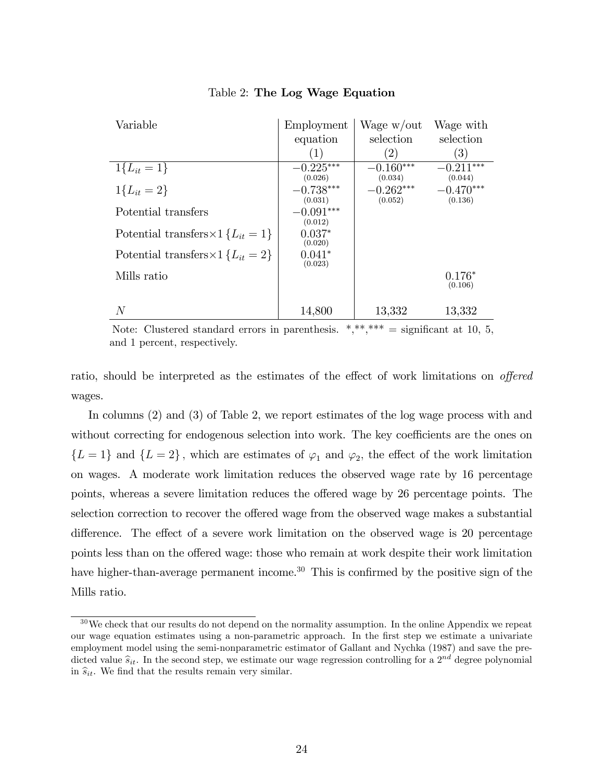| Variable                                       | Employment             | Wage w/out             | Wage with              |
|------------------------------------------------|------------------------|------------------------|------------------------|
|                                                | equation               | selection              | selection              |
|                                                | (1)                    | $\left( 2\right)$      | $\left( 3\right)$      |
| $1\{L_{it} = 1\}$                              | $-0.225***$            | $-0.160***$            | $-0.211***$            |
| $1\{L_{it} = 2\}$                              | (0.026)<br>$-0.738***$ | (0.034)<br>$-0.262***$ | (0.044)<br>$-0.470***$ |
|                                                | (0.031)                | (0.052)                | (0.136)                |
| Potential transfers                            | $-0.091***$            |                        |                        |
|                                                | (0.012)                |                        |                        |
| Potential transfers $\times$ 1 { $L_{it}$ = 1} | $0.037*$<br>(0.020)    |                        |                        |
| Potential transfers $\times$ 1 { $L_{it}$ = 2} | $0.041*$               |                        |                        |
|                                                | (0.023)                |                        |                        |
| Mills ratio                                    |                        |                        | $0.176*$<br>(0.106)    |
|                                                |                        |                        |                        |
| $\,N$                                          | 14,800                 | 13,332                 | 13,332                 |

### Table 2: The Log Wage Equation

Note: Clustered standard errors in parenthesis.  $*,**** =$  significant at 10, 5, and 1 percent, respectively.

ratio, should be interpreted as the estimates of the effect of work limitations on *offered* wages.

In columns (2) and (3) of Table 2, we report estimates of the log wage process with and without correcting for endogenous selection into work. The key coefficients are the ones on  ${L = 1}$  and  ${L = 2}$ , which are estimates of  $\varphi_1$  and  $\varphi_2$ , the effect of the work limitation on wages. A moderate work limitation reduces the observed wage rate by 16 percentage points, whereas a severe limitation reduces the offered wage by 26 percentage points. The selection correction to recover the offered wage from the observed wage makes a substantial difference. The effect of a severe work limitation on the observed wage is 20 percentage points less than on the offered wage: those who remain at work despite their work limitation have higher-than-average permanent income.<sup>30</sup> This is confirmed by the positive sign of the Mills ratio.

<sup>&</sup>lt;sup>30</sup>We check that our results do not depend on the normality assumption. In the online Appendix we repeat our wage equation estimates using a non-parametric approach. In the Örst step we estimate a univariate employment model using the semi-nonparametric estimator of Gallant and Nychka (1987) and save the predicted value  $\hat{s}_{it}$ . In the second step, we estimate our wage regression controlling for a  $2^{nd'}$  degree polynomial in  $\hat{s}_{it}$ . We find that the results remain very similar.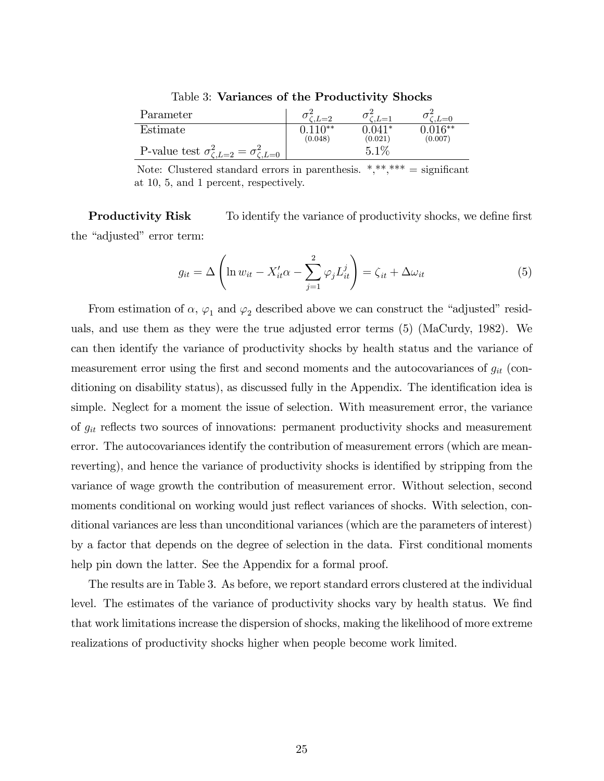Table 3: Variances of the Productivity Shocks

| Parameter                                                  |                  | $L=1$               | $L=0$                            |
|------------------------------------------------------------|------------------|---------------------|----------------------------------|
| Estimate                                                   | 110**<br>(0.048) | $0.041*$<br>(0.021) | $\overline{0.016}$ **<br>(0.007) |
| P-value test $\sigma_{\zeta,L=2}^2 = \sigma_{\zeta,L=0}^2$ |                  | 5.1%                |                                  |

Note: Clustered standard errors in parenthesis.  $*, **$ ,  $***$  = significant at 10, 5, and 1 percent, respectively.

**Productivity Risk** To identify the variance of productivity shocks, we define first the "adjusted" error term:

$$
g_{it} = \Delta \left( \ln w_{it} - X'_{it} \alpha - \sum_{j=1}^{2} \varphi_j L_{it}^j \right) = \zeta_{it} + \Delta \omega_{it}
$$
(5)

From estimation of  $\alpha$ ,  $\varphi_1$  and  $\varphi_2$  described above we can construct the "adjusted" residuals, and use them as they were the true adjusted error terms (5) (MaCurdy, 1982). We can then identify the variance of productivity shocks by health status and the variance of measurement error using the first and second moments and the autocovariances of  $g_{it}$  (conditioning on disability status), as discussed fully in the Appendix. The identification idea is simple. Neglect for a moment the issue of selection. With measurement error, the variance of  $g_{it}$  reflects two sources of innovations: permanent productivity shocks and measurement error. The autocovariances identify the contribution of measurement errors (which are meanreverting), and hence the variance of productivity shocks is identified by stripping from the variance of wage growth the contribution of measurement error. Without selection, second moments conditional on working would just reflect variances of shocks. With selection, conditional variances are less than unconditional variances (which are the parameters of interest) by a factor that depends on the degree of selection in the data. First conditional moments help pin down the latter. See the Appendix for a formal proof.

The results are in Table 3. As before, we report standard errors clustered at the individual level. The estimates of the variance of productivity shocks vary by health status. We find that work limitations increase the dispersion of shocks, making the likelihood of more extreme realizations of productivity shocks higher when people become work limited.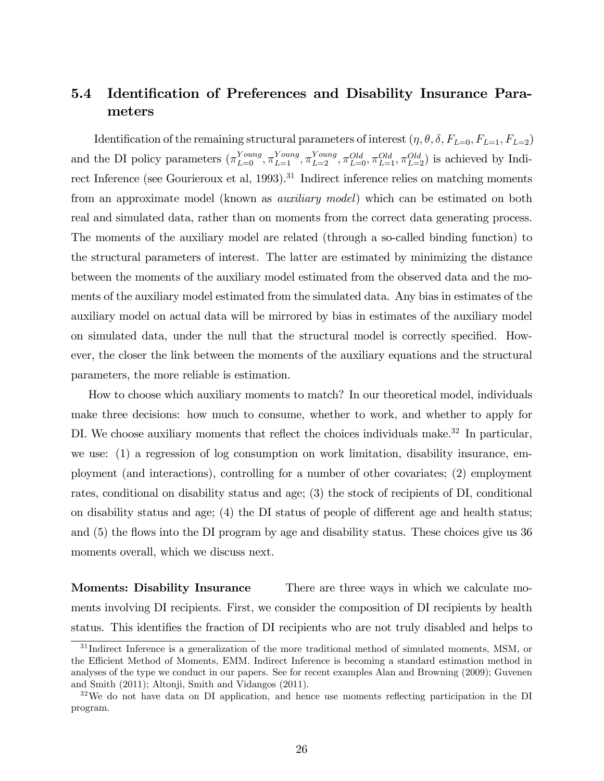## 5.4 Identification of Preferences and Disability Insurance Parameters

Identification of the remaining structural parameters of interest  $(\eta, \theta, \delta, F_{L=0}, F_{L=1}, F_{L=2})$ and the DI policy parameters  $(\pi_{L=0}^{Young}, \pi_{L=1}^{Young}, \pi_{L=2}^{Young}, \pi_{L=0}^{Old}, \pi_{L=1}^{Old}, \pi_{L=2}^{Old})$  is achieved by Indirect Inference (see Gourieroux et al, 1993).<sup>31</sup> Indirect inference relies on matching moments from an approximate model (known as auxiliary model) which can be estimated on both real and simulated data, rather than on moments from the correct data generating process. The moments of the auxiliary model are related (through a so-called binding function) to the structural parameters of interest. The latter are estimated by minimizing the distance between the moments of the auxiliary model estimated from the observed data and the moments of the auxiliary model estimated from the simulated data. Any bias in estimates of the auxiliary model on actual data will be mirrored by bias in estimates of the auxiliary model on simulated data, under the null that the structural model is correctly specified. However, the closer the link between the moments of the auxiliary equations and the structural parameters, the more reliable is estimation.

How to choose which auxiliary moments to match? In our theoretical model, individuals make three decisions: how much to consume, whether to work, and whether to apply for DI. We choose auxiliary moments that reflect the choices individuals make. $32$  In particular, we use: (1) a regression of log consumption on work limitation, disability insurance, employment (and interactions), controlling for a number of other covariates; (2) employment rates, conditional on disability status and age; (3) the stock of recipients of DI, conditional on disability status and age;  $(4)$  the DI status of people of different age and health status; and (5) the flows into the DI program by age and disability status. These choices give us 36 moments overall, which we discuss next.

Moments: Disability Insurance There are three ways in which we calculate moments involving DI recipients. First, we consider the composition of DI recipients by health status. This identifies the fraction of DI recipients who are not truly disabled and helps to

<sup>&</sup>lt;sup>31</sup> Indirect Inference is a generalization of the more traditional method of simulated moments, MSM, or the Efficient Method of Moments, EMM. Indirect Inference is becoming a standard estimation method in analyses of the type we conduct in our papers. See for recent examples Alan and Browning (2009); Guvenen and Smith (2011); Altonji, Smith and Vidangos (2011).

 $32\text{We do not have data on DI application, and hence use moments reflecting participation in the DI}$ program.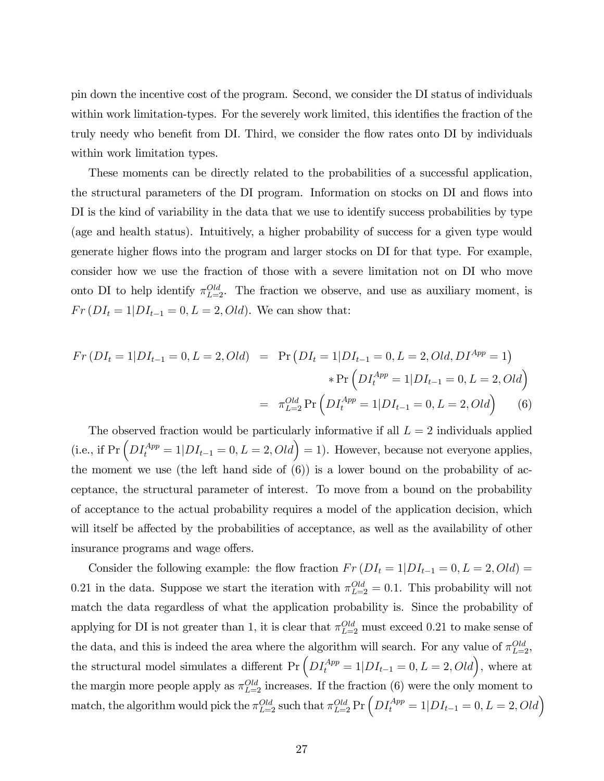pin down the incentive cost of the program. Second, we consider the DI status of individuals within work limitation-types. For the severely work limited, this identifies the fraction of the truly needy who benefit from DI. Third, we consider the flow rates onto DI by individuals within work limitation types.

These moments can be directly related to the probabilities of a successful application, the structural parameters of the DI program. Information on stocks on DI and flows into DI is the kind of variability in the data that we use to identify success probabilities by type (age and health status). Intuitively, a higher probability of success for a given type would generate higher flows into the program and larger stocks on DI for that type. For example, consider how we use the fraction of those with a severe limitation not on DI who move onto DI to help identify  $\pi_{L=2}^{Old}$ . The fraction we observe, and use as auxiliary moment, is  $Fr(DI_t = 1|DI_{t-1} = 0, L = 2, Old)$ . We can show that:

$$
Fr\left(DI_t = 1|DI_{t-1} = 0, L = 2, Old\right) = \Pr\left(DI_t = 1|DI_{t-1} = 0, L = 2, Old, DI^{App} = 1\right)
$$

$$
* \Pr\left(DI_t^{App} = 1|DI_{t-1} = 0, L = 2, Old\right)
$$

$$
= \pi_{L=2}^{Old} \Pr\left(DI_t^{App} = 1|DI_{t-1} = 0, L = 2, Old\right) \tag{6}
$$

The observed fraction would be particularly informative if all  $L = 2$  individuals applied (i.e., if  $Pr\left(DI_t^{App} = 1|DI_{t-1} = 0, L = 2, Old\right) = 1$ ). However, because not everyone applies, the moment we use (the left hand side of  $(6)$ ) is a lower bound on the probability of acceptance, the structural parameter of interest. To move from a bound on the probability of acceptance to the actual probability requires a model of the application decision, which will itself be affected by the probabilities of acceptance, as well as the availability of other insurance programs and wage offers.

Consider the following example: the flow fraction  $Fr(DI_t = 1|DI_{t-1} = 0, L = 2, Old)$ 0.21 in the data. Suppose we start the iteration with  $\pi_{L=2}^{Old} = 0.1$ . This probability will not match the data regardless of what the application probability is. Since the probability of applying for DI is not greater than 1, it is clear that  $\pi_{L=2}^{Old}$  must exceed 0.21 to make sense of the data, and this is indeed the area where the algorithm will search. For any value of  $\pi_{L=2}^{Old}$ , the structural model simulates a different  $Pr\left(DI_t^{App} = 1|DI_{t-1} = 0, L = 2, Old\right)$ , where at the margin more people apply as  $\pi_{L=2}^{Old}$  increases. If the fraction (6) were the only moment to match, the algorithm would pick the  $\pi_{L=2}^{Old}$  such that  $\pi_{L=2}^{Old}$  Pr  $\left(DI_t^{App} = 1|DI_{t-1} = 0, L = 2, Old\right)$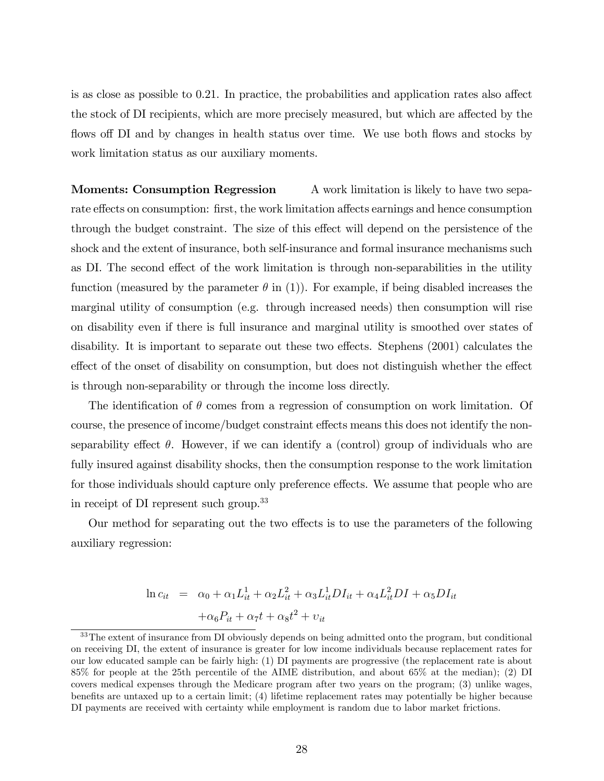is as close as possible to  $0.21$ . In practice, the probabilities and application rates also affect the stock of DI recipients, which are more precisely measured, but which are affected by the flows off DI and by changes in health status over time. We use both flows and stocks by work limitation status as our auxiliary moments.

**Moments: Consumption Regression** A work limitation is likely to have two separate effects on consumption: first, the work limitation affects earnings and hence consumption through the budget constraint. The size of this effect will depend on the persistence of the shock and the extent of insurance, both self-insurance and formal insurance mechanisms such as DI. The second effect of the work limitation is through non-separabilities in the utility function (measured by the parameter  $\theta$  in (1)). For example, if being disabled increases the marginal utility of consumption (e.g. through increased needs) then consumption will rise on disability even if there is full insurance and marginal utility is smoothed over states of disability. It is important to separate out these two effects. Stephens (2001) calculates the effect of the onset of disability on consumption, but does not distinguish whether the effect is through non-separability or through the income loss directly.

The identification of  $\theta$  comes from a regression of consumption on work limitation. Of course, the presence of income/budget constraint effects means this does not identify the nonseparability effect  $\theta$ . However, if we can identify a (control) group of individuals who are fully insured against disability shocks, then the consumption response to the work limitation for those individuals should capture only preference effects. We assume that people who are in receipt of DI represent such group.<sup>33</sup>

Our method for separating out the two effects is to use the parameters of the following auxiliary regression:

$$
\ln c_{it} = \alpha_0 + \alpha_1 L_{it}^1 + \alpha_2 L_{it}^2 + \alpha_3 L_{it}^1 DI_{it} + \alpha_4 L_{it}^2 DI + \alpha_5 DI_{it}
$$

$$
+ \alpha_6 P_{it} + \alpha_7 t + \alpha_8 t^2 + v_{it}
$$

<sup>&</sup>lt;sup>33</sup>The extent of insurance from DI obviously depends on being admitted onto the program, but conditional on receiving DI, the extent of insurance is greater for low income individuals because replacement rates for our low educated sample can be fairly high: (1) DI payments are progressive (the replacement rate is about 85% for people at the 25th percentile of the AIME distribution, and about 65% at the median); (2) DI covers medical expenses through the Medicare program after two years on the program; (3) unlike wages, benefits are untaxed up to a certain limit; (4) lifetime replacement rates may potentially be higher because DI payments are received with certainty while employment is random due to labor market frictions.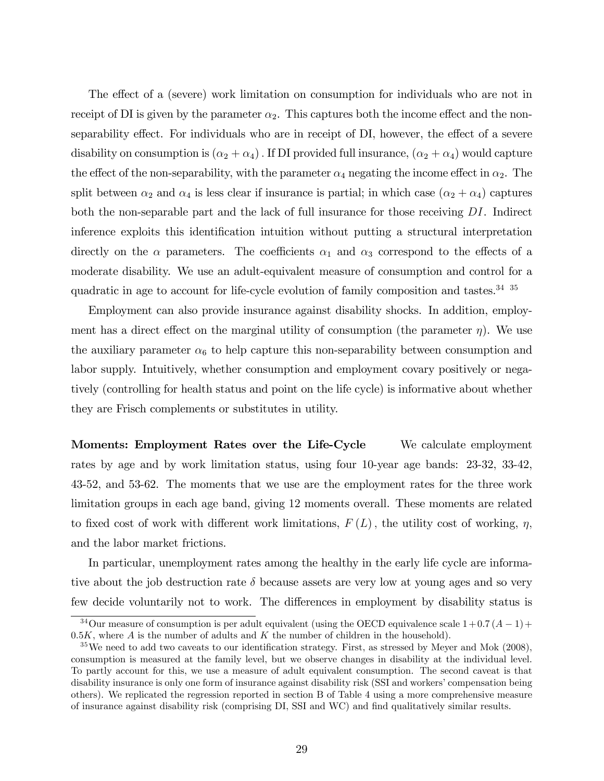The effect of a (severe) work limitation on consumption for individuals who are not in receipt of DI is given by the parameter  $\alpha_2$ . This captures both the income effect and the nonseparability effect. For individuals who are in receipt of DI, however, the effect of a severe disability on consumption is  $(\alpha_2 + \alpha_4)$ . If DI provided full insurance,  $(\alpha_2 + \alpha_4)$  would capture the effect of the non-separability, with the parameter  $\alpha_4$  negating the income effect in  $\alpha_2$ . The split between  $\alpha_2$  and  $\alpha_4$  is less clear if insurance is partial; in which case  $(\alpha_2 + \alpha_4)$  captures both the non-separable part and the lack of full insurance for those receiving DI. Indirect inference exploits this identification intuition without putting a structural interpretation directly on the  $\alpha$  parameters. The coefficients  $\alpha_1$  and  $\alpha_3$  correspond to the effects of a moderate disability. We use an adult-equivalent measure of consumption and control for a quadratic in age to account for life-cycle evolution of family composition and tastes.<sup>34</sup> <sup>35</sup>

Employment can also provide insurance against disability shocks. In addition, employment has a direct effect on the marginal utility of consumption (the parameter  $\eta$ ). We use the auxiliary parameter  $\alpha_6$  to help capture this non-separability between consumption and labor supply. Intuitively, whether consumption and employment covary positively or negatively (controlling for health status and point on the life cycle) is informative about whether they are Frisch complements or substitutes in utility.

Moments: Employment Rates over the Life-Cycle We calculate employment rates by age and by work limitation status, using four 10-year age bands: 23-32, 33-42, 43-52, and 53-62. The moments that we use are the employment rates for the three work limitation groups in each age band, giving 12 moments overall. These moments are related to fixed cost of work with different work limitations,  $F(L)$ , the utility cost of working,  $\eta$ , and the labor market frictions.

In particular, unemployment rates among the healthy in the early life cycle are informative about the job destruction rate  $\delta$  because assets are very low at young ages and so very few decide voluntarily not to work. The differences in employment by disability status is

<sup>&</sup>lt;sup>34</sup>Our measure of consumption is per adult equivalent (using the OECD equivalence scale  $1+0.7(A-1)+$  $0.5K$ , where  $A$  is the number of adults and  $K$  the number of children in the household).

 $35\,\text{We need to add two caveats to our identification strategy. First, as stressed by Meyer and Mok (2008),$ consumption is measured at the family level, but we observe changes in disability at the individual level. To partly account for this, we use a measure of adult equivalent consumption. The second caveat is that disability insurance is only one form of insurance against disability risk (SSI and workers' compensation being others). We replicated the regression reported in section B of Table 4 using a more comprehensive measure of insurance against disability risk (comprising DI, SSI and WC) and Önd qualitatively similar results.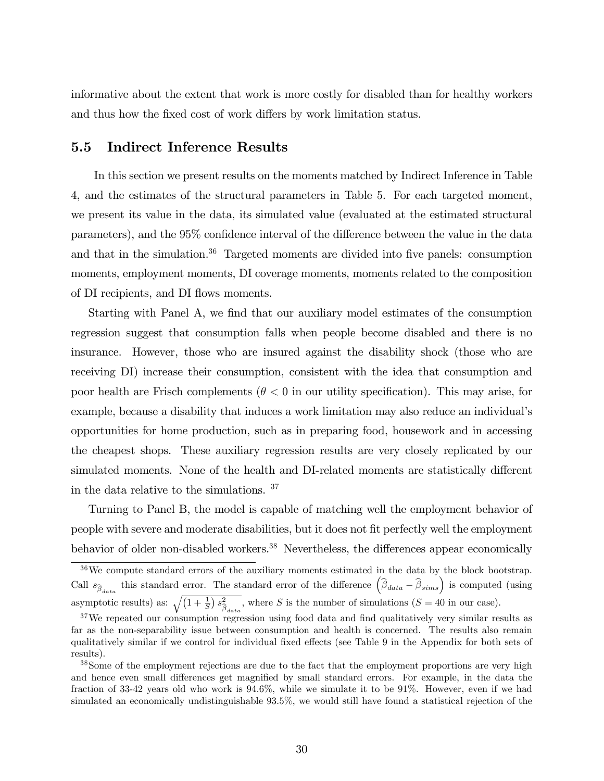informative about the extent that work is more costly for disabled than for healthy workers and thus how the fixed cost of work differs by work limitation status.

### 5.5 Indirect Inference Results

In this section we present results on the moments matched by Indirect Inference in Table 4, and the estimates of the structural parameters in Table 5. For each targeted moment, we present its value in the data, its simulated value (evaluated at the estimated structural parameters), and the  $95\%$  confidence interval of the difference between the value in the data and that in the simulation. $36$  Targeted moments are divided into five panels: consumption moments, employment moments, DI coverage moments, moments related to the composition of DI recipients, and DI flows moments.

Starting with Panel A, we find that our auxiliary model estimates of the consumption regression suggest that consumption falls when people become disabled and there is no insurance. However, those who are insured against the disability shock (those who are receiving DI) increase their consumption, consistent with the idea that consumption and poor health are Frisch complements ( $\theta < 0$  in our utility specification). This may arise, for example, because a disability that induces a work limitation may also reduce an individualís opportunities for home production, such as in preparing food, housework and in accessing the cheapest shops. These auxiliary regression results are very closely replicated by our simulated moments. None of the health and DI-related moments are statistically different in the data relative to the simulations. <sup>37</sup>

Turning to Panel B, the model is capable of matching well the employment behavior of people with severe and moderate disabilities, but it does not fit perfectly well the employment behavior of older non-disabled workers.<sup>38</sup> Nevertheless, the differences appear economically

<sup>&</sup>lt;sup>36</sup>We compute standard errors of the auxiliary moments estimated in the data by the block bootstrap. Call  $s_{\hat{\beta}_{data}}$  this standard error. The standard error of the difference  $(\hat{\beta}_{data} - \hat{\beta}_{sims})$  is computed (using asymptotic results) as:  $\sqrt{\left(1+\frac{1}{S}\right)s_{\widehat{\beta}}^2}$  $\hat{\beta}_{data}^2$ , where S is the number of simulations (S = 40 in our case).

 $37$ We repeated our consumption regression using food data and find qualitatively very similar results as far as the non-separability issue between consumption and health is concerned. The results also remain qualitatively similar if we control for individual fixed effects (see Table 9 in the Appendix for both sets of results).

<sup>&</sup>lt;sup>38</sup>Some of the employment rejections are due to the fact that the employment proportions are very high and hence even small differences get magnified by small standard errors. For example, in the data the fraction of 33-42 years old who work is 94.6%, while we simulate it to be 91%. However, even if we had simulated an economically undistinguishable 93.5%, we would still have found a statistical rejection of the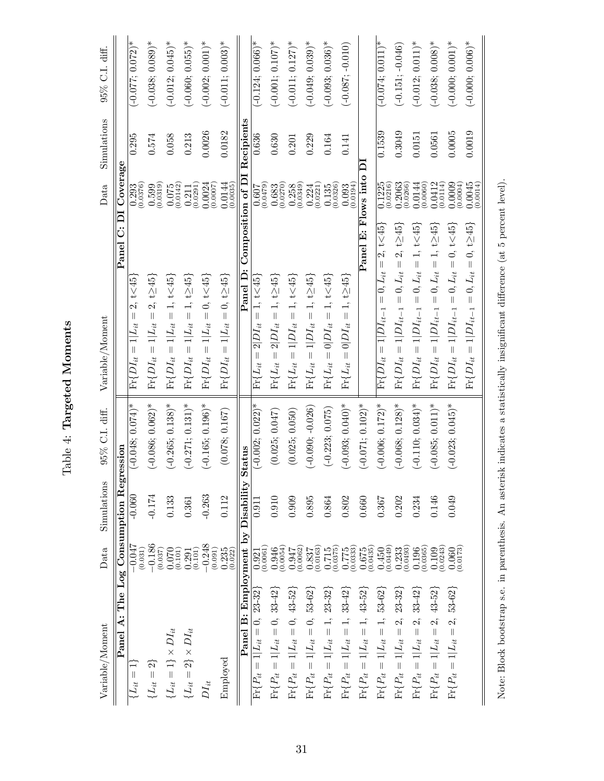| i<br>Civi                       |
|---------------------------------|
| י המיד<br>٦<br>r<br>C<br>j<br>F |
|                                 |
| n<br>Gbl                        |

| $\rm{Variable/Moment}$                                                                      | Data                                           | Simulations          | 95% C.I. diff.      | $\text{Variable/Moment}$                                                                                                                                                                                                                                                                                                                                                                                          | Data                   | Simulations             | 95% C.I. diff.      |
|---------------------------------------------------------------------------------------------|------------------------------------------------|----------------------|---------------------|-------------------------------------------------------------------------------------------------------------------------------------------------------------------------------------------------------------------------------------------------------------------------------------------------------------------------------------------------------------------------------------------------------------------|------------------------|-------------------------|---------------------|
| The<br>$\ddot{\mathbf{A}}$<br>Panel                                                         | $_{\rm Log}$                                   | Regre<br>Consumption | noisse              | $\overline{\mathbf{D}}$<br>ö<br>Panel                                                                                                                                                                                                                                                                                                                                                                             | Coverage               |                         |                     |
| $\mid \mid$<br>$\{L_{it}$                                                                   | $-0.047$<br>(0.031)                            | $-0.060$             | $(-0.048; 0.074)^*$ | t < 45<br>2.<br>$\begin{array}{c} \hline \end{array}$<br>$1 L_{it}$<br>$\Pr\{DI_{it} =$                                                                                                                                                                                                                                                                                                                           | (0.0376)<br>0.293      | 0.295                   | $(-0.077; 0.072)*$  |
| $\{L_{it}=2\}$                                                                              | $-0.186$<br>(0.037)                            | $-0.174$             | $(-0.086, 0.062)^*$ | $= 2, t \ge 45$<br>$\Pr\{DI_{it}=1 L_{it}$                                                                                                                                                                                                                                                                                                                                                                        | $(0.599$<br>$(0.0319)$ | 0.574                   | $(-0.038; 0.089)$ * |
| $\{L_{it}=1\}\times DI_{it}$                                                                | 0.070<br>(0.101)                               | 0.133                | $(-0.265; 0.138)$ * | $\Pr\{DI_{it}=1 L_{it}=1, \, t\hspace{-0.1cm}<\hspace{-0.1cm}45\}$                                                                                                                                                                                                                                                                                                                                                | (0.0142)<br>0.075      | 0.058                   | $(-0.012; 0.045)$ * |
| $\{L_{it}=2\}\times DI_{it}$                                                                | (0.101)<br>0.291                               | 0.361                | $(-0.271; 0.131)^*$ | $\Pr\{DI_{it}=1 L_{it}=1, \, t{\ge}45\}$                                                                                                                                                                                                                                                                                                                                                                          | (0.0291)<br>0.211      | 0.213                   | $(-0.060; 0.055)^*$ |
| $DI_{it}$                                                                                   | $-0.248$<br>(0.091)                            | $-0.263$             | $(-0.165, 0.196)$ * | $\Pr\{DI_{it}=1 L_{it}=0,\, t\hspace{-0.1cm}<\hspace{-0.1cm}45\}$                                                                                                                                                                                                                                                                                                                                                 | 0.0024<br>(0.0007)     | 0.0026                  | $(-0.002, 0.001)^*$ |
| Employed                                                                                    | $0.235$<br>$(0.022)$                           | 0.112                | (0.078; 0.167)      | $\Pr\{DI_{it}=1 L_{it}=0,\,$ t $\geq$ 45}                                                                                                                                                                                                                                                                                                                                                                         | $0.0144$<br>$(0.0035)$ | 0.0182                  | $(-0.011; 0.003)$ * |
| <b>B:</b> Employment<br>Panel                                                               |                                                | by Disability Status |                     | Composition of DI<br>Panel D:                                                                                                                                                                                                                                                                                                                                                                                     |                        | Recipient               |                     |
| $23 - 32$<br>$\frac{1}{\sqrt{2}}$<br>$1 Li_{it}$<br>$\mid \mid$<br>$\overline{\Pr}\{P_{it}$ | (0.0061)<br>0.921                              | 0.91                 | $(-0.002; 0.022)^*$ | $= 1, t < 45$<br>$2 DI_{it}$<br>$\vert\vert$<br>$\Pr\{L_{it}$                                                                                                                                                                                                                                                                                                                                                     | (6740.0)<br>0.607      | 0.636                   | $(-0.124; 0.066)*$  |
| $\Pr\{P_{it}=1 L_{it}=0,~~33\text{-}42\}$                                                   | $0.946$<br>$(0.0054)$                          | 0.910                | (0.025; 0.047)      | $\Pr\{L_{it}=2 DI_{it}=1,\,$ t $\geq$ 45}                                                                                                                                                                                                                                                                                                                                                                         | (0.0270)<br>0.683      | 0.630                   | $(-0.001; 0.107)$ * |
| $\Pr\{P_{it}=1 L_{it}=0, 43\text{-}52\}$                                                    | $\begin{array}{c} 0.947 \\ 0.0062 \end{array}$ | 0.909                | (0.025; 0.050)      | $\Pr\{L_{it}=1 DI_{it}=1,\, {\rm t<45}\}$                                                                                                                                                                                                                                                                                                                                                                         | (0.0349)<br>0.258      | 0.201                   | $(-0.011; 0.127)$ * |
| $\Pr\{P_{it}=1 L_{it}=0,~53\text{-}62\}$                                                    | (0.0163)<br>0.837                              | 0.895                | $(-0.090; -0.026)$  | $\Pr\{L_{it}=1 DI_{it}=1,\, t{\ge}45\}$                                                                                                                                                                                                                                                                                                                                                                           | (0.0221)<br>0.224      | 0.229                   | $(-0.049; 0.039)^*$ |
| $\Pr \{ P_{it} = 1   L_{it} = 1, 23\text{-}32 \}$                                           | (0.0375)<br>0.715                              | 0.864                | $(-0.223; 0.075)$   | $\Pr\{L_{it}=0 DI_{it}=1,\, {\rm t<45}\}$                                                                                                                                                                                                                                                                                                                                                                         | (0.0326)<br>0.135      | 0.164                   | $(-0.093; 0.036)$ * |
| $\Pr\{P_{it}=1 L_{it}=1,~~33\text{-}42\}$                                                   | $\underset{\left( 0.0333\right) }{0.775}$      | 0.802                | $(-0.093; 0.040)^*$ | $\Pr\{L_{it}=0 DI_{it}=1,\,\mathrm{t}\geq 45\}$                                                                                                                                                                                                                                                                                                                                                                   | (0.093)                | 0.141                   | $(-0.087; -0.010)$  |
| $\Pr\{P_{it} = 1   L_{it} = 1, 43.52\}$                                                     | (0.0435)<br>0.675                              | 0.660                | $(-0.071; 0.102)^*$ | Panel                                                                                                                                                                                                                                                                                                                                                                                                             | E: Flows into          | $\overline{\mathsf{D}}$ |                     |
| $\Pr\{P_{it}=1 L_{it}=1,~~53\text{-}62\}$                                                   | (0.0449)<br>0.450                              | 0.367                | $(-0.006; 0.172)*$  | 2, t < 45<br>$\left  {}\right $<br>$= 0, Li$<br>$\Pr\{DI_{it}=1 DI_{it-1}\}$                                                                                                                                                                                                                                                                                                                                      | 0.1225<br>(0.0216)     | 0.1539                  | $(-0.074; 0.011)*$  |
| $23-32$<br>$\Pr\{P_{it} = 1   L_{it} = 2,$                                                  | $0.233$<br>$(0.0493)$                          | 0.202                | $(-0.068; 0.128)$ * | $2, t \geq 45$<br>$=0,L_{it}=% {\textstyle\sum\nolimits_{i}} e_{i}e_{j}^{\dag}\sum_{i}e_{ij}e_{j}^{\dag}e_{j}^{\dag}e_{j}^{\dag}e_{j}^{\dag}e_{j}^{\dag}e_{j}^{\dag}e_{j}^{\dag}e_{j}^{\dag}e_{j}^{\dag}e_{j}^{\dag}e_{j}^{\dag}e_{j}^{\dag}e_{j}^{\dag}e_{j}^{\dag}e_{j}^{\dag}e_{j}^{\dag}e_{j}^{\dag}e_{j}^{\dag}e_{j}^{\dag}e_{j}^{\dag}e_{j}^{\dag}e_{j}^{\dag}e_{j}^{\$<br>$\Pr\{DI_{it} = 1   DI_{it-1}\}$ | 0.2063<br>(0.0266)     | 0.3049                  | $(-0.151; -0.046)$  |
| $33 - 42$<br>$1 L_{it} = 2,$<br>$\Pr\{P_{it} =$                                             | $\begin{array}{c} 0.196 \\ 0.0365 \end{array}$ | 0.234                | $(-0.110; 0.034)^*$ | $0, L_{it} = 1, t < 45$<br>$\vert\vert$<br>$\Pr\{DI_{it} = 1 DI_{it-1}\}$                                                                                                                                                                                                                                                                                                                                         | $0.0144$<br>$(0.0060)$ | 0.0151                  | $(-0.012; 0.011)^*$ |
| $1 L_{it} = 2, 43.52\}$<br>$\Pr\{P_{it} =$                                                  | (0.0243)<br>0.109                              | 0.146                | $(-0.085; 0.011)^*$ | $= 0, L_{it} = 1, t \geq 45$<br>$\Pr\{DI_{it} = 1 DI_{it-1}\}$                                                                                                                                                                                                                                                                                                                                                    | 0.0412<br>(0.0114)     | 0.0561                  | $(-0.038; 0.008)$ * |
| $1 L_{it} = 2, 53-62 $<br>$\Pr\{P_{it} =$                                                   | 0.0173<br>0.060                                | 0.049                | $(-0.023; 0.045)$ * | $= 0, L_{it} = 0, t < 45$<br>$\Pr\{DI_{it} = 1 DI_{it-1}\}$                                                                                                                                                                                                                                                                                                                                                       | 0.0009<br>(0.0004)     | 0.0005                  | $(-0.000; 0.001)^*$ |
|                                                                                             |                                                |                      |                     | $0, t \geq 45$<br>$\vert\vert$<br>$0, L_{it}$<br>$\vert\vert$<br>$\Pr\{DI_{it}=1 DI_{it-1}$                                                                                                                                                                                                                                                                                                                       | $0.0045$<br>$(0.0014)$ | 0.0019                  | $(-0.000; 0.006)^*$ |

Note: Block bootstrap s.e. in parenthesis. An asterisk indicates a statistically insignificant difference (at 5 percent level). Note: Block bootstrap s.e. in parenthesis. An asterisk indicates a statistically insignificant difference (at 5 percent level).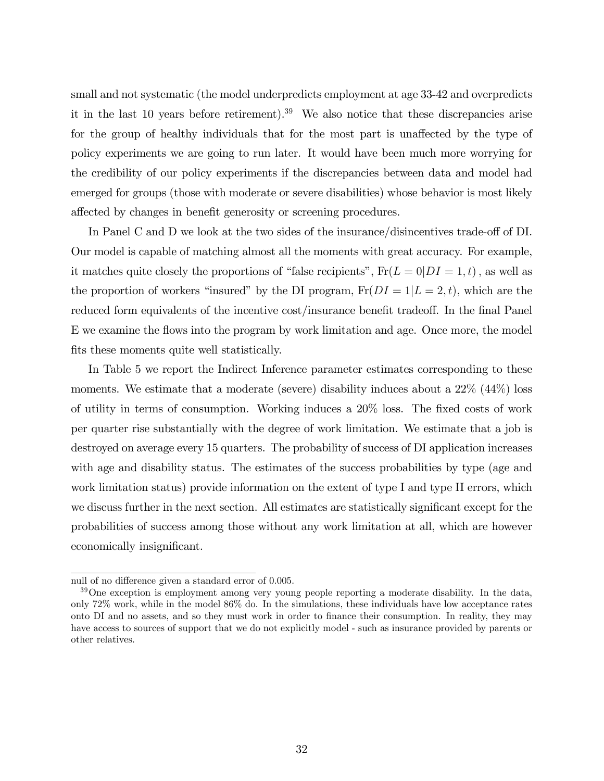small and not systematic (the model underpredicts employment at age 33-42 and overpredicts it in the last 10 years before retirement).<sup>39</sup> We also notice that these discrepancies arise for the group of healthy individuals that for the most part is unaffected by the type of policy experiments we are going to run later. It would have been much more worrying for the credibility of our policy experiments if the discrepancies between data and model had emerged for groups (those with moderate or severe disabilities) whose behavior is most likely affected by changes in benefit generosity or screening procedures.

In Panel C and D we look at the two sides of the insurance/disincentives trade-off of DI. Our model is capable of matching almost all the moments with great accuracy. For example, it matches quite closely the proportions of "false recipients",  $Fr(L = 0|DI = 1, t)$ , as well as the proportion of workers "insured" by the DI program,  $Fr(DI = 1|L = 2, t)$ , which are the reduced form equivalents of the incentive cost/insurance benefit tradeoff. In the final Panel E we examine the flows into the program by work limitation and age. Once more, the model fits these moments quite well statistically.

In Table 5 we report the Indirect Inference parameter estimates corresponding to these moments. We estimate that a moderate (severe) disability induces about a  $22\%$   $(44\%)$  loss of utility in terms of consumption. Working induces a  $20\%$  loss. The fixed costs of work per quarter rise substantially with the degree of work limitation. We estimate that a job is destroyed on average every 15 quarters. The probability of success of DI application increases with age and disability status. The estimates of the success probabilities by type (age and work limitation status) provide information on the extent of type I and type II errors, which we discuss further in the next section. All estimates are statistically significant except for the probabilities of success among those without any work limitation at all, which are however economically insignificant.

null of no difference given a standard error of 0.005.

<sup>&</sup>lt;sup>39</sup>One exception is employment among very young people reporting a moderate disability. In the data, only 72% work, while in the model 86% do. In the simulations, these individuals have low acceptance rates onto DI and no assets, and so they must work in order to Önance their consumption. In reality, they may have access to sources of support that we do not explicitly model - such as insurance provided by parents or other relatives.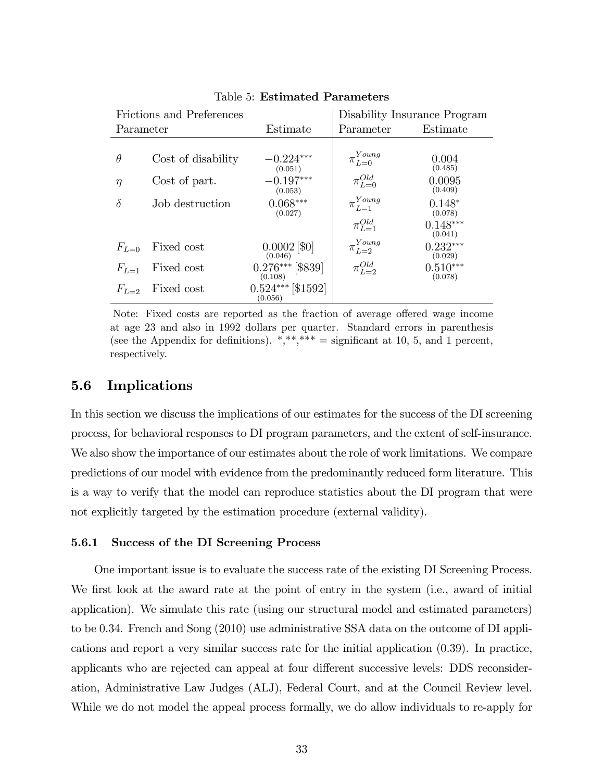| Frictions and Preferences |                    |                                | Disability Insurance Program |                       |
|---------------------------|--------------------|--------------------------------|------------------------------|-----------------------|
| Estimate<br>Parameter     |                    | Parameter                      | Estimate                     |                       |
|                           |                    |                                |                              |                       |
| $\theta$                  | Cost of disability | $-0.224***$<br>(0.051)         | $\_Young$<br>$\pi_{L=0}$     | 0.004<br>(0.485)      |
| $\eta$                    | Cost of part.      | $-0.197***$<br>(0.053)         | $\pi_{L=0}^{Old}$            | 0.0095<br>(0.409)     |
| $\delta$                  | Job destruction    | $0.068***$<br>(0.027)          | $\pi_{L=1}^{Young}$          | $0.148*$<br>(0.078)   |
|                           |                    |                                | $\pi_{L=1}^{Old}$            | $0.148***$<br>(0.041) |
| $F_{L=0}$                 | Fixed cost         | $0.0002$ [\$0]<br>(0.046)      | $\pi_{L=2}^{Young}$          | $0.232***$<br>(0.029) |
| $F_{L=1}$                 | Fixed cost         | $0.276***$ [\$839]<br>(0.108)  | $\pi_{L=2}^{Old}$            | $0.510***$<br>(0.078) |
| $F_{L-2}$                 | Fixed cost         | $0.524***$ [\$1592]<br>(0.056) |                              |                       |

Table 5: Estimated Parameters

Note: Fixed costs are reported as the fraction of average offered wage income at age 23 and also in 1992 dollars per quarter. Standard errors in parenthesis (see the Appendix for definitions).  $*,**** =$  significant at 10, 5, and 1 percent, respectively.

### 5.6 Implications

In this section we discuss the implications of our estimates for the success of the DI screening process, for behavioral responses to DI program parameters, and the extent of self-insurance. We also show the importance of our estimates about the role of work limitations. We compare predictions of our model with evidence from the predominantly reduced form literature. This is a way to verify that the model can reproduce statistics about the DI program that were not explicitly targeted by the estimation procedure (external validity).

#### 5.6.1 Success of the DI Screening Process

One important issue is to evaluate the success rate of the existing DI Screening Process. We first look at the award rate at the point of entry in the system (i.e., award of initial application). We simulate this rate (using our structural model and estimated parameters) to be 0.34. French and Song (2010) use administrative SSA data on the outcome of DI applications and report a very similar success rate for the initial application (0.39). In practice, applicants who are rejected can appeal at four different successive levels: DDS reconsideration, Administrative Law Judges (ALJ), Federal Court, and at the Council Review level. While we do not model the appeal process formally, we do allow individuals to re-apply for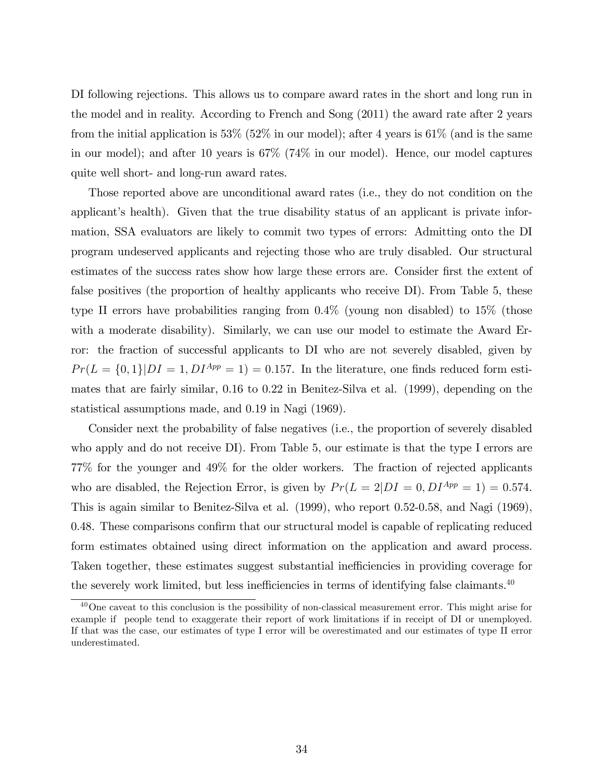DI following rejections. This allows us to compare award rates in the short and long run in the model and in reality. According to French and Song (2011) the award rate after 2 years from the initial application is  $53\%$  (52% in our model); after 4 years is  $61\%$  (and is the same in our model); and after 10 years is 67% (74% in our model). Hence, our model captures quite well short- and long-run award rates.

Those reported above are unconditional award rates (i.e., they do not condition on the applicant's health). Given that the true disability status of an applicant is private information, SSA evaluators are likely to commit two types of errors: Admitting onto the DI program undeserved applicants and rejecting those who are truly disabled. Our structural estimates of the success rates show how large these errors are. Consider first the extent of false positives (the proportion of healthy applicants who receive DI). From Table 5, these type II errors have probabilities ranging from 0.4% (young non disabled) to 15% (those with a moderate disability). Similarly, we can use our model to estimate the Award Error: the fraction of successful applicants to DI who are not severely disabled, given by  $Pr(L = \{0, 1\}|DI = 1, DI^{App} = 1) = 0.157$ . In the literature, one finds reduced form estimates that are fairly similar, 0.16 to 0.22 in Benitez-Silva et al. (1999), depending on the statistical assumptions made, and 0.19 in Nagi (1969).

Consider next the probability of false negatives (i.e., the proportion of severely disabled who apply and do not receive DI). From Table 5, our estimate is that the type I errors are 77% for the younger and 49% for the older workers. The fraction of rejected applicants who are disabled, the Rejection Error, is given by  $Pr(L = 2|DI = 0, DI^{App} = 1) = 0.574$ . This is again similar to Benitez-Silva et al. (1999), who report 0.52-0.58, and Nagi (1969), 0.48. These comparisons confirm that our structural model is capable of replicating reduced form estimates obtained using direct information on the application and award process. Taken together, these estimates suggest substantial inefficiencies in providing coverage for the severely work limited, but less inefficiencies in terms of identifying false claimants. $40$ 

<sup>&</sup>lt;sup>40</sup>One caveat to this conclusion is the possibility of non-classical measurement error. This might arise for example if people tend to exaggerate their report of work limitations if in receipt of DI or unemployed. If that was the case, our estimates of type I error will be overestimated and our estimates of type II error underestimated.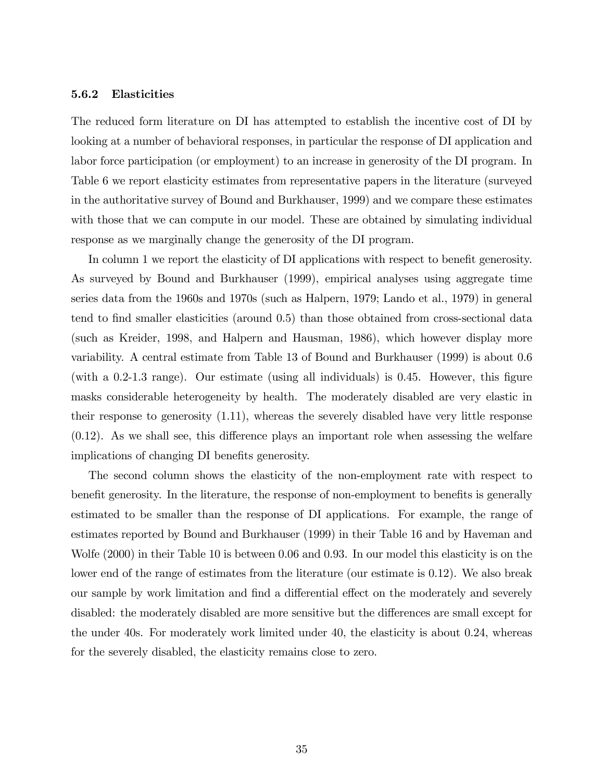#### 5.6.2 Elasticities

The reduced form literature on DI has attempted to establish the incentive cost of DI by looking at a number of behavioral responses, in particular the response of DI application and labor force participation (or employment) to an increase in generosity of the DI program. In Table 6 we report elasticity estimates from representative papers in the literature (surveyed in the authoritative survey of Bound and Burkhauser, 1999) and we compare these estimates with those that we can compute in our model. These are obtained by simulating individual response as we marginally change the generosity of the DI program.

In column 1 we report the elasticity of DI applications with respect to benefit generosity. As surveyed by Bound and Burkhauser (1999), empirical analyses using aggregate time series data from the 1960s and 1970s (such as Halpern, 1979; Lando et al., 1979) in general tend to find smaller elasticities (around 0.5) than those obtained from cross-sectional data (such as Kreider, 1998, and Halpern and Hausman, 1986), which however display more variability. A central estimate from Table 13 of Bound and Burkhauser (1999) is about 0.6 (with a  $0.2$ -1.3 range). Our estimate (using all individuals) is 0.45. However, this figure masks considerable heterogeneity by health. The moderately disabled are very elastic in their response to generosity (1.11), whereas the severely disabled have very little response  $(0.12)$ . As we shall see, this difference plays an important role when assessing the welfare implications of changing DI benefits generosity.

The second column shows the elasticity of the non-employment rate with respect to benefit generosity. In the literature, the response of non-employment to benefits is generally estimated to be smaller than the response of DI applications. For example, the range of estimates reported by Bound and Burkhauser (1999) in their Table 16 and by Haveman and Wolfe (2000) in their Table 10 is between 0.06 and 0.93. In our model this elasticity is on the lower end of the range of estimates from the literature (our estimate is 0.12). We also break our sample by work limitation and find a differential effect on the moderately and severely disabled: the moderately disabled are more sensitive but the differences are small except for the under 40s. For moderately work limited under 40, the elasticity is about 0.24, whereas for the severely disabled, the elasticity remains close to zero.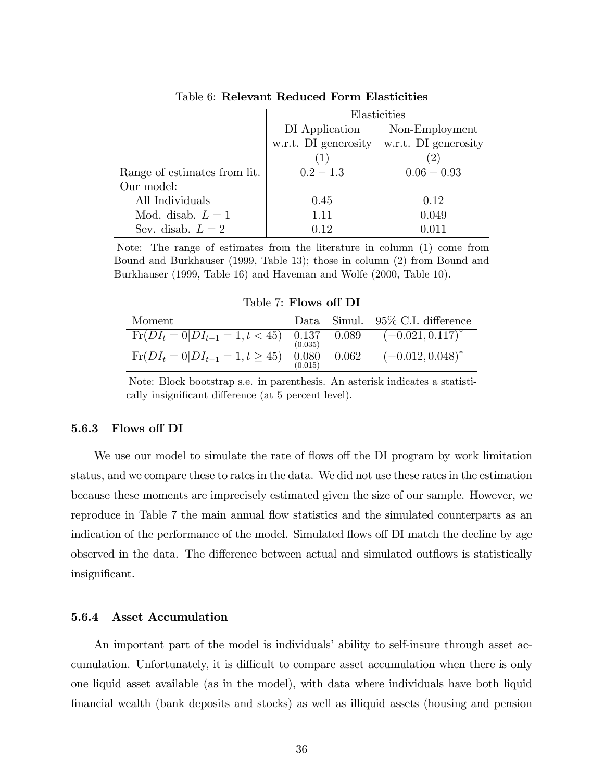|                              | Elasticities                              |                               |  |
|------------------------------|-------------------------------------------|-------------------------------|--|
|                              |                                           | DI Application Non-Employment |  |
|                              | w.r.t. DI generosity w.r.t. DI generosity |                               |  |
|                              |                                           |                               |  |
| Range of estimates from lit. | $0.2 - 1.3$                               | $0.06 - 0.93$                 |  |
| Our model:                   |                                           |                               |  |
| All Individuals              | 0.45                                      | 0.12                          |  |
| Mod. disab. $L=1$            | 1.11                                      | 0.049                         |  |
| Sev. disab. $L=2$            | 0.12                                      | 0.011                         |  |

### Table 6: Relevant Reduced Form Elasticities

Note: The range of estimates from the literature in column (1) come from Bound and Burkhauser (1999, Table 13); those in column (2) from Bound and Burkhauser (1999, Table 16) and Haveman and Wolfe (2000, Table 10).

Table 7: Flows off DI

| Moment                                                                                                                                                                                                 |  | Data Simul. 95% C.I. difference |
|--------------------------------------------------------------------------------------------------------------------------------------------------------------------------------------------------------|--|---------------------------------|
|                                                                                                                                                                                                        |  | $(-0.021, 0.117)^{*}$           |
| Fr( $DI_t = 0 DI_{t-1} = 1, t < 45$ ) $\begin{array}{cc} 0.137 & 0.089 \\ (0.035) & (0.035) \\ \text{Fr}(DI_t = 0 DI_{t-1} = 1, t \geq 45) & 0.080 & 0.062 \\ (0.015) & (0.015) & (0.015) \end{array}$ |  | $(-0.012, 0.048)^{*}$           |

Note: Block bootstrap s.e. in parenthesis. An asterisk indicates a statistically insignificant difference (at 5 percent level).

#### 5.6.3 Flows off DI

We use our model to simulate the rate of flows off the DI program by work limitation status, and we compare these to rates in the data. We did not use these rates in the estimation because these moments are imprecisely estimated given the size of our sample. However, we reproduce in Table 7 the main annual flow statistics and the simulated counterparts as an indication of the performance of the model. Simulated flows of DI match the decline by age observed in the data. The difference between actual and simulated outflows is statistically insignificant.

### 5.6.4 Asset Accumulation

An important part of the model is individuals' ability to self-insure through asset accumulation. Unfortunately, it is difficult to compare asset accumulation when there is only one liquid asset available (as in the model), with data where individuals have both liquid Önancial wealth (bank deposits and stocks) as well as illiquid assets (housing and pension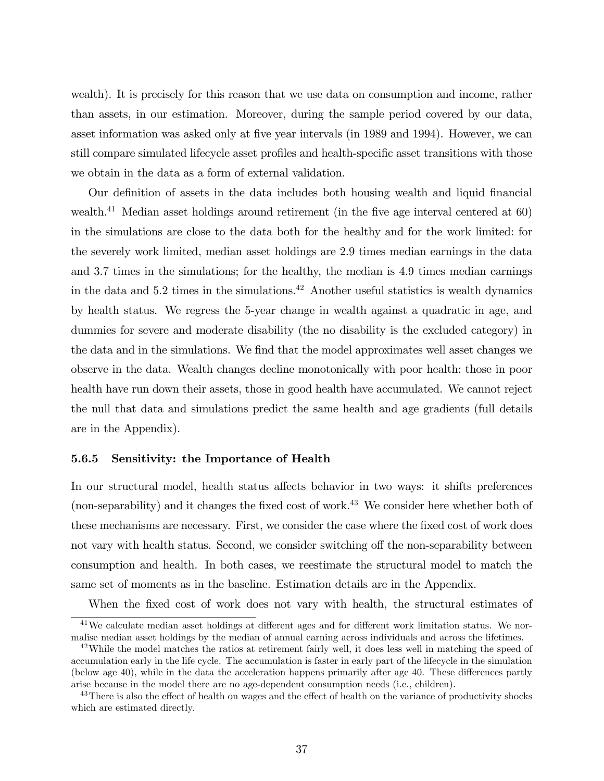wealth). It is precisely for this reason that we use data on consumption and income, rather than assets, in our estimation. Moreover, during the sample period covered by our data, asset information was asked only at five year intervals (in 1989 and 1994). However, we can still compare simulated lifecycle asset profiles and health-specific asset transitions with those we obtain in the data as a form of external validation.

Our definition of assets in the data includes both housing wealth and liquid financial wealth.<sup>41</sup> Median asset holdings around retirement (in the five age interval centered at  $60$ ) in the simulations are close to the data both for the healthy and for the work limited: for the severely work limited, median asset holdings are 2.9 times median earnings in the data and 3.7 times in the simulations; for the healthy, the median is 4.9 times median earnings in the data and 5.2 times in the simulations.<sup>42</sup> Another useful statistics is wealth dynamics by health status. We regress the 5-year change in wealth against a quadratic in age, and dummies for severe and moderate disability (the no disability is the excluded category) in the data and in the simulations. We find that the model approximates well asset changes we observe in the data. Wealth changes decline monotonically with poor health: those in poor health have run down their assets, those in good health have accumulated. We cannot reject the null that data and simulations predict the same health and age gradients (full details are in the Appendix).

### 5.6.5 Sensitivity: the Importance of Health

In our structural model, health status affects behavior in two ways: it shifts preferences (non-separability) and it changes the fixed cost of work.<sup>43</sup> We consider here whether both of these mechanisms are necessary. First, we consider the case where the fixed cost of work does not vary with health status. Second, we consider switching off the non-separability between consumption and health. In both cases, we reestimate the structural model to match the same set of moments as in the baseline. Estimation details are in the Appendix.

When the fixed cost of work does not vary with health, the structural estimates of

 $41$ We calculate median asset holdings at different ages and for different work limitation status. We normalise median asset holdings by the median of annual earning across individuals and across the lifetimes.

 $42$ While the model matches the ratios at retirement fairly well, it does less well in matching the speed of accumulation early in the life cycle. The accumulation is faster in early part of the lifecycle in the simulation (below age  $40$ ), while in the data the acceleration happens primarily after age  $40$ . These differences partly arise because in the model there are no age-dependent consumption needs (i.e., children).

<sup>&</sup>lt;sup>43</sup>There is also the effect of health on wages and the effect of health on the variance of productivity shocks which are estimated directly.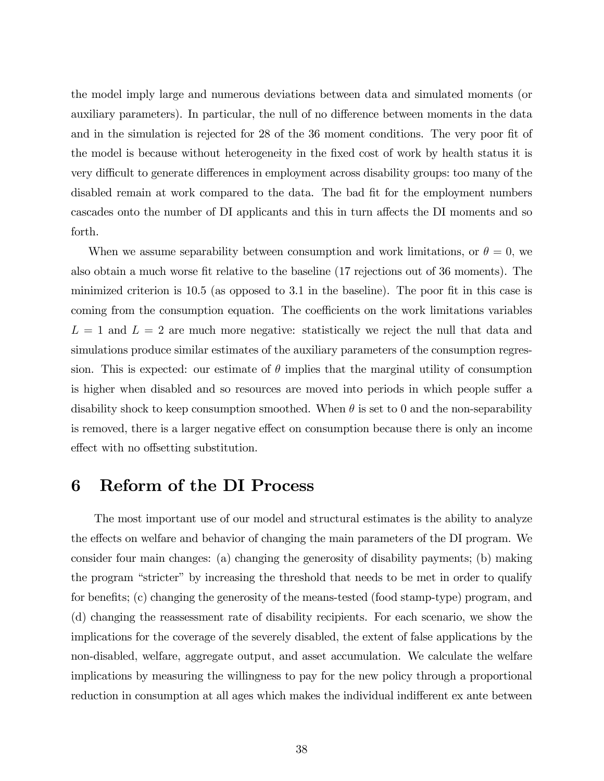the model imply large and numerous deviations between data and simulated moments (or auxiliary parameters). In particular, the null of no difference between moments in the data and in the simulation is rejected for 28 of the 36 moment conditions. The very poor fit of the model is because without heterogeneity in the Öxed cost of work by health status it is very difficult to generate differences in employment across disability groups: too many of the disabled remain at work compared to the data. The bad fit for the employment numbers cascades onto the number of DI applicants and this in turn affects the DI moments and so forth.

When we assume separability between consumption and work limitations, or  $\theta = 0$ , we also obtain a much worse fit relative to the baseline (17 rejections out of 36 moments). The minimized criterion is  $10.5$  (as opposed to  $3.1$  in the baseline). The poor fit in this case is coming from the consumption equation. The coefficients on the work limitations variables  $L = 1$  and  $L = 2$  are much more negative: statistically we reject the null that data and simulations produce similar estimates of the auxiliary parameters of the consumption regression. This is expected: our estimate of  $\theta$  implies that the marginal utility of consumption is higher when disabled and so resources are moved into periods in which people suffer a disability shock to keep consumption smoothed. When  $\theta$  is set to 0 and the non-separability is removed, there is a larger negative effect on consumption because there is only an income effect with no offsetting substitution.

# 6 Reform of the DI Process

The most important use of our model and structural estimates is the ability to analyze the effects on welfare and behavior of changing the main parameters of the DI program. We consider four main changes: (a) changing the generosity of disability payments; (b) making the program "stricter" by increasing the threshold that needs to be met in order to qualify for benefits; (c) changing the generosity of the means-tested (food stamp-type) program, and (d) changing the reassessment rate of disability recipients. For each scenario, we show the implications for the coverage of the severely disabled, the extent of false applications by the non-disabled, welfare, aggregate output, and asset accumulation. We calculate the welfare implications by measuring the willingness to pay for the new policy through a proportional reduction in consumption at all ages which makes the individual indifferent ex ante between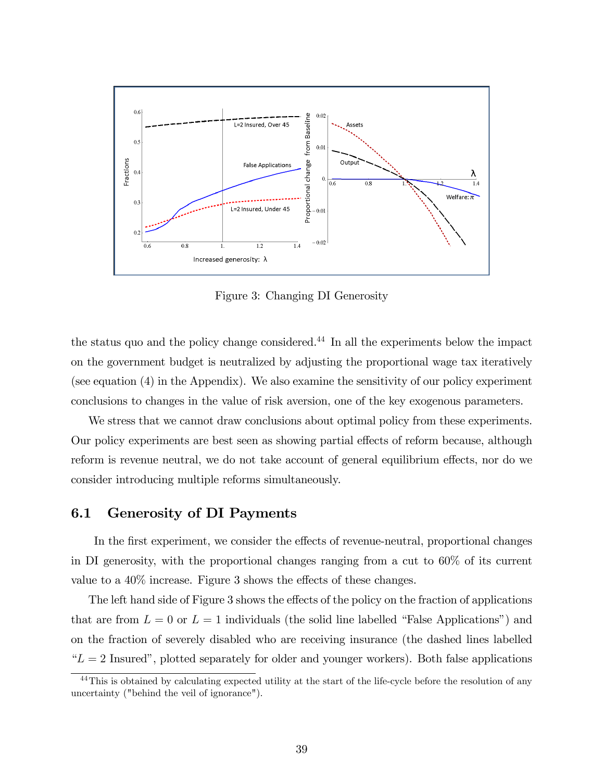

Figure 3: Changing DI Generosity

the status quo and the policy change considered.<sup>44</sup> In all the experiments below the impact on the government budget is neutralized by adjusting the proportional wage tax iteratively (see equation (4) in the Appendix). We also examine the sensitivity of our policy experiment conclusions to changes in the value of risk aversion, one of the key exogenous parameters.

We stress that we cannot draw conclusions about optimal policy from these experiments. Our policy experiments are best seen as showing partial effects of reform because, although reform is revenue neutral, we do not take account of general equilibrium effects, nor do we consider introducing multiple reforms simultaneously.

### 6.1 Generosity of DI Payments

In the first experiment, we consider the effects of revenue-neutral, proportional changes in DI generosity, with the proportional changes ranging from a cut to 60% of its current value to a  $40\%$  increase. Figure 3 shows the effects of these changes.

The left hand side of Figure 3 shows the effects of the policy on the fraction of applications that are from  $L = 0$  or  $L = 1$  individuals (the solid line labelled "False Applications") and on the fraction of severely disabled who are receiving insurance (the dashed lines labelled  $L = 2$  Insured", plotted separately for older and younger workers). Both false applications

<sup>&</sup>lt;sup>44</sup>This is obtained by calculating expected utility at the start of the life-cycle before the resolution of any uncertainty ("behind the veil of ignorance").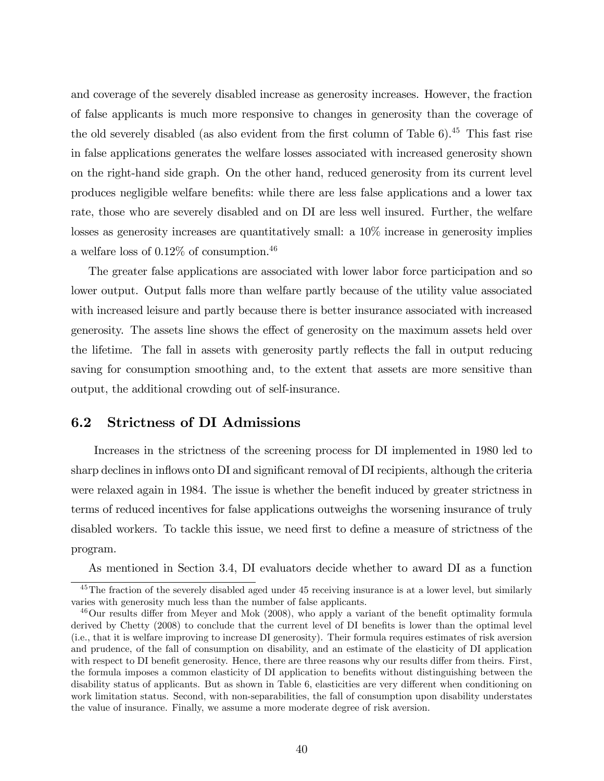and coverage of the severely disabled increase as generosity increases. However, the fraction of false applicants is much more responsive to changes in generosity than the coverage of the old severely disabled (as also evident from the first column of Table  $6$ ).<sup>45</sup> This fast rise in false applications generates the welfare losses associated with increased generosity shown on the right-hand side graph. On the other hand, reduced generosity from its current level produces negligible welfare beneÖts: while there are less false applications and a lower tax rate, those who are severely disabled and on DI are less well insured. Further, the welfare losses as generosity increases are quantitatively small: a  $10\%$  increase in generosity implies a welfare loss of 0.12% of consumption.<sup>46</sup>

The greater false applications are associated with lower labor force participation and so lower output. Output falls more than welfare partly because of the utility value associated with increased leisure and partly because there is better insurance associated with increased generosity. The assets line shows the effect of generosity on the maximum assets held over the lifetime. The fall in assets with generosity partly reflects the fall in output reducing saving for consumption smoothing and, to the extent that assets are more sensitive than output, the additional crowding out of self-insurance.

# 6.2 Strictness of DI Admissions

Increases in the strictness of the screening process for DI implemented in 1980 led to sharp declines in inflows onto DI and significant removal of DI recipients, although the criteria were relaxed again in 1984. The issue is whether the benefit induced by greater strictness in terms of reduced incentives for false applications outweighs the worsening insurance of truly disabled workers. To tackle this issue, we need first to define a measure of strictness of the program.

As mentioned in Section 3.4, DI evaluators decide whether to award DI as a function

<sup>&</sup>lt;sup>45</sup>The fraction of the severely disabled aged under 45 receiving insurance is at a lower level, but similarly varies with generosity much less than the number of false applicants.

 $46$ Our results differ from Meyer and Mok (2008), who apply a variant of the benefit optimality formula derived by Chetty (2008) to conclude that the current level of DI benefits is lower than the optimal level (i.e., that it is welfare improving to increase DI generosity). Their formula requires estimates of risk aversion and prudence, of the fall of consumption on disability, and an estimate of the elasticity of DI application with respect to DI benefit generosity. Hence, there are three reasons why our results differ from theirs. First, the formula imposes a common elasticity of DI application to benefits without distinguishing between the disability status of applicants. But as shown in Table 6, elasticities are very different when conditioning on work limitation status. Second, with non-separabilities, the fall of consumption upon disability understates the value of insurance. Finally, we assume a more moderate degree of risk aversion.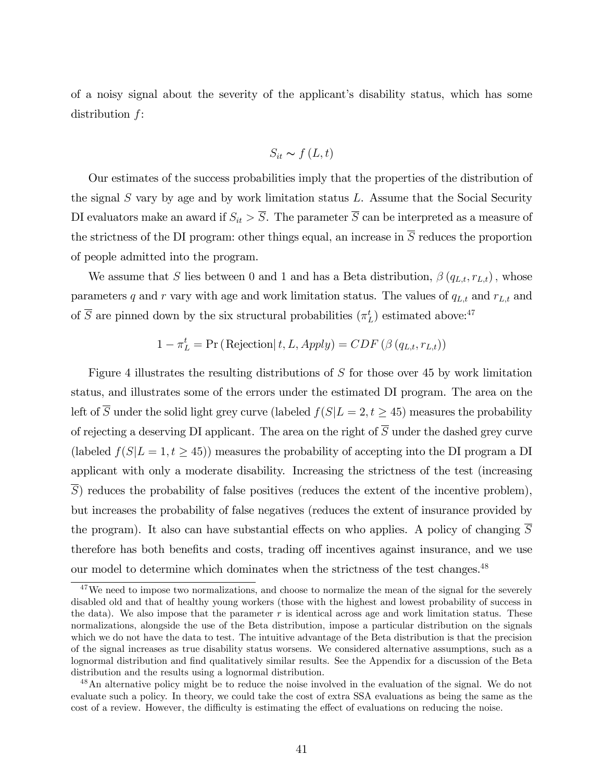of a noisy signal about the severity of the applicant's disability status, which has some distribution f:

$$
S_{it} \sim f\left(L, t\right)
$$

Our estimates of the success probabilities imply that the properties of the distribution of the signal  $S$  vary by age and by work limitation status  $L$ . Assume that the Social Security DI evaluators make an award if  $S_{it} > \overline{S}$ . The parameter  $\overline{S}$  can be interpreted as a measure of the strictness of the DI program: other things equal, an increase in  $\overline{S}$  reduces the proportion of people admitted into the program.

We assume that S lies between 0 and 1 and has a Beta distribution,  $\beta(q_{L,t}, r_{L,t})$ , whose parameters q and r vary with age and work limitation status. The values of  $q_{L,t}$  and  $r_{L,t}$  and of  $\overline{S}$  are pinned down by the six structural probabilities  $(\pi_L^t)$  estimated above:<sup>47</sup>

$$
1 - \pi_L^t = \Pr(\text{Rejection}|t, L, Apply) = CDF(\beta(q_{L,t}, r_{L,t}))
$$

Figure 4 illustrates the resulting distributions of S for those over 45 by work limitation status, and illustrates some of the errors under the estimated DI program. The area on the left of  $\overline{S}$  under the solid light grey curve (labeled  $f(S|L = 2, t \geq 45)$ ) measures the probability of rejecting a deserving DI applicant. The area on the right of  $\overline{S}$  under the dashed grey curve (labeled  $f(S|L = 1, t \ge 45)$ ) measures the probability of accepting into the DI program a DI applicant with only a moderate disability. Increasing the strictness of the test (increasing S) reduces the probability of false positives (reduces the extent of the incentive problem), but increases the probability of false negatives (reduces the extent of insurance provided by the program). It also can have substantial effects on who applies. A policy of changing  $\overline{S}$ therefore has both benefits and costs, trading off incentives against insurance, and we use our model to determine which dominates when the strictness of the test changes. $^{48}$ 

<sup>&</sup>lt;sup>47</sup>We need to impose two normalizations, and choose to normalize the mean of the signal for the severely disabled old and that of healthy young workers (those with the highest and lowest probability of success in the data). We also impose that the parameter  $r$  is identical across age and work limitation status. These normalizations, alongside the use of the Beta distribution, impose a particular distribution on the signals which we do not have the data to test. The intuitive advantage of the Beta distribution is that the precision of the signal increases as true disability status worsens. We considered alternative assumptions, such as a lognormal distribution and find qualitatively similar results. See the Appendix for a discussion of the Beta distribution and the results using a lognormal distribution.

<sup>&</sup>lt;sup>48</sup>An alternative policy might be to reduce the noise involved in the evaluation of the signal. We do not evaluate such a policy. In theory, we could take the cost of extra SSA evaluations as being the same as the cost of a review. However, the difficulty is estimating the effect of evaluations on reducing the noise.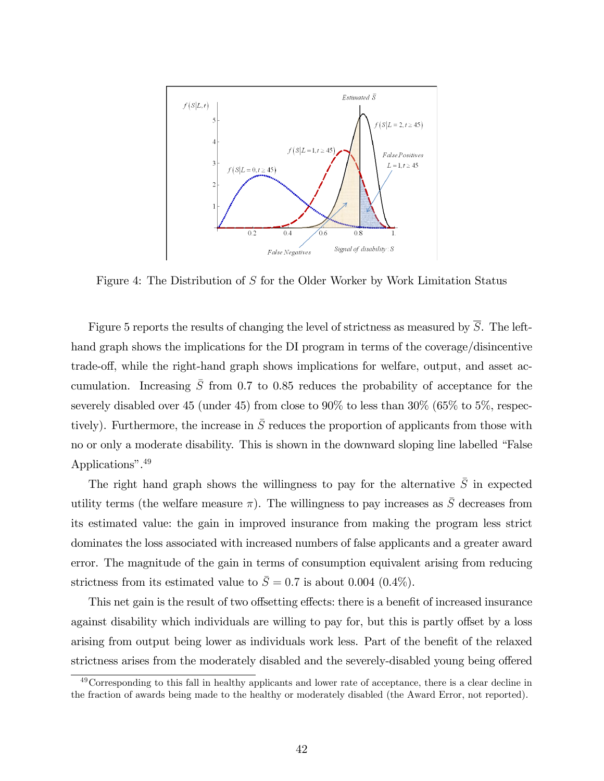

Figure 4: The Distribution of S for the Older Worker by Work Limitation Status

Figure 5 reports the results of changing the level of strictness as measured by  $\overline{S}$ . The lefthand graph shows the implications for the DI program in terms of the coverage/disincentive trade-off, while the right-hand graph shows implications for welfare, output, and asset accumulation. Increasing  $\overline{S}$  from 0.7 to 0.85 reduces the probability of acceptance for the severely disabled over 45 (under 45) from close to  $90\%$  to less than  $30\%$  (65% to 5%, respectively). Furthermore, the increase in  $\overline{S}$  reduces the proportion of applicants from those with no or only a moderate disability. This is shown in the downward sloping line labelled "False Applications".<sup>49</sup>

The right hand graph shows the willingness to pay for the alternative  $\overline{S}$  in expected utility terms (the welfare measure  $\pi$ ). The willingness to pay increases as  $\bar{S}$  decreases from its estimated value: the gain in improved insurance from making the program less strict dominates the loss associated with increased numbers of false applicants and a greater award error. The magnitude of the gain in terms of consumption equivalent arising from reducing strictness from its estimated value to  $\bar{S} = 0.7$  is about 0.004 (0.4%).

This net gain is the result of two offsetting effects: there is a benefit of increased insurance against disability which individuals are willing to pay for, but this is partly offset by a loss arising from output being lower as individuals work less. Part of the benefit of the relaxed strictness arises from the moderately disabled and the severely-disabled young being offered

<sup>&</sup>lt;sup>49</sup>Corresponding to this fall in healthy applicants and lower rate of acceptance, there is a clear decline in the fraction of awards being made to the healthy or moderately disabled (the Award Error, not reported).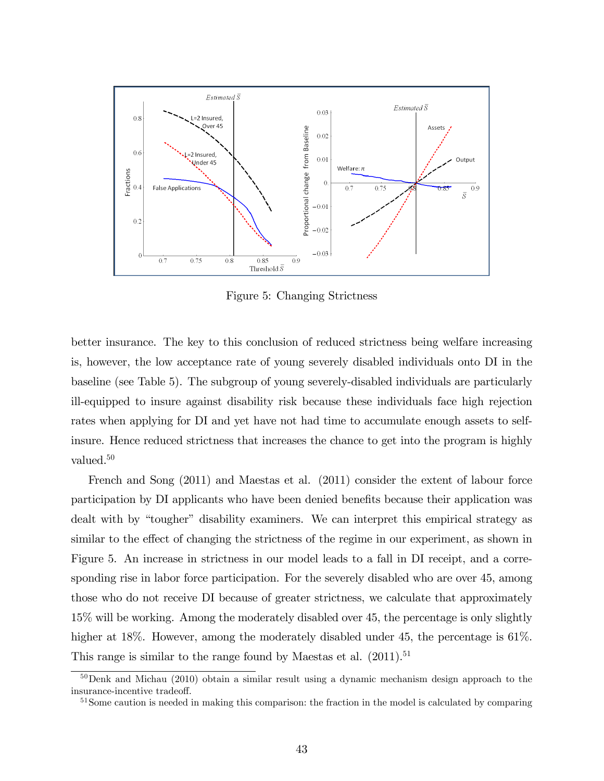

Figure 5: Changing Strictness

better insurance. The key to this conclusion of reduced strictness being welfare increasing is, however, the low acceptance rate of young severely disabled individuals onto DI in the baseline (see Table 5). The subgroup of young severely-disabled individuals are particularly ill-equipped to insure against disability risk because these individuals face high rejection rates when applying for DI and yet have not had time to accumulate enough assets to selfinsure. Hence reduced strictness that increases the chance to get into the program is highly valued.<sup>50</sup>

French and Song (2011) and Maestas et al. (2011) consider the extent of labour force participation by DI applicants who have been denied benefits because their application was dealt with by "tougher" disability examiners. We can interpret this empirical strategy as similar to the effect of changing the strictness of the regime in our experiment, as shown in Figure 5. An increase in strictness in our model leads to a fall in DI receipt, and a corresponding rise in labor force participation. For the severely disabled who are over 45, among those who do not receive DI because of greater strictness, we calculate that approximately 15% will be working. Among the moderately disabled over 45, the percentage is only slightly higher at 18%. However, among the moderately disabled under 45, the percentage is 61%. This range is similar to the range found by Maestas et al.  $(2011).<sup>51</sup>$ 

 $50$ Denk and Michau (2010) obtain a similar result using a dynamic mechanism design approach to the insurance-incentive tradeoff.

<sup>&</sup>lt;sup>51</sup>Some caution is needed in making this comparison: the fraction in the model is calculated by comparing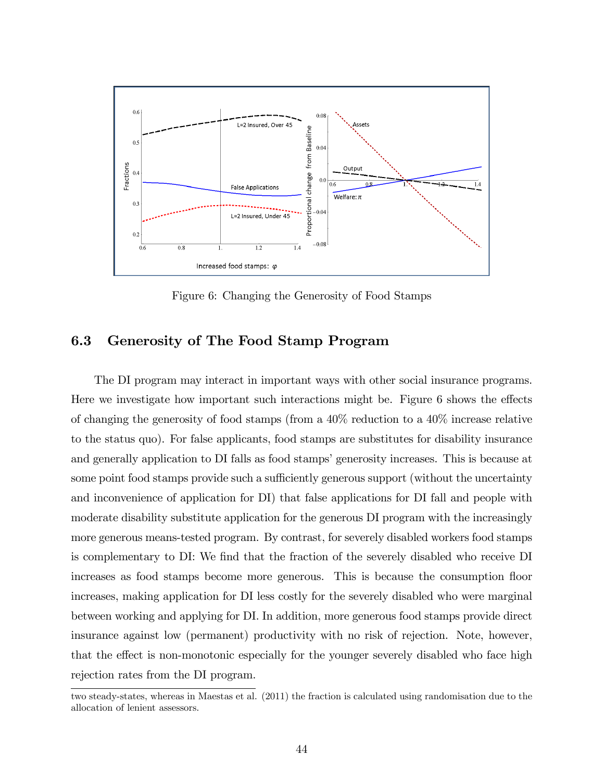

Figure 6: Changing the Generosity of Food Stamps

# 6.3 Generosity of The Food Stamp Program

The DI program may interact in important ways with other social insurance programs. Here we investigate how important such interactions might be. Figure  $6$  shows the effects of changing the generosity of food stamps (from a 40% reduction to a 40% increase relative to the status quo). For false applicants, food stamps are substitutes for disability insurance and generally application to DI falls as food stamps' generosity increases. This is because at some point food stamps provide such a sufficiently generous support (without the uncertainty and inconvenience of application for DI) that false applications for DI fall and people with moderate disability substitute application for the generous DI program with the increasingly more generous means-tested program. By contrast, for severely disabled workers food stamps is complementary to DI: We find that the fraction of the severely disabled who receive DI increases as food stamps become more generous. This is because the consumption floor increases, making application for DI less costly for the severely disabled who were marginal between working and applying for DI. In addition, more generous food stamps provide direct insurance against low (permanent) productivity with no risk of rejection. Note, however, that the effect is non-monotonic especially for the younger severely disabled who face high rejection rates from the DI program.

two steady-states, whereas in Maestas et al. (2011) the fraction is calculated using randomisation due to the allocation of lenient assessors.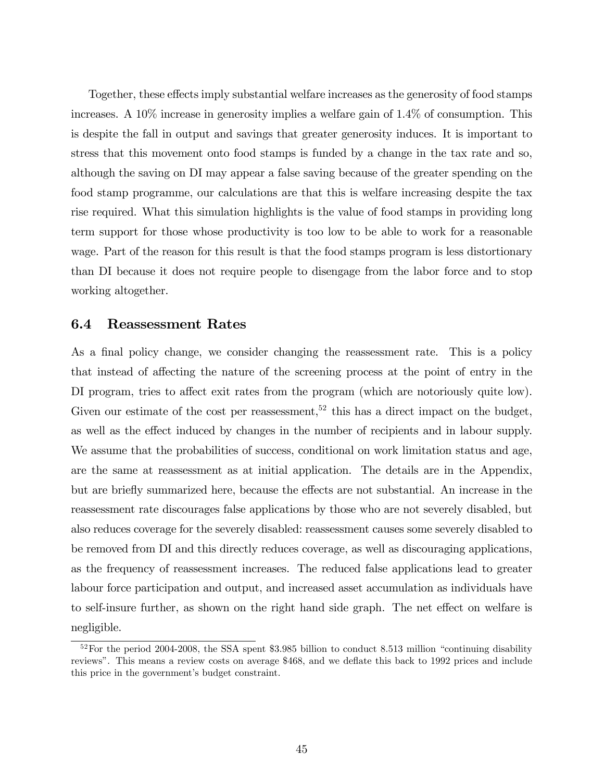Together, these effects imply substantial welfare increases as the generosity of food stamps increases. A 10% increase in generosity implies a welfare gain of 1.4% of consumption. This is despite the fall in output and savings that greater generosity induces. It is important to stress that this movement onto food stamps is funded by a change in the tax rate and so, although the saving on DI may appear a false saving because of the greater spending on the food stamp programme, our calculations are that this is welfare increasing despite the tax rise required. What this simulation highlights is the value of food stamps in providing long term support for those whose productivity is too low to be able to work for a reasonable wage. Part of the reason for this result is that the food stamps program is less distortionary than DI because it does not require people to disengage from the labor force and to stop working altogether.

## 6.4 Reassessment Rates

As a final policy change, we consider changing the reassessment rate. This is a policy that instead of affecting the nature of the screening process at the point of entry in the DI program, tries to affect exit rates from the program (which are notoriously quite low). Given our estimate of the cost per reassessment,<sup>52</sup> this has a direct impact on the budget, as well as the effect induced by changes in the number of recipients and in labour supply. We assume that the probabilities of success, conditional on work limitation status and age, are the same at reassessment as at initial application. The details are in the Appendix, but are briefly summarized here, because the effects are not substantial. An increase in the reassessment rate discourages false applications by those who are not severely disabled, but also reduces coverage for the severely disabled: reassessment causes some severely disabled to be removed from DI and this directly reduces coverage, as well as discouraging applications, as the frequency of reassessment increases. The reduced false applications lead to greater labour force participation and output, and increased asset accumulation as individuals have to self-insure further, as shown on the right hand side graph. The net effect on welfare is negligible.

 $52$  For the period 2004-2008, the SSA spent \$3.985 billion to conduct 8.513 million "continuing disability reviews". This means a review costs on average \$468, and we deflate this back to 1992 prices and include this price in the government's budget constraint.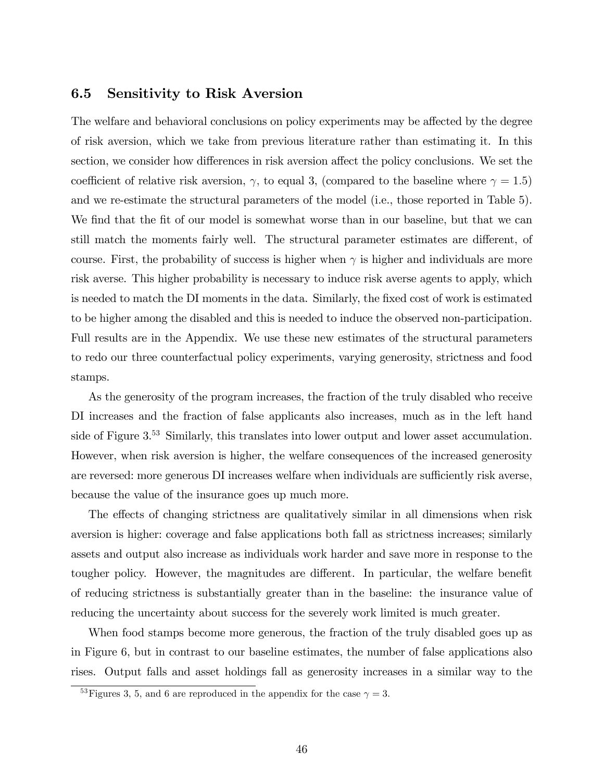# 6.5 Sensitivity to Risk Aversion

The welfare and behavioral conclusions on policy experiments may be affected by the degree of risk aversion, which we take from previous literature rather than estimating it. In this section, we consider how differences in risk aversion affect the policy conclusions. We set the coefficient of relative risk aversion,  $\gamma$ , to equal 3, (compared to the baseline where  $\gamma = 1.5$ ) and we re-estimate the structural parameters of the model (i.e., those reported in Table 5). We find that the fit of our model is somewhat worse than in our baseline, but that we can still match the moments fairly well. The structural parameter estimates are different, of course. First, the probability of success is higher when  $\gamma$  is higher and individuals are more risk averse. This higher probability is necessary to induce risk averse agents to apply, which is needed to match the DI moments in the data. Similarly, the fixed cost of work is estimated to be higher among the disabled and this is needed to induce the observed non-participation. Full results are in the Appendix. We use these new estimates of the structural parameters to redo our three counterfactual policy experiments, varying generosity, strictness and food stamps.

As the generosity of the program increases, the fraction of the truly disabled who receive DI increases and the fraction of false applicants also increases, much as in the left hand side of Figure 3.<sup>53</sup> Similarly, this translates into lower output and lower asset accumulation. However, when risk aversion is higher, the welfare consequences of the increased generosity are reversed: more generous DI increases welfare when individuals are sufficiently risk averse, because the value of the insurance goes up much more.

The effects of changing strictness are qualitatively similar in all dimensions when risk aversion is higher: coverage and false applications both fall as strictness increases; similarly assets and output also increase as individuals work harder and save more in response to the tougher policy. However, the magnitudes are different. In particular, the welfare benefit of reducing strictness is substantially greater than in the baseline: the insurance value of reducing the uncertainty about success for the severely work limited is much greater.

When food stamps become more generous, the fraction of the truly disabled goes up as in Figure 6, but in contrast to our baseline estimates, the number of false applications also rises. Output falls and asset holdings fall as generosity increases in a similar way to the

<sup>&</sup>lt;sup>53</sup>Figures 3, 5, and 6 are reproduced in the appendix for the case  $\gamma = 3$ .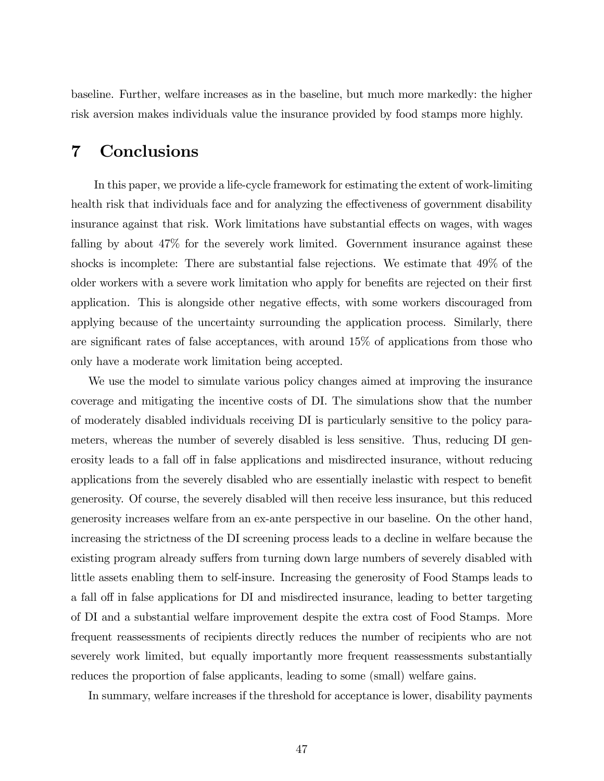baseline. Further, welfare increases as in the baseline, but much more markedly: the higher risk aversion makes individuals value the insurance provided by food stamps more highly.

# 7 Conclusions

In this paper, we provide a life-cycle framework for estimating the extent of work-limiting health risk that individuals face and for analyzing the effectiveness of government disability insurance against that risk. Work limitations have substantial effects on wages, with wages falling by about 47% for the severely work limited. Government insurance against these shocks is incomplete: There are substantial false rejections. We estimate that 49% of the older workers with a severe work limitation who apply for benefits are rejected on their first application. This is alongside other negative effects, with some workers discouraged from applying because of the uncertainty surrounding the application process. Similarly, there are significant rates of false acceptances, with around  $15\%$  of applications from those who only have a moderate work limitation being accepted.

We use the model to simulate various policy changes aimed at improving the insurance coverage and mitigating the incentive costs of DI. The simulations show that the number of moderately disabled individuals receiving DI is particularly sensitive to the policy parameters, whereas the number of severely disabled is less sensitive. Thus, reducing DI generosity leads to a fall off in false applications and misdirected insurance, without reducing applications from the severely disabled who are essentially inelastic with respect to benefit generosity. Of course, the severely disabled will then receive less insurance, but this reduced generosity increases welfare from an ex-ante perspective in our baseline. On the other hand, increasing the strictness of the DI screening process leads to a decline in welfare because the existing program already suffers from turning down large numbers of severely disabled with little assets enabling them to self-insure. Increasing the generosity of Food Stamps leads to a fall off in false applications for DI and misdirected insurance, leading to better targeting of DI and a substantial welfare improvement despite the extra cost of Food Stamps. More frequent reassessments of recipients directly reduces the number of recipients who are not severely work limited, but equally importantly more frequent reassessments substantially reduces the proportion of false applicants, leading to some (small) welfare gains.

In summary, welfare increases if the threshold for acceptance is lower, disability payments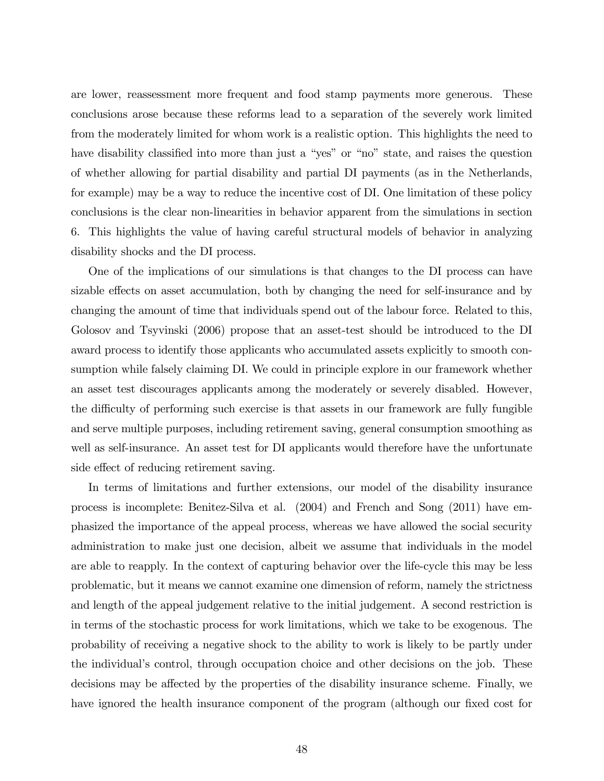are lower, reassessment more frequent and food stamp payments more generous. These conclusions arose because these reforms lead to a separation of the severely work limited from the moderately limited for whom work is a realistic option. This highlights the need to have disability classified into more than just a "yes" or "no" state, and raises the question of whether allowing for partial disability and partial DI payments (as in the Netherlands, for example) may be a way to reduce the incentive cost of DI. One limitation of these policy conclusions is the clear non-linearities in behavior apparent from the simulations in section 6. This highlights the value of having careful structural models of behavior in analyzing disability shocks and the DI process.

One of the implications of our simulations is that changes to the DI process can have sizable effects on asset accumulation, both by changing the need for self-insurance and by changing the amount of time that individuals spend out of the labour force. Related to this, Golosov and Tsyvinski (2006) propose that an asset-test should be introduced to the DI award process to identify those applicants who accumulated assets explicitly to smooth consumption while falsely claiming DI. We could in principle explore in our framework whether an asset test discourages applicants among the moderately or severely disabled. However, the difficulty of performing such exercise is that assets in our framework are fully fungible and serve multiple purposes, including retirement saving, general consumption smoothing as well as self-insurance. An asset test for DI applicants would therefore have the unfortunate side effect of reducing retirement saving.

In terms of limitations and further extensions, our model of the disability insurance process is incomplete: Benitez-Silva et al. (2004) and French and Song (2011) have emphasized the importance of the appeal process, whereas we have allowed the social security administration to make just one decision, albeit we assume that individuals in the model are able to reapply. In the context of capturing behavior over the life-cycle this may be less problematic, but it means we cannot examine one dimension of reform, namely the strictness and length of the appeal judgement relative to the initial judgement. A second restriction is in terms of the stochastic process for work limitations, which we take to be exogenous. The probability of receiving a negative shock to the ability to work is likely to be partly under the individualís control, through occupation choice and other decisions on the job. These decisions may be affected by the properties of the disability insurance scheme. Finally, we have ignored the health insurance component of the program (although our fixed cost for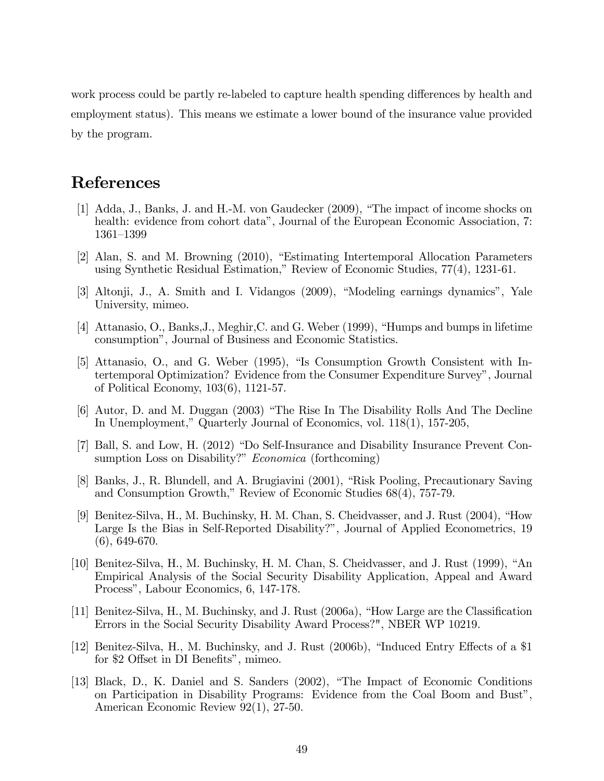work process could be partly re-labeled to capture health spending differences by health and employment status). This means we estimate a lower bound of the insurance value provided by the program.

# References

- [1] Adda, J., Banks, J. and H.-M. von Gaudecker (2009), "The impact of income shocks on health: evidence from cohort data", Journal of the European Economic Association, 7: 1361-1399
- [2] Alan, S. and M. Browning (2010), "Estimating Intertemporal Allocation Parameters using Synthetic Residual Estimation," Review of Economic Studies, 77(4), 1231-61.
- [3] Altonji, J., A. Smith and I. Vidangos (2009), "Modeling earnings dynamics", Yale University, mimeo.
- [4] Attanasio, O., Banks, J., Meghir, C. and G. Weber (1999), "Humps and bumps in lifetime consumption", Journal of Business and Economic Statistics.
- [5] Attanasio, O., and G. Weber (1995), "Is Consumption Growth Consistent with Intertemporal Optimization? Evidence from the Consumer Expenditure Survey", Journal of Political Economy,  $103(6)$ , 1121-57.
- [6] Autor, D. and M. Duggan (2003) "The Rise In The Disability Rolls And The Decline In Unemployment," Quarterly Journal of Economics, vol. 118(1), 157-205,
- [7] Ball, S. and Low, H. (2012) "Do Self-Insurance and Disability Insurance Prevent Consumption Loss on Disability?" *Economica* (forthcoming)
- [8] Banks, J., R. Blundell, and A. Brugiavini (2001), "Risk Pooling, Precautionary Saving and Consumption Growth," Review of Economic Studies 68(4), 757-79.
- [9] Benitez-Silva, H., M. Buchinsky, H. M. Chan, S. Cheidvasser, and J. Rust (2004), "How Large Is the Bias in Self-Reported Disability?", Journal of Applied Econometrics, 19  $(6), 649-670.$
- [10] Benitez-Silva, H., M. Buchinsky, H. M. Chan, S. Cheidvasser, and J. Rust (1999), "An Empirical Analysis of the Social Security Disability Application, Appeal and Award Process", Labour Economics, 6, 147-178.
- [11] Benitez-Silva, H., M. Buchinsky, and J. Rust (2006a), "How Large are the Classification Errors in the Social Security Disability Award Process?", NBER WP 10219.
- [12] Benitez-Silva, H., M. Buchinsky, and J. Rust (2006b), "Induced Entry Effects of a \$1 for \$2 Offset in DI Benefits", mimeo.
- [13] Black, D., K. Daniel and S. Sanders (2002), "The Impact of Economic Conditions on Participation in Disability Programs: Evidence from the Coal Boom and Bust", American Economic Review 92(1), 27-50.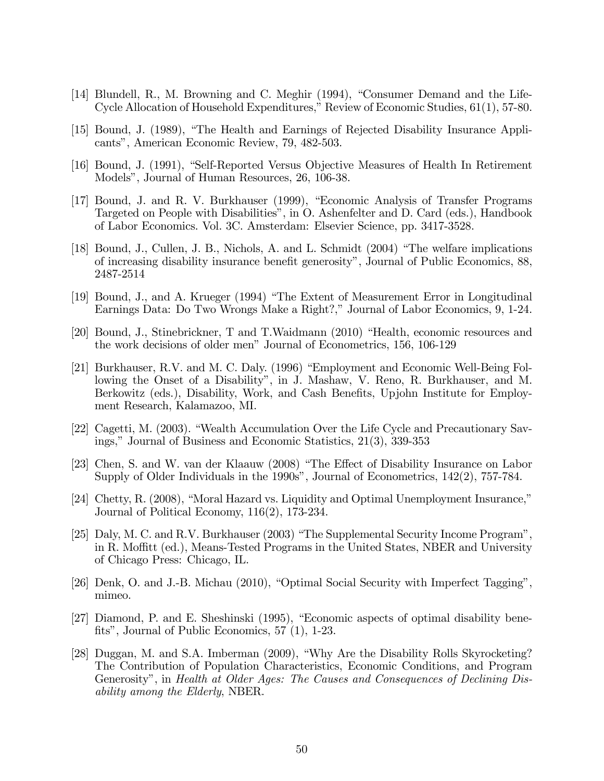- [14] Blundell, R., M. Browning and C. Meghir (1994), "Consumer Demand and the Life-Cycle Allocation of Household Expenditures," Review of Economic Studies, 61(1), 57-80.
- [15] Bound, J. (1989), "The Health and Earnings of Rejected Disability Insurance Applicants", American Economic Review, 79, 482-503.
- [16] Bound, J. (1991), "Self-Reported Versus Objective Measures of Health In Retirement Models", Journal of Human Resources, 26, 106-38.
- [17] Bound, J. and R. V. Burkhauser (1999), "Economic Analysis of Transfer Programs Targeted on People with Disabilities", in O. Ashenfelter and D. Card (eds.), Handbook of Labor Economics. Vol. 3C. Amsterdam: Elsevier Science, pp. 3417-3528.
- [18] Bound, J., Cullen, J. B., Nichols, A. and L. Schmidt (2004) "The welfare implications of increasing disability insurance benefit generosity", Journal of Public Economics, 88, 2487-2514
- [19] Bound, J., and A. Krueger (1994) "The Extent of Measurement Error in Longitudinal Earnings Data: Do Two Wrongs Make a Right?," Journal of Labor Economics, 9, 1-24.
- [20] Bound, J., Stinebrickner, T and T. Waidmann (2010) "Health, economic resources and the work decisions of older men" Journal of Econometrics, 156, 106-129
- [21] Burkhauser, R.V. and M. C. Daly. (1996) "Employment and Economic Well-Being Following the Onset of a Disability", in J. Mashaw, V. Reno, R. Burkhauser, and M. Berkowitz (eds.), Disability, Work, and Cash Benefits, Upjohn Institute for Employment Research, Kalamazoo, MI.
- [22] Cagetti, M. (2003). "Wealth Accumulation Over the Life Cycle and Precautionary Savings," Journal of Business and Economic Statistics, 21(3), 339-353
- [23] Chen, S. and W. van der Klaauw (2008) "The Effect of Disability Insurance on Labor Supply of Older Individuals in the 1990s", Journal of Econometrics, 142(2), 757-784.
- [24] Chetty, R. (2008), "Moral Hazard vs. Liquidity and Optimal Unemployment Insurance," Journal of Political Economy,  $116(2)$ , 173-234.
- [25] Daly, M. C. and R.V. Burkhauser (2003) "The Supplemental Security Income Program". in R. Moffitt (ed.), Means-Tested Programs in the United States, NBER and University of Chicago Press: Chicago, IL.
- [26] Denk, O. and J.-B. Michau (2010), "Optimal Social Security with Imperfect Tagging", mimeo.
- [27] Diamond, P. and E. Sheshinski (1995), "Economic aspects of optimal disability benefits", Journal of Public Economics,  $57(1)$ , 1-23.
- [28] Duggan, M. and S.A. Imberman (2009), "Why Are the Disability Rolls Skyrocketing? The Contribution of Population Characteristics, Economic Conditions, and Program Generosity", in Health at Older Ages: The Causes and Consequences of Declining Dis*ability among the Elderly, NBER.*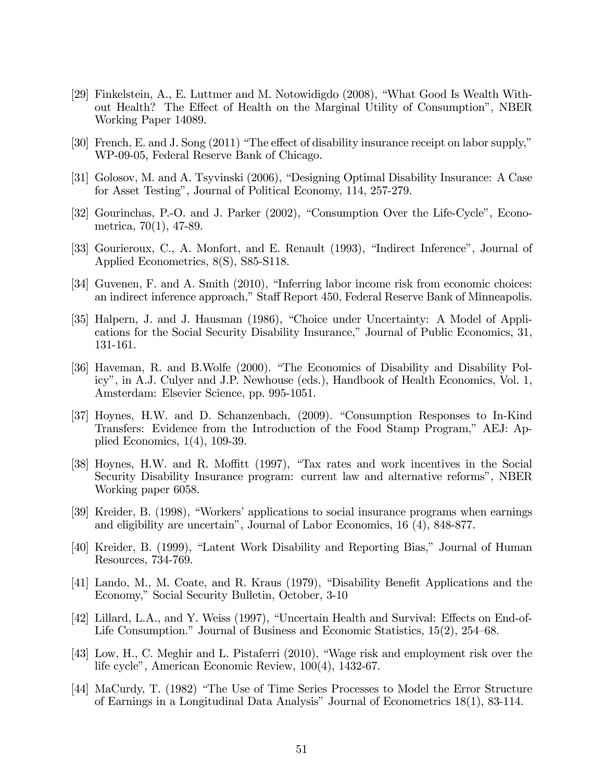- [29] Finkelstein, A., E. Luttmer and M. Notowidigdo (2008), "What Good Is Wealth Without Health? The Effect of Health on the Marginal Utility of Consumption", NBER Working Paper 14089.
- [30] French, E. and J. Song (2011) "The effect of disability insurance receipt on labor supply," WP-09-05, Federal Reserve Bank of Chicago.
- [31] Golosov, M. and A. Tsyvinski (2006), "Designing Optimal Disability Insurance: A Case for Asset Testing", Journal of Political Economy, 114, 257-279.
- [32] Gourinchas, P.-O. and J. Parker (2002), "Consumption Over the Life-Cycle", Econometrica,  $70(1)$ ,  $47-89$ .
- [33] Gourieroux, C., A. Monfort, and E. Renault (1993), "Indirect Inference", Journal of Applied Econometrics, 8(S), S85-S118.
- [34] Guvenen, F. and A. Smith (2010), "Inferring labor income risk from economic choices: an indirect inference approach," Staff Report 450, Federal Reserve Bank of Minneapolis.
- [35] Halpern, J. and J. Hausman (1986), "Choice under Uncertainty: A Model of Applications for the Social Security Disability Insurance," Journal of Public Economics, 31, 131-161.
- [36] Haveman, R. and B. Wolfe (2000). "The Economics of Disability and Disability Policy", in A.J. Culyer and J.P. Newhouse (eds.), Handbook of Health Economics, Vol. 1, Amsterdam: Elsevier Science, pp. 995-1051.
- [37] Hoynes, H.W. and D. Schanzenbach, (2009). "Consumption Responses to In-Kind Transfers: Evidence from the Introduction of the Food Stamp Program," AEJ: Applied Economics,  $1(4)$ ,  $109-39$ .
- [38] Hoynes, H.W. and R. Moffitt (1997), "Tax rates and work incentives in the Social Security Disability Insurance program: current law and alternative reforms", NBER Working paper 6058.
- [39] Kreider, B. (1998), "Workers' applications to social insurance programs when earnings and eligibility are uncertain", Journal of Labor Economics, 16 (4), 848-877.
- [40] Kreider, B. (1999), "Latent Work Disability and Reporting Bias," Journal of Human Resources, 734-769.
- [41] Lando, M., M. Coate, and R. Kraus (1979), "Disability Benefit Applications and the Economy," Social Security Bulletin, October, 3-10
- [42] Lillard, L.A., and Y. Weiss (1997), "Uncertain Health and Survival: Effects on End-of-Life Consumption." Journal of Business and Economic Statistics,  $15(2)$ ,  $254-68$ .
- [43] Low, H., C. Meghir and L. Pistaferri (2010), "Wage risk and employment risk over the life cycle", American Economic Review, 100(4), 1432-67.
- [44] MaCurdy, T. (1982) "The Use of Time Series Processes to Model the Error Structure of Earnings in a Longitudinal Data Analysis" Journal of Econometrics 18(1), 83-114.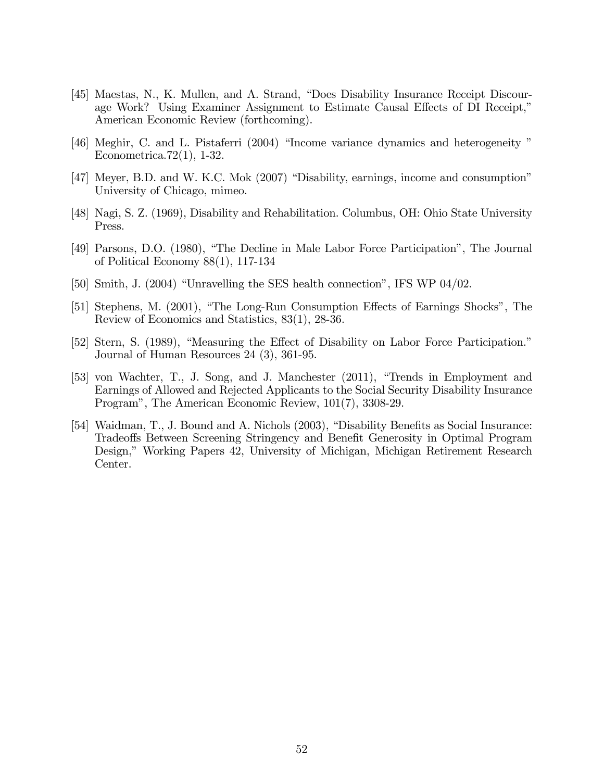- [45] Maestas, N., K. Mullen, and A. Strand, "Does Disability Insurance Receipt Discourage Work? Using Examiner Assignment to Estimate Causal Effects of DI Receipt," American Economic Review (forthcoming).
- 46 Meghir, C. and L. Pistaferri (2004) "Income variance dynamics and heterogeneity" Econometrica. $72(1)$ , 1-32.
- [47] Meyer, B.D. and W. K.C. Mok (2007) "Disability, earnings, income and consumption" University of Chicago, mimeo.
- [48] Nagi, S. Z. (1969), Disability and Rehabilitation. Columbus, OH: Ohio State University Press.
- [49] Parsons, D.O. (1980), "The Decline in Male Labor Force Participation", The Journal of Political Economy  $88(1)$ , 117-134
- [50] Smith, J. (2004) "Unravelling the SES health connection", IFS WP  $04/02$ .
- [51] Stephens, M. (2001), "The Long-Run Consumption Effects of Earnings Shocks", The Review of Economics and Statistics,  $83(1)$ ,  $28-36$ .
- [52] Stern, S. (1989), "Measuring the Effect of Disability on Labor Force Participation." Journal of Human Resources  $24$  (3), 361-95.
- [53] von Wachter, T., J. Song, and J. Manchester (2011), "Trends in Employment and Earnings of Allowed and Rejected Applicants to the Social Security Disability Insurance Program", The American Economic Review, 101(7), 3308-29.
- [54] Waidman, T., J. Bound and A. Nichols (2003), "Disability Benefits as Social Insurance: Tradeoffs Between Screening Stringency and Benefit Generosity in Optimal Program Design," Working Papers 42, University of Michigan, Michigan Retirement Research Center.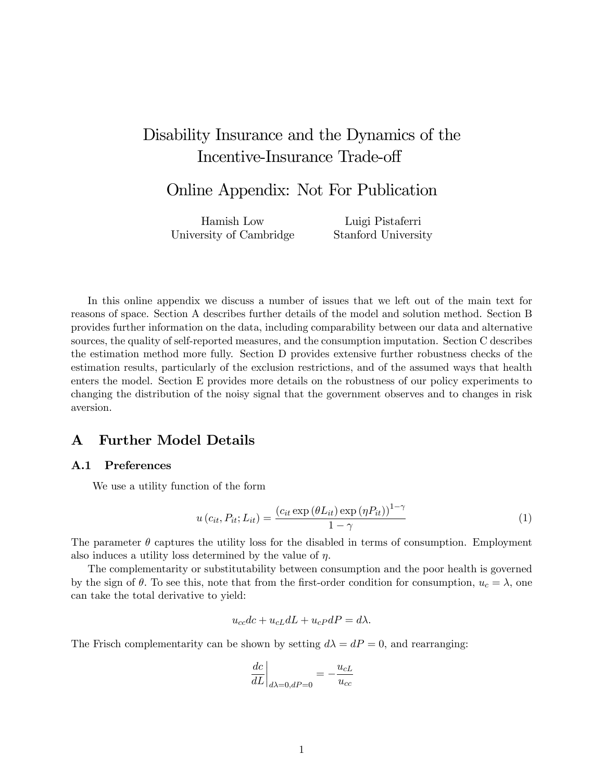# Disability Insurance and the Dynamics of the Incentive-Insurance Trade-off

# Online Appendix: Not For Publication

Hamish Low University of Cambridge Luigi Pistaferri Stanford University

In this online appendix we discuss a number of issues that we left out of the main text for reasons of space. Section A describes further details of the model and solution method. Section B provides further information on the data, including comparability between our data and alternative sources, the quality of self-reported measures, and the consumption imputation. Section C describes the estimation method more fully. Section D provides extensive further robustness checks of the estimation results, particularly of the exclusion restrictions, and of the assumed ways that health enters the model. Section E provides more details on the robustness of our policy experiments to changing the distribution of the noisy signal that the government observes and to changes in risk aversion.

## A Further Model Details

### A.1 Preferences

We use a utility function of the form

$$
u\left(c_{it}, P_{it}; L_{it}\right) = \frac{\left(c_{it} \exp\left(\theta L_{it}\right) \exp\left(\eta P_{it}\right)\right)^{1-\gamma}}{1-\gamma}
$$
\n(1)

The parameter  $\theta$  captures the utility loss for the disabled in terms of consumption. Employment also induces a utility loss determined by the value of  $\eta$ .

The complementarity or substitutability between consumption and the poor health is governed by the sign of  $\theta$ . To see this, note that from the first-order condition for consumption,  $u_c = \lambda$ , one can take the total derivative to yield:

$$
u_{cc}dc + u_{cL}dL + u_{cP}dP = d\lambda.
$$

The Frisch complementarity can be shown by setting  $d\lambda = dP = 0$ , and rearranging:

$$
\left.\frac{dc}{dL}\right|_{d\lambda=0,dP=0}=-\frac{u_{cL}}{u_{cc}}
$$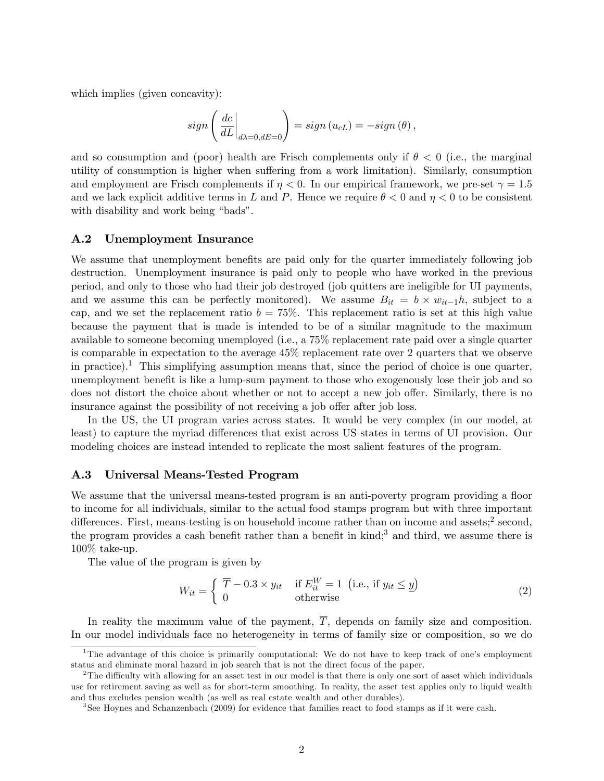which implies (given concavity):

$$
sign\left(\left.\frac{dc}{dL}\right|_{d\lambda=0, dE=0}\right) = sign\left(u_{cL}\right) = -sign\left(\theta\right),\,
$$

and so consumption and (poor) health are Frisch complements only if  $\theta < 0$  (i.e., the marginal utility of consumption is higher when suffering from a work limitation). Similarly, consumption and employment are Frisch complements if  $\eta < 0$ . In our empirical framework, we pre-set  $\gamma = 1.5$ and we lack explicit additive terms in L and P. Hence we require  $\theta < 0$  and  $\eta < 0$  to be consistent with disability and work being "bads".

#### A.2 Unemployment Insurance

We assume that unemployment benefits are paid only for the quarter immediately following job destruction. Unemployment insurance is paid only to people who have worked in the previous period, and only to those who had their job destroyed (job quitters are ineligible for UI payments, and we assume this can be perfectly monitored). We assume  $B_{it} = b \times w_{it-1}h$ , subject to a cap, and we set the replacement ratio  $b = 75\%$ . This replacement ratio is set at this high value because the payment that is made is intended to be of a similar magnitude to the maximum available to someone becoming unemployed (i.e., a 75% replacement rate paid over a single quarter is comparable in expectation to the average 45% replacement rate over 2 quarters that we observe in practice).<sup>1</sup> This simplifying assumption means that, since the period of choice is one quarter. unemployment benefit is like a lump-sum payment to those who exogenously lose their job and so does not distort the choice about whether or not to accept a new job offer. Similarly, there is no insurance against the possibility of not receiving a job offer after job loss.

In the US, the UI program varies across states. It would be very complex (in our model, at least) to capture the myriad differences that exist across US states in terms of UI provision. Our modeling choices are instead intended to replicate the most salient features of the program.

#### A.3 Universal Means-Tested Program

We assume that the universal means-tested program is an anti-poverty program providing a floor to income for all individuals, similar to the actual food stamps program but with three important differences. First, means-testing is on household income rather than on income and assets;<sup>2</sup> second, the program provides a cash benefit rather than a benefit in kind;<sup>3</sup> and third, we assume there is 100% take-up.

The value of the program is given by

$$
W_{it} = \begin{cases} \overline{T} - 0.3 \times y_{it} & \text{if } E_{it}^{W} = 1 \text{ (i.e., if } y_{it} \leq \underline{y})\\ 0 & \text{otherwise} \end{cases}
$$
 (2)

In reality the maximum value of the payment,  $\overline{T}$ , depends on family size and composition. In our model individuals face no heterogeneity in terms of family size or composition, so we do

<sup>&</sup>lt;sup>1</sup>The advantage of this choice is primarily computational: We do not have to keep track of one's employment status and eliminate moral hazard in job search that is not the direct focus of the paper.

<sup>&</sup>lt;sup>2</sup>The difficulty with allowing for an asset test in our model is that there is only one sort of asset which individuals use for retirement saving as well as for short-term smoothing. In reality, the asset test applies only to liquid wealth and thus excludes pension wealth (as well as real estate wealth and other durables).

<sup>3</sup> See Hoynes and Schanzenbach (2009) for evidence that families react to food stamps as if it were cash.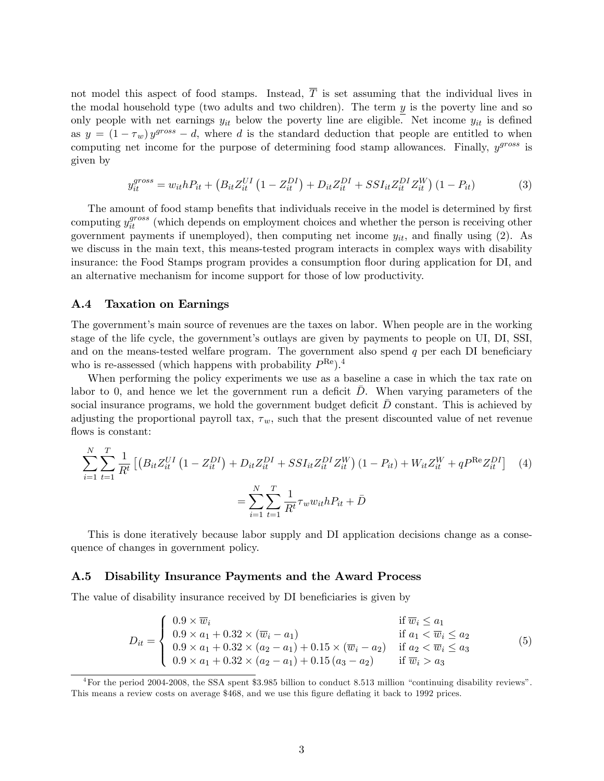not model this aspect of food stamps. Instead,  $\overline{T}$  is set assuming that the individual lives in the modal household type (two adults and two children). The term  $y$  is the poverty line and so only people with net earnings  $y_{it}$  below the poverty line are eligible. Net income  $y_{it}$  is defined as  $y = (1 - \tau_w) y^{gross} - d$ , where d is the standard deduction that people are entitled to when computing net income for the purpose of determining food stamp allowances. Finally,  $y^{gross}$  is given by

$$
y_{it}^{gross} = w_{it} h P_{it} + \left( B_{it} Z_{it}^{UI} \left( 1 - Z_{it}^{DI} \right) + D_{it} Z_{it}^{DI} + S S I_{it} Z_{it}^{DI} Z_{it}^{W} \right) (1 - P_{it}) \tag{3}
$$

The amount of food stamp benefits that individuals receive in the model is determined by first computing  $y_{it}^{gross}$  (which depends on employment choices and whether the person is receiving other government payments if unemployed), then computing net income  $y_{it}$ , and finally using (2). As we discuss in the main text, this means-tested program interacts in complex ways with disability insurance: the Food Stamps program provides a consumption áoor during application for DI, and an alternative mechanism for income support for those of low productivity.

#### A.4 Taxation on Earnings

The government's main source of revenues are the taxes on labor. When people are in the working stage of the life cycle, the government's outlays are given by payments to people on UI, DI, SSI, and on the means-tested welfare program. The government also spend  $q$  per each DI beneficiary who is re-assessed (which happens with probability  $P^{\text{Re}}$ ).<sup>4</sup>

When performing the policy experiments we use as a baseline a case in which the tax rate on labor to 0, and hence we let the government run a deficit  $\bar{D}$ . When varying parameters of the social insurance programs, we hold the government budget deficit  $D$  constant. This is achieved by adjusting the proportional payroll tax,  $\tau_w$ , such that the present discounted value of net revenue flows is constant:

$$
\sum_{i=1}^{N} \sum_{t=1}^{T} \frac{1}{R^t} \left[ \left( B_{it} Z_{it}^{UI} \left( 1 - Z_{it}^{DI} \right) + D_{it} Z_{it}^{DI} + S S I_{it} Z_{it}^{DI} Z_{it}^{W} \right) \left( 1 - P_{it} \right) + W_{it} Z_{it}^{W} + q P^{\text{Re}} Z_{it}^{DI} \right] \tag{4}
$$
\n
$$
= \sum_{i=1}^{N} \sum_{t=1}^{T} \frac{1}{R^t} \tau_w w_{it} h P_{it} + \bar{D}
$$

This is done iteratively because labor supply and DI application decisions change as a consequence of changes in government policy.

#### A.5 Disability Insurance Payments and the Award Process

The value of disability insurance received by DI beneficiaries is given by

$$
D_{it} = \begin{cases} 0.9 \times \overline{w}_i & \text{if } \overline{w}_i \le a_1 \\ 0.9 \times a_1 + 0.32 \times (\overline{w}_i - a_1) & \text{if } a_1 < \overline{w}_i \le a_2 \\ 0.9 \times a_1 + 0.32 \times (a_2 - a_1) + 0.15 \times (\overline{w}_i - a_2) & \text{if } a_2 < \overline{w}_i \le a_3 \\ 0.9 \times a_1 + 0.32 \times (a_2 - a_1) + 0.15 (a_3 - a_2) & \text{if } \overline{w}_i > a_3 \end{cases}
$$
(5)

 ${}^{4}$  For the period 2004-2008, the SSA spent \$3.985 billion to conduct 8.513 million "continuing disability reviews". This means a review costs on average \$468, and we use this figure deflating it back to 1992 prices.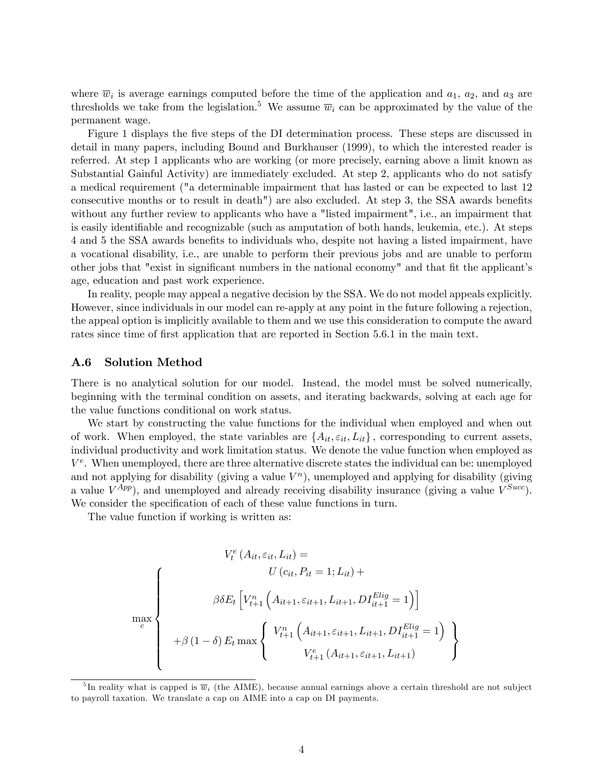where  $\overline{w}_i$  is average earnings computed before the time of the application and  $a_1, a_2$ , and  $a_3$  are thresholds we take from the legislation.<sup>5</sup> We assume  $\overline{w}_i$  can be approximated by the value of the permanent wage.

Figure 1 displays the five steps of the DI determination process. These steps are discussed in detail in many papers, including Bound and Burkhauser (1999), to which the interested reader is referred. At step 1 applicants who are working (or more precisely, earning above a limit known as Substantial Gainful Activity) are immediately excluded. At step 2, applicants who do not satisfy a medical requirement ("a determinable impairment that has lasted or can be expected to last 12 consecutive months or to result in death") are also excluded. At step 3, the SSA awards benefits without any further review to applicants who have a "listed impairment", i.e., an impairment that is easily identifiable and recognizable (such as amputation of both hands, leukemia, etc.). At steps 4 and 5 the SSA awards benefits to individuals who, despite not having a listed impairment, have a vocational disability, i.e., are unable to perform their previous jobs and are unable to perform other jobs that "exist in significant numbers in the national economy" and that fit the applicant's age, education and past work experience.

In reality, people may appeal a negative decision by the SSA. We do not model appeals explicitly. However, since individuals in our model can re-apply at any point in the future following a rejection, the appeal option is implicitly available to them and we use this consideration to compute the award rates since time of first application that are reported in Section 5.6.1 in the main text.

#### A.6 Solution Method

There is no analytical solution for our model. Instead, the model must be solved numerically, beginning with the terminal condition on assets, and iterating backwards, solving at each age for the value functions conditional on work status.

We start by constructing the value functions for the individual when employed and when out of work. When employed, the state variables are  $\{A_{it}, \varepsilon_{it}, L_{it}\}$ , corresponding to current assets, individual productivity and work limitation status. We denote the value function when employed as  $V^e$ . When unemployed, there are three alternative discrete states the individual can be: unemployed and not applying for disability (giving a value  $V<sup>n</sup>$ ), unemployed and applying for disability (giving a value  $V^{App}$ ), and unemployed and already receiving disability insurance (giving a value  $V^{Succ}$ ). We consider the specification of each of these value functions in turn.

The value function if working is written as:

$$
V_t^e(A_{it}, \varepsilon_{it}, L_{it}) =
$$
\n
$$
\beta \delta E_t \left[ V_{t+1}^n \left( A_{it+1}, \varepsilon_{it+1}, L_{it+1}, D I_{it+1}^{Elig} = 1 \right) \right]
$$
\n
$$
\max_{c} + \beta (1 - \delta) E_t \max \left\{ V_{t+1}^n \left( A_{it+1}, \varepsilon_{it+1}, L_{it+1}, D I_{it+1}^{Elig} = 1 \right) \right\}
$$

<sup>&</sup>lt;sup>5</sup>In reality what is capped is  $\overline{w}_i$  (the AIME), because annual earnings above a certain threshold are not subject to payroll taxation. We translate a cap on AIME into a cap on DI payments.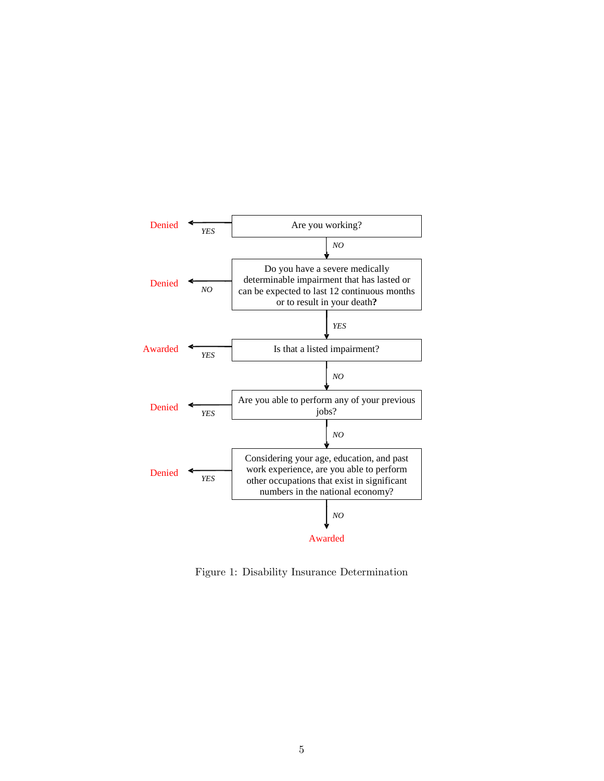

Figure 1: Disability Insurance Determination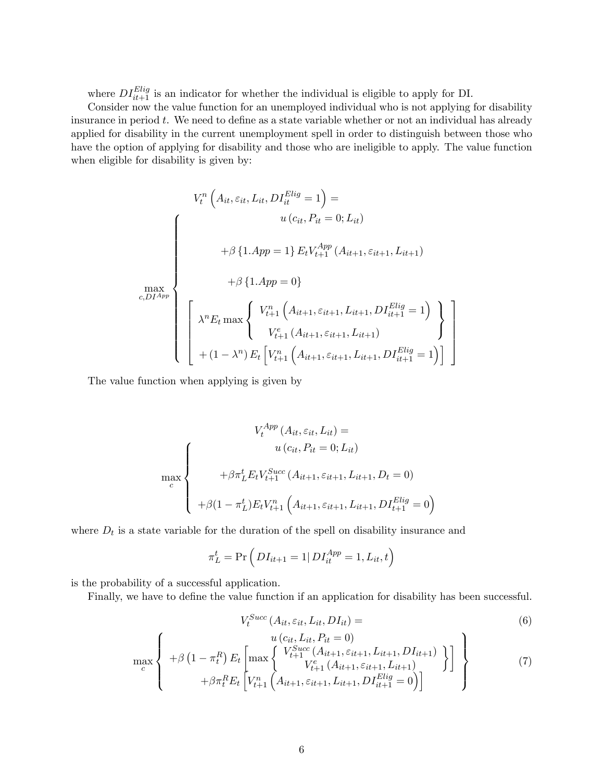where  $DI_{it+1}^{Elig}$  is an indicator for whether the individual is eligible to apply for DI.

Consider now the value function for an unemployed individual who is not applying for disability insurance in period t. We need to define as a state variable whether or not an individual has already applied for disability in the current unemployment spell in order to distinguish between those who have the option of applying for disability and those who are ineligible to apply. The value function when eligible for disability is given by:

$$
V_t^n \left( A_{it}, \varepsilon_{it}, L_{it}, DT_{it}^{Elig} = 1 \right) =
$$
\n
$$
\int_{t}^{t} \left( A_{it}, \varepsilon_{it}, L_{it}, DT_{it}^{Elig} = 1 \right) =
$$
\n
$$
u \left( c_{it}, P_{it} = 0; L_{it} \right)
$$
\n
$$
+ \beta \left\{ 1. App = 1 \right\} E_t V_{t+1}^{App} \left( A_{it+1}, \varepsilon_{it+1}, L_{it+1} \right)
$$
\n
$$
+ \beta \left\{ 1. App = 0 \right\}
$$
\n
$$
\lambda^n E_t \max \left\{ V_{t+1}^n \left( A_{it+1}, \varepsilon_{it+1}, L_{it+1}, DT_{it+1}^{Elig} = 1 \right) \atop V_{t+1}^e \left( A_{it+1}, \varepsilon_{it+1}, L_{it+1}, DT_{it+1}^{Elig} = 1 \right) \right\}
$$
\n
$$
+ (1 - \lambda^n) E_t \left[ V_{t+1}^n \left( A_{it+1}, \varepsilon_{it+1}, L_{it+1}, DT_{it+1}^{Elig} = 1 \right) \right]
$$

The value function when applying is given by

$$
V_t^{App}(A_{it}, \varepsilon_{it}, L_{it}) =
$$
  
\n
$$
\max_{c} \left\{\n\begin{array}{c}\nu(c_{it}, P_{it} = 0; L_{it}) \\
+\beta \pi_L^t E_t V_{t+1}^{Succ}(A_{it+1}, \varepsilon_{it+1}, L_{it+1}, D_t = 0) \\
+\beta (1 - \pi_L^t) E_t V_{t+1}^n (A_{it+1}, \varepsilon_{it+1}, L_{it+1}, D I_{t+1}^{Elig} = 0)\n\end{array}\n\right\}
$$

where  $D_t$  is a state variable for the duration of the spell on disability insurance and

$$
\pi_L^t = \Pr\left(DI_{it+1} = 1 | D I_{it}^{App} = 1, L_{it}, t\right)
$$

is the probability of a successful application.

Finally, we have to define the value function if an application for disability has been successful.

$$
V_t^{Succ}(A_{it}, \varepsilon_{it}, L_{it}, DI_{it}) = \tag{6}
$$

$$
\max_{c} \left\{\n+ \beta \left(1 - \pi_t^R\right) E_t \left[\n\max_{t+1} \left\{\n\begin{array}{c}\n u\left(c_{it}, L_{it}, P_{it} = 0\right) \\
 V_{t+1}^{Succ}\left(A_{it+1}, \varepsilon_{it+1}, L_{it+1}, D I_{it+1}\right) \\
 V_{t+1}^e\left(A_{it+1}, \varepsilon_{it+1}, L_{it+1}\right) \\
+ \beta \pi_t^R E_t \left[V_{t+1}^n\left(A_{it+1}, \varepsilon_{it+1}, L_{it+1}, D I_{it+1}^{Elig} = 0\right)\n\end{array}\n\right]\n\right\}\n\tag{7}
$$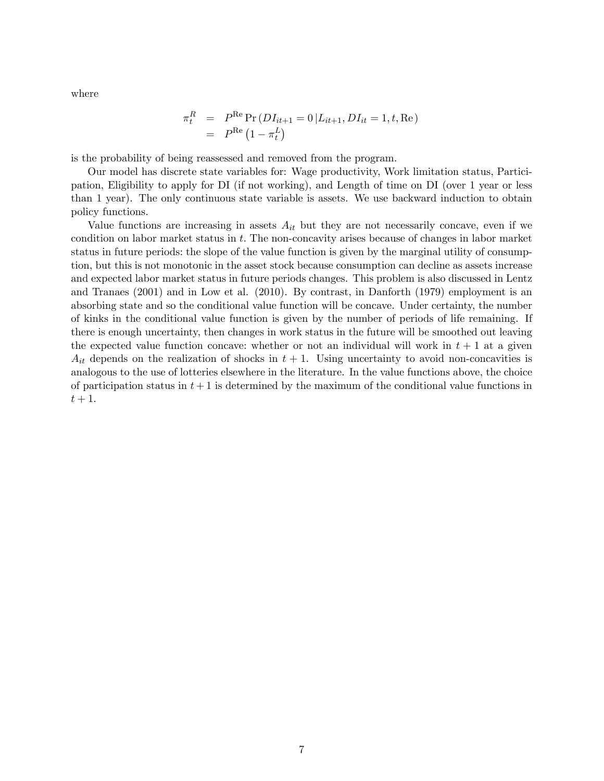where

$$
\pi_t^R = P^{\text{Re}} \Pr(DI_{it+1} = 0 | L_{it+1}, DI_{it} = 1, t, \text{Re})
$$
  
=  $P^{\text{Re}}(1 - \pi_t^L)$ 

is the probability of being reassessed and removed from the program.

Our model has discrete state variables for: Wage productivity, Work limitation status, Participation, Eligibility to apply for DI (if not working), and Length of time on DI (over 1 year or less than 1 year). The only continuous state variable is assets. We use backward induction to obtain policy functions.

Value functions are increasing in assets  $A_{it}$  but they are not necessarily concave, even if we condition on labor market status in  $t$ . The non-concavity arises because of changes in labor market status in future periods: the slope of the value function is given by the marginal utility of consumption, but this is not monotonic in the asset stock because consumption can decline as assets increase and expected labor market status in future periods changes. This problem is also discussed in Lentz and Tranaes (2001) and in Low et al. (2010). By contrast, in Danforth (1979) employment is an absorbing state and so the conditional value function will be concave. Under certainty, the number of kinks in the conditional value function is given by the number of periods of life remaining. If there is enough uncertainty, then changes in work status in the future will be smoothed out leaving the expected value function concave: whether or not an individual will work in  $t + 1$  at a given  $A_{it}$  depends on the realization of shocks in  $t + 1$ . Using uncertainty to avoid non-concavities is analogous to the use of lotteries elsewhere in the literature. In the value functions above, the choice of participation status in  $t + 1$  is determined by the maximum of the conditional value functions in  $t+1$ .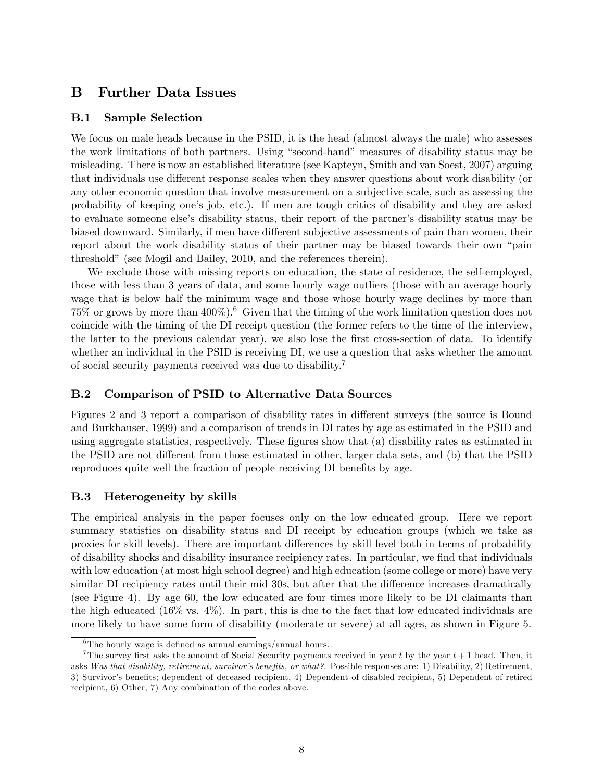## B Further Data Issues

#### B.1 Sample Selection

We focus on male heads because in the PSID, it is the head (almost always the male) who assesses the work limitations of both partners. Using "second-hand" measures of disability status may be misleading. There is now an established literature (see Kapteyn, Smith and van Soest, 2007) arguing that individuals use different response scales when they answer questions about work disability (or any other economic question that involve measurement on a subjective scale, such as assessing the probability of keeping oneís job, etc.). If men are tough critics of disability and they are asked to evaluate someone else's disability status, their report of the partner's disability status may be biased downward. Similarly, if men have different subjective assessments of pain than women, their report about the work disability status of their partner may be biased towards their own "pain threshold" (see Mogil and Bailey, 2010, and the references therein).

We exclude those with missing reports on education, the state of residence, the self-employed, those with less than 3 years of data, and some hourly wage outliers (those with an average hourly wage that is below half the minimum wage and those whose hourly wage declines by more than  $75\%$  or grows by more than  $400\%$ ). <sup>6</sup> Given that the timing of the work limitation question does not coincide with the timing of the DI receipt question (the former refers to the time of the interview, the latter to the previous calendar year), we also lose the first cross-section of data. To identify whether an individual in the PSID is receiving DI, we use a question that asks whether the amount of social security payments received was due to disability.<sup>7</sup>

#### B.2 Comparison of PSID to Alternative Data Sources

Figures 2 and 3 report a comparison of disability rates in different surveys (the source is Bound and Burkhauser, 1999) and a comparison of trends in DI rates by age as estimated in the PSID and using aggregate statistics, respectively. These figures show that (a) disability rates as estimated in the PSID are not different from those estimated in other, larger data sets, and (b) that the PSID reproduces quite well the fraction of people receiving DI benefits by age.

#### B.3 Heterogeneity by skills

The empirical analysis in the paper focuses only on the low educated group. Here we report summary statistics on disability status and DI receipt by education groups (which we take as proxies for skill levels). There are important differences by skill level both in terms of probability of disability shocks and disability insurance recipiency rates. In particular, we find that individuals with low education (at most high school degree) and high education (some college or more) have very similar DI recipiency rates until their mid 30s, but after that the difference increases dramatically (see Figure 4). By age 60, the low educated are four times more likely to be DI claimants than the high educated (16% vs. 4%). In part, this is due to the fact that low educated individuals are more likely to have some form of disability (moderate or severe) at all ages, as shown in Figure 5.

 $6$ The hourly wage is defined as annual earnings/annual hours.

<sup>&</sup>lt;sup>7</sup>The survey first asks the amount of Social Security payments received in year t by the year  $t + 1$  head. Then, it asks Was that disability, retirement, survivor's benefits, or what?. Possible responses are: 1) Disability, 2) Retirement, 3) Survivor's benefits; dependent of deceased recipient, 4) Dependent of disabled recipient, 5) Dependent of retired recipient, 6) Other, 7) Any combination of the codes above.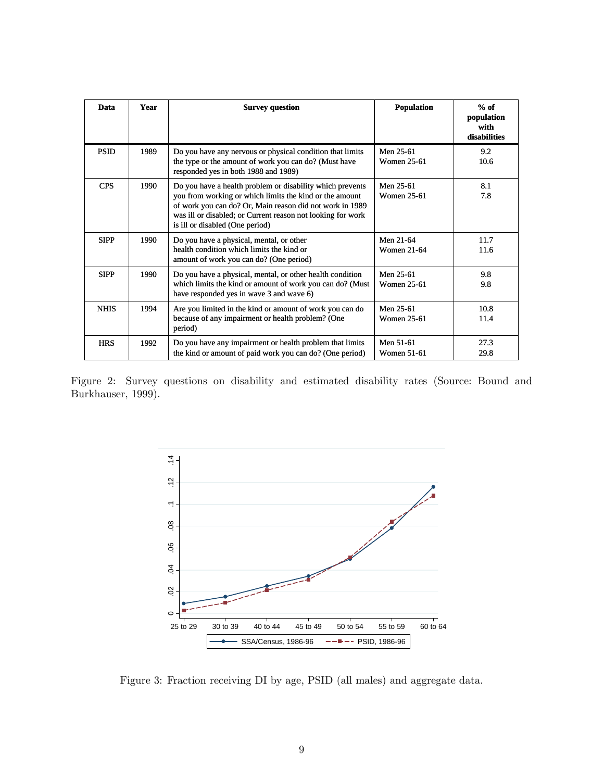| Data        | Year | <b>Survey question</b>                                                                                                                                                                                                                                                             | <b>Population</b>               | $%$ of<br>population<br>with<br>disabilities |
|-------------|------|------------------------------------------------------------------------------------------------------------------------------------------------------------------------------------------------------------------------------------------------------------------------------------|---------------------------------|----------------------------------------------|
| <b>PSID</b> | 1989 | Do you have any nervous or physical condition that limits<br>the type or the amount of work you can do? (Must have<br>responded yes in both 1988 and 1989)                                                                                                                         | Men 25-61<br><b>Women 25-61</b> | 9.2<br>10.6                                  |
| <b>CPS</b>  | 1990 | Do you have a health problem or disability which prevents<br>you from working or which limits the kind or the amount<br>of work you can do? Or, Main reason did not work in 1989<br>was ill or disabled; or Current reason not looking for work<br>is ill or disabled (One period) | Men 25-61<br><b>Women 25-61</b> | 8.1<br>7.8                                   |
| <b>SIPP</b> | 1990 | Do you have a physical, mental, or other<br>health condition which limits the kind or<br>amount of work you can do? (One period)                                                                                                                                                   | Men 21-64<br>Women 21-64        | 11.7<br>11.6                                 |
| <b>SIPP</b> | 1990 | Do you have a physical, mental, or other health condition<br>which limits the kind or amount of work you can do? (Must<br>have responded yes in wave 3 and wave 6)                                                                                                                 | Men 25-61<br><b>Women 25-61</b> | 9.8<br>9.8                                   |
| <b>NHIS</b> | 1994 | Are you limited in the kind or amount of work you can do<br>because of any impairment or health problem? (One<br>period)                                                                                                                                                           | Men 25-61<br>Women 25-61        | 10.8<br>11.4                                 |
| <b>HRS</b>  | 1992 | Do you have any impairment or health problem that limits<br>the kind or amount of paid work you can do? (One period)                                                                                                                                                               | Men 51-61<br><b>Women 51-61</b> | 27.3<br>29.8                                 |

Figure 2: Survey questions on disability and estimated disability rates (Source: Bound and Burkhauser, 1999).



Figure 3: Fraction receiving DI by age, PSID (all males) and aggregate data.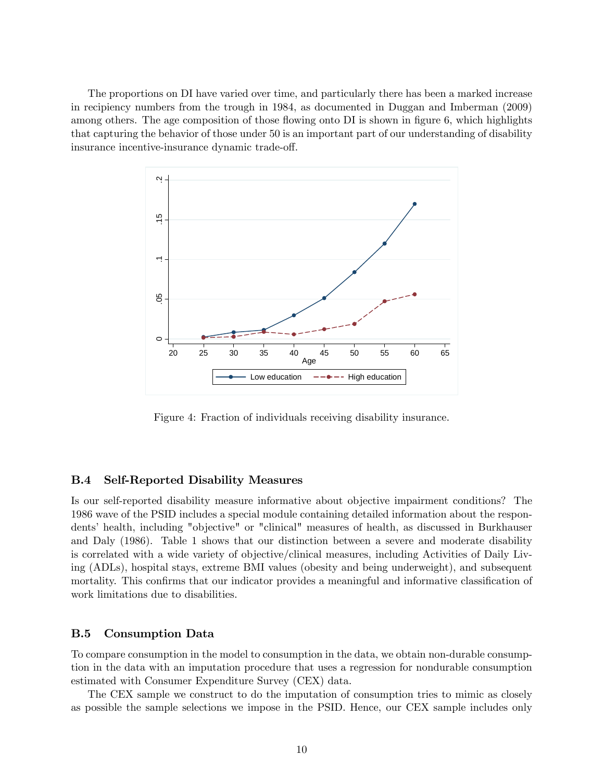The proportions on DI have varied over time, and particularly there has been a marked increase in recipiency numbers from the trough in 1984, as documented in Duggan and Imberman (2009) among others. The age composition of those flowing onto  $DI$  is shown in figure 6, which highlights that capturing the behavior of those under 50 is an important part of our understanding of disability insurance incentive-insurance dynamic trade-off.



Figure 4: Fraction of individuals receiving disability insurance.

#### B.4 Self-Reported Disability Measures

Is our self-reported disability measure informative about objective impairment conditions? The 1986 wave of the PSID includes a special module containing detailed information about the respondentsí health, including "objective" or "clinical" measures of health, as discussed in Burkhauser and Daly (1986). Table 1 shows that our distinction between a severe and moderate disability is correlated with a wide variety of objective/clinical measures, including Activities of Daily Living (ADLs), hospital stays, extreme BMI values (obesity and being underweight), and subsequent mortality. This confirms that our indicator provides a meaningful and informative classification of work limitations due to disabilities.

#### B.5 Consumption Data

To compare consumption in the model to consumption in the data, we obtain non-durable consumption in the data with an imputation procedure that uses a regression for nondurable consumption estimated with Consumer Expenditure Survey (CEX) data.

The CEX sample we construct to do the imputation of consumption tries to mimic as closely as possible the sample selections we impose in the PSID. Hence, our CEX sample includes only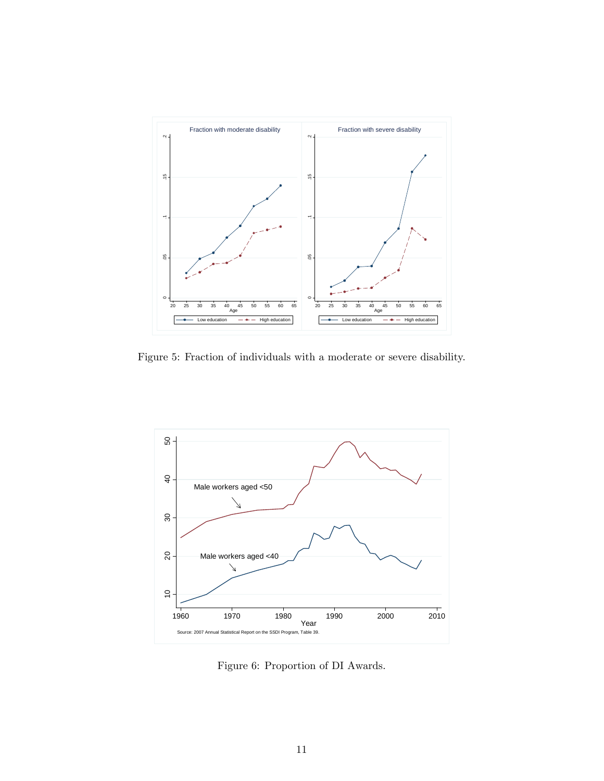

Figure 5: Fraction of individuals with a moderate or severe disability.



Figure 6: Proportion of DI Awards.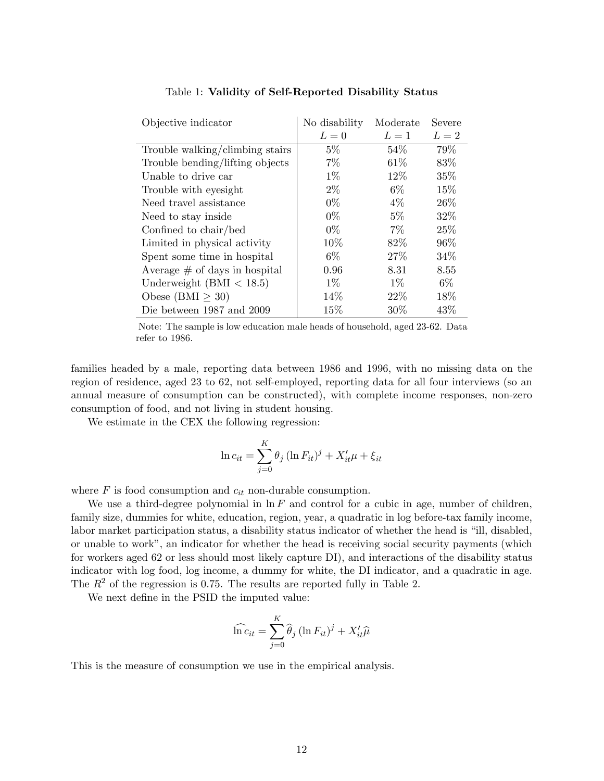| Objective indicator              | No disability | Moderate | Severe |
|----------------------------------|---------------|----------|--------|
|                                  | $L=0$         | $L=1$    | $L=2$  |
| Trouble walking/climbing stairs  | $5\%$         | 54\%     | 79%    |
| Trouble bending/lifting objects  | $7\%$         | 61\%     | 83%    |
| Unable to drive car              | $1\%$         | 12%      | 35%    |
| Trouble with eyesight            | $2\%$         | $6\%$    | 15\%   |
| Need travel assistance           | $0\%$         | $4\%$    | 26\%   |
| Need to stay inside              | $0\%$         | $5\%$    | 32%    |
| Confined to chair/bed            | $0\%$         | $7\%$    | 25%    |
| Limited in physical activity     | 10%           | 82\%     | 96%    |
| Spent some time in hospital      | $6\%$         | 27%      | 34\%   |
| Average $\#$ of days in hospital | 0.96          | 8.31     | 8.55   |
| Underweight $(BMI < 18.5)$       | $1\%$         | $1\%$    | $6\%$  |
| Obese (BMI $\geq 30$ )           | 14%           | 22%      | 18%    |
| Die between 1987 and 2009        | 15%           | 30%      | 43\%   |

Table 1: Validity of Self-Reported Disability Status

Note: The sample is low education male heads of household, aged 23-62. Data refer to 1986.

families headed by a male, reporting data between 1986 and 1996, with no missing data on the region of residence, aged 23 to 62, not self-employed, reporting data for all four interviews (so an annual measure of consumption can be constructed), with complete income responses, non-zero consumption of food, and not living in student housing.

We estimate in the CEX the following regression:

$$
\ln c_{it} = \sum_{j=0}^{K} \theta_j \left( \ln F_{it} \right)^j + X'_{it} \mu + \xi_{it}
$$

where  $F$  is food consumption and  $c_{it}$  non-durable consumption.

We use a third-degree polynomial in  $\ln F$  and control for a cubic in age, number of children, family size, dummies for white, education, region, year, a quadratic in log before-tax family income, labor market participation status, a disability status indicator of whether the head is "ill, disabled, or unable to work", an indicator for whether the head is receiving social security payments (which for workers aged 62 or less should most likely capture DI), and interactions of the disability status indicator with log food, log income, a dummy for white, the DI indicator, and a quadratic in age. The  $R^2$  of the regression is 0.75. The results are reported fully in Table 2.

We next define in the PSID the imputed value:

$$
\widehat{\ln c}_{it} = \sum_{j=0}^{K} \widehat{\theta}_{j} (\ln F_{it})^{j} + X_{it}' \widehat{\mu}
$$

This is the measure of consumption we use in the empirical analysis.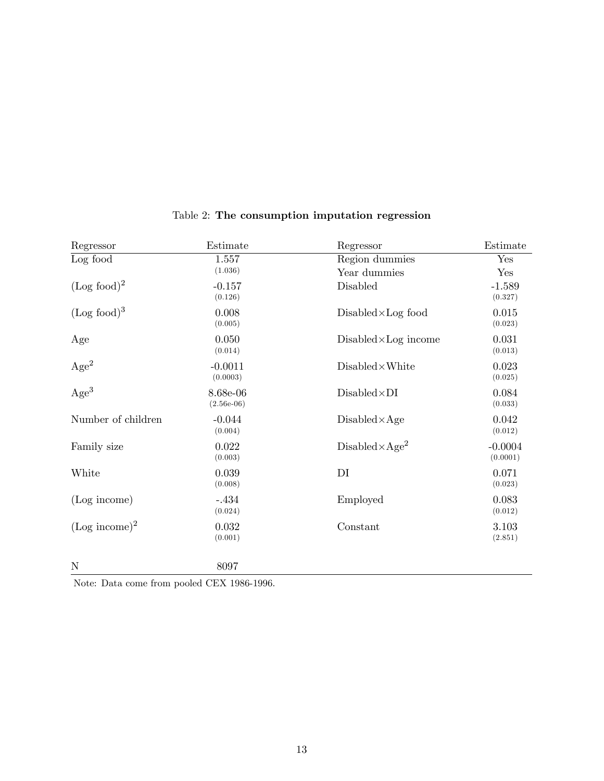| Regressor               | Estimate                 | Regressor                      | Estimate                   |
|-------------------------|--------------------------|--------------------------------|----------------------------|
| Log food                | 1.557<br>(1.036)         | Region dummies<br>Year dummies | Yes                        |
| $(Log food)^2$          | $-0.157$<br>(0.126)      | Disabled                       | Yes<br>$-1.589$<br>(0.327) |
| (Log food) <sup>3</sup> | 0.008<br>(0.005)         | $Disable d \times Log$ food    | 0.015<br>(0.023)           |
| Age                     | 0.050<br>(0.014)         | $Disabeled \times Log$ income  | 0.031<br>(0.013)           |
| $\rm{Age}^2$            | $-0.0011$<br>(0.0003)    | $Disable d \times White$       | 0.023<br>(0.025)           |
| Age <sup>3</sup>        | 8.68e-06<br>$(2.56e-06)$ | $Disable d \times DI$          | 0.084<br>(0.033)           |
| Number of children      | $-0.044$<br>(0.004)      | $Disable d \times Age$         | 0.042<br>(0.012)           |
| Family size             | 0.022<br>(0.003)         | $Disable d \times Age^2$       | $-0.0004$<br>(0.0001)      |
| White                   | 0.039<br>(0.008)         | DI                             | 0.071<br>(0.023)           |
| (Log income)            | $-.434$<br>(0.024)       | Employed                       | 0.083<br>(0.012)           |
| $(Log income)^2$        | 0.032<br>(0.001)         | Constant                       | 3.103<br>(2.851)           |
| $\mathbf N$             | 8097                     |                                |                            |

# Table 2: The consumption imputation regression

Note: Data come from pooled CEX 1986-1996.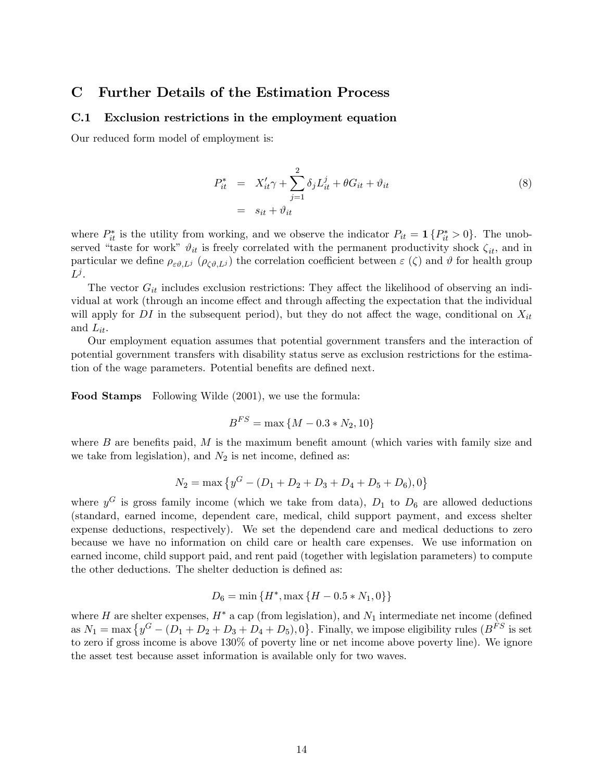#### **Further Details of the Estimation Process**  $\mathbf C$

#### $C.1$ Exclusion restrictions in the employment equation

Our reduced form model of employment is:

$$
P_{it}^{*} = X_{it}' \gamma + \sum_{j=1}^{2} \delta_j L_{it}^j + \theta G_{it} + \vartheta_{it}
$$
  

$$
= s_{it} + \vartheta_{it}
$$
 (8)

where  $P_{it}^*$  is the utility from working, and we observe the indicator  $P_{it} = \mathbf{1} \{P_{it}^* > 0\}$ . The unobserved "taste for work"  $\vartheta_{it}$  is freely correlated with the permanent productivity shock  $\zeta_{it}$ , and in particular we define  $\rho_{\varepsilon\vartheta,L^j}$  ( $\rho_{\zeta\vartheta,L^j}$ ) the correlation coefficient between  $\varepsilon(\zeta)$  and  $\vartheta$  for health group  $L^j$ .

The vector  $G_{it}$  includes exclusion restrictions: They affect the likelihood of observing an individual at work (through an income effect and through affecting the expectation that the individual will apply for DI in the subsequent period), but they do not affect the wage, conditional on  $X_{it}$ and  $L_{it}$ .

Our employment equation assumes that potential government transfers and the interaction of potential government transfers with disability status serve as exclusion restrictions for the estimation of the wage parameters. Potential benefits are defined next.

**Food Stamps** Following Wilde (2001), we use the formula:

$$
B^{FS} = \max\left\{M - 0.3 * N_2, 10\right\}
$$

where  $B$  are benefits paid,  $M$  is the maximum benefit amount (which varies with family size and we take from legislation), and  $N_2$  is net income, defined as:

$$
N_2 = \max \left\{ y^G - (D_1 + D_2 + D_3 + D_4 + D_5 + D_6), 0 \right\}
$$

where  $y^G$  is gross family income (which we take from data),  $D_1$  to  $D_6$  are allowed deductions (standard, earned income, dependent care, medical, child support payment, and excess shelter expense deductions, respectively). We set the dependend care and medical deductions to zero because we have no information on child care or health care expenses. We use information on earned income, child support paid, and rent paid (together with legislation parameters) to compute the other deductions. The shelter deduction is defined as:

$$
D_6 = \min\{H^*, \max\{H - 0.5*N_1, 0\}\}
$$

where H are shelter expenses,  $H^*$  a cap (from legislation), and  $N_1$  intermediate net income (defined as  $N_1 = \max \{y^G - (D_1 + D_2 + D_3 + D_4 + D_5), 0\}$ . Finally, we impose eligibility rules  $(B^{FS})$  is set to zero if gross income is above 130% of poverty line or net income above poverty line). We ignore the asset test because asset information is available only for two waves.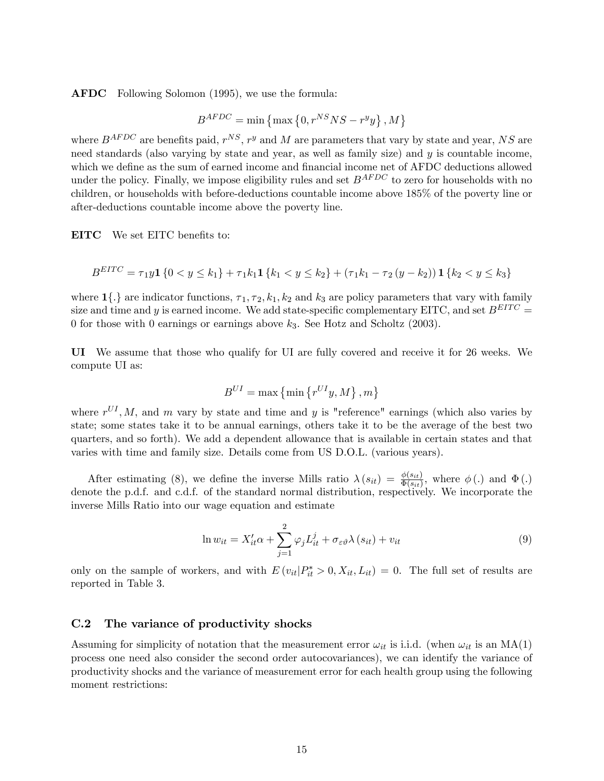AFDC Following Solomon (1995), we use the formula:

$$
B^{AFDC} = \min\left\{\max\left\{0, r^{NS}NS - r^yy\right\}, M\right\}
$$

where  $B^{AFDC}$  are benefits paid,  $r^{NS}$ ,  $r^y$  and M are parameters that vary by state and year, NS are need standards (also varying by state and year, as well as family size) and  $\eta$  is countable income. which we define as the sum of earned income and financial income net of AFDC deductions allowed under the policy. Finally, we impose eligibility rules and set  $B^{AFDC}$  to zero for households with no children, or households with before-deductions countable income above 185% of the poverty line or after-deductions countable income above the poverty line.

EITC We set EITC benefits to:

$$
B^{EITC} = \tau_1 y \mathbf{1} \{ 0 < y \le k_1 \} + \tau_1 k_1 \mathbf{1} \{ k_1 < y \le k_2 \} + (\tau_1 k_1 - \tau_2 (y - k_2)) \mathbf{1} \{ k_2 < y \le k_3 \}
$$

where  $1\{\cdot\}$  are indicator functions,  $\tau_1, \tau_2, k_1, k_2$  and  $k_3$  are policy parameters that vary with family size and time and y is earned income. We add state-specific complementary EITC, and set  $B^{ETTC}$  = 0 for those with 0 earnings or earnings above  $k_3$ . See Hotz and Scholtz (2003).

UI We assume that those who qualify for UI are fully covered and receive it for 26 weeks. We compute UI as:

$$
B^{UI} = \max\left\{\min\left\{r^{UI}y, M\right\}, m\right\}
$$

where  $r^{UI}, M$ , and m vary by state and time and y is "reference" earnings (which also varies by state; some states take it to be annual earnings, others take it to be the average of the best two quarters, and so forth). We add a dependent allowance that is available in certain states and that varies with time and family size. Details come from US D.O.L. (various years).

After estimating (8), we define the inverse Mills ratio  $\lambda(s_{it}) = \frac{\phi(s_{it})}{\Phi(s_{it})}$ , where  $\phi(.)$  and  $\Phi(.)$ denote the p.d.f. and c.d.f. of the standard normal distribution, respectively. We incorporate the inverse Mills Ratio into our wage equation and estimate

$$
\ln w_{it} = X'_{it}\alpha + \sum_{j=1}^{2} \varphi_j L^j_{it} + \sigma_{\varepsilon\vartheta} \lambda(s_{it}) + v_{it}
$$
\n(9)

only on the sample of workers, and with  $E(v_{it}|P_{it}^* > 0, X_{it}, L_{it}) = 0$ . The full set of results are reported in Table 3.

#### C.2 The variance of productivity shocks

Assuming for simplicity of notation that the measurement error  $\omega_{it}$  is i.i.d. (when  $\omega_{it}$  is an MA(1) process one need also consider the second order autocovariances), we can identify the variance of productivity shocks and the variance of measurement error for each health group using the following moment restrictions: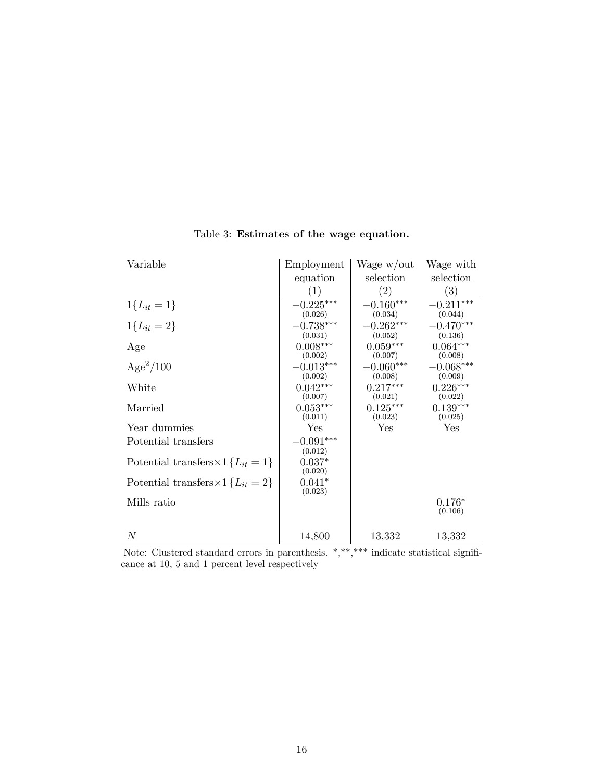| Variable                                       | Employment                        | Wage w/out                        | Wage with                         |
|------------------------------------------------|-----------------------------------|-----------------------------------|-----------------------------------|
|                                                | equation                          | selection                         | selection                         |
|                                                | $\left( 1\right)$                 | $\left( 2\right)$                 | (3)                               |
| $1\{L_{it} = 1\}$                              | $-0.225***$                       | $-0.160***$                       | $-0.211***$                       |
| $1{L_{it} = 2}$                                | (0.026)<br>$-0.738***$<br>(0.031) | (0.034)<br>$-0.262***$<br>(0.052) | (0.044)<br>$-0.470***$<br>(0.136) |
| Age                                            | $0.008***$<br>(0.002)             | $0.059***$<br>(0.007)             | $0.064***$<br>(0.008)             |
| $Age^2/100$                                    | $-0.013***$<br>(0.002)            | $-0.060***$<br>(0.008)            | $-0.068***$<br>(0.009)            |
| White                                          | $0.042***$<br>(0.007)             | $0.217***$<br>(0.021)             | $0.226***$<br>(0.022)             |
| Married                                        | $0.053***$<br>(0.011)             | $0.125***$<br>(0.023)             | $0.139***$<br>(0.025)             |
| Year dummies                                   | Yes                               | Yes                               | Yes                               |
| Potential transfers                            | $-0.091***$<br>(0.012)            |                                   |                                   |
| Potential transfers $\times$ 1 { $L_{it}$ = 1} | $0.037*$<br>(0.020)               |                                   |                                   |
| Potential transfers $\times$ 1 { $L_{it}$ = 2} | $0.041*$<br>(0.023)               |                                   |                                   |
| Mills ratio                                    |                                   |                                   | $0.176*$<br>(0.106)               |
| $\,N$                                          | 14,800                            | 13,332                            | 13,332                            |

# Table 3: Estimates of the wage equation.

Note: Clustered standard errors in parenthesis. \*,\*\*,\*\*\* indicate statistical significance at 10, 5 and 1 percent level respectively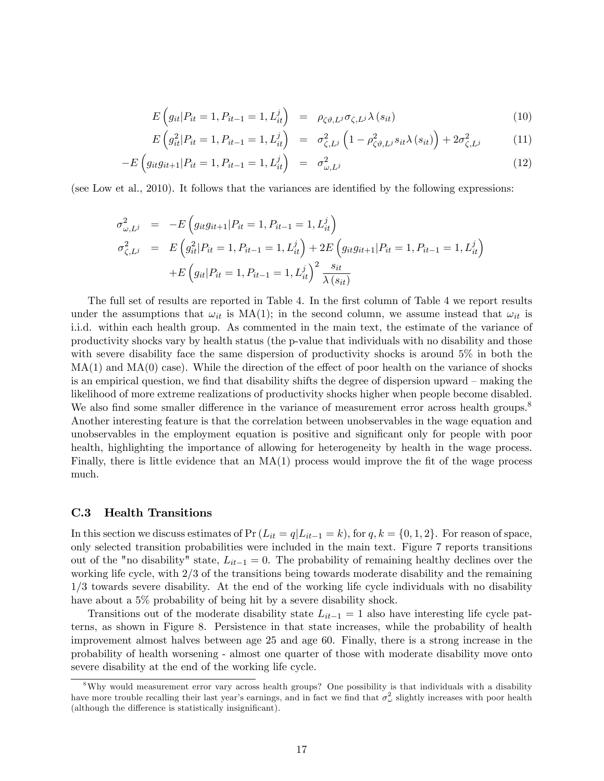$$
E\left(g_{it}|P_{it}=1,P_{it-1}=1,L_{it}^j\right) = \rho_{\zeta\vartheta,L^j}\sigma_{\zeta,L^j}\lambda\left(s_{it}\right)
$$
\n(10)

$$
E\left(g_{it}^2|P_{it}=1, P_{it-1}=1, L_{it}^j\right) = \sigma_{\zeta, L^j}^2 \left(1 - \rho_{\zeta \vartheta, L^j}^2 s_{it}\lambda\left(s_{it}\right)\right) + 2\sigma_{\zeta, L^j}^2 \tag{11}
$$

$$
-E\left(g_{it}g_{it+1}|P_{it}=1, P_{it-1}=1, L_{it}^{j}\right) = \sigma_{\omega, L^{j}}^{2}
$$
\n(12)

(see Low et al.,  $2010$ ). It follows that the variances are identified by the following expressions:

$$
\sigma_{\omega,L^j}^2 = -E \left( g_{it} g_{it+1} | P_{it} = 1, P_{it-1} = 1, L_{it}^j \right)
$$
  
\n
$$
\sigma_{\zeta,L^j}^2 = E \left( g_{it}^2 | P_{it} = 1, P_{it-1} = 1, L_{it}^j \right) + 2E \left( g_{it} g_{it+1} | P_{it} = 1, P_{it-1} = 1, L_{it}^j \right)
$$
  
\n
$$
+ E \left( g_{it} | P_{it} = 1, P_{it-1} = 1, L_{it}^j \right)^2 \frac{s_{it}}{\lambda (s_{it})}
$$

The full set of results are reported in Table 4. In the first column of Table 4 we report results under the assumptions that  $\omega_{it}$  is MA(1); in the second column, we assume instead that  $\omega_{it}$  is i.i.d. within each health group. As commented in the main text, the estimate of the variance of productivity shocks vary by health status (the p-value that individuals with no disability and those with severe disability face the same dispersion of productivity shocks is around 5% in both the  $MA(1)$  and  $MA(0)$  case). While the direction of the effect of poor health on the variance of shocks is an empirical question, we find that disability shifts the degree of dispersion upward  $-$  making the likelihood of more extreme realizations of productivity shocks higher when people become disabled. We also find some smaller difference in the variance of measurement error across health groups.<sup>8</sup> Another interesting feature is that the correlation between unobservables in the wage equation and unobservables in the employment equation is positive and significant only for people with poor health, highlighting the importance of allowing for heterogeneity by health in the wage process. Finally, there is little evidence that an  $MA(1)$  process would improve the fit of the wage process much.

#### C.3 Health Transitions

In this section we discuss estimates of  $Pr(L_{it} = q|L_{it-1} = k)$ , for  $q, k = \{0, 1, 2\}$ . For reason of space, only selected transition probabilities were included in the main text. Figure 7 reports transitions out of the "no disability" state,  $L_{it-1} = 0$ . The probability of remaining healthy declines over the working life cycle, with 2/3 of the transitions being towards moderate disability and the remaining 1/3 towards severe disability. At the end of the working life cycle individuals with no disability have about a 5% probability of being hit by a severe disability shock.

Transitions out of the moderate disability state  $L_{it-1} = 1$  also have interesting life cycle patterns, as shown in Figure 8. Persistence in that state increases, while the probability of health improvement almost halves between age 25 and age 60. Finally, there is a strong increase in the probability of health worsening - almost one quarter of those with moderate disability move onto severe disability at the end of the working life cycle.

<sup>8</sup>Why would measurement error vary across health groups? One possibility is that individuals with a disability have more trouble recalling their last year's earnings, and in fact we find that  $\sigma_\omega^2$  slightly increases with poor health (although the difference is statistically insignificant).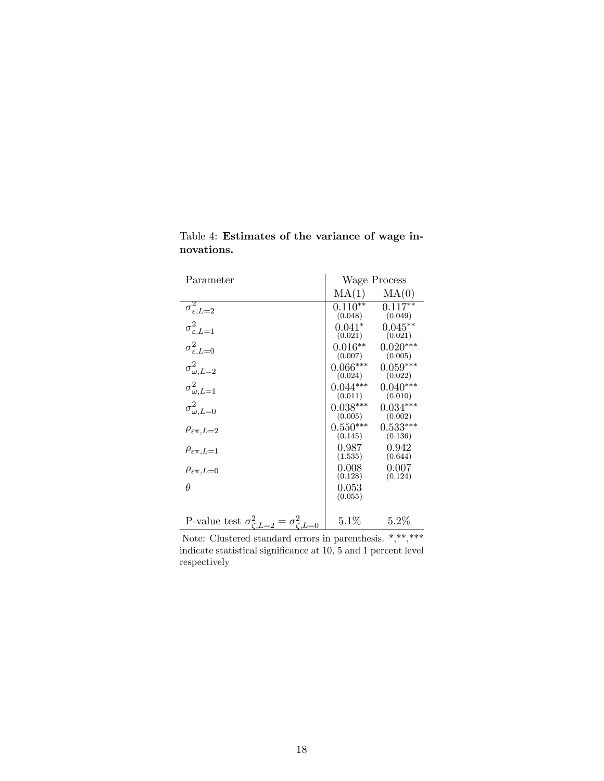| Parameter                                                  | Wage Process           |                       |
|------------------------------------------------------------|------------------------|-----------------------|
|                                                            | MA(1)                  | MA(0)                 |
| $\sigma_{\varepsilon,L=2}^2$                               | $0.110**$<br>(0.048)   | $0.117**$<br>(0.049)  |
| $\sigma_{\varepsilon,L=1}^2$                               | $0.041*$<br>(0.021)    | $0.045**$<br>(0.021)  |
| $\sigma_{\varepsilon,L=0}^2$                               | $0.016**$<br>(0.007)   | $0.020***$<br>(0.005) |
| $\sigma_{\omega,L=2}^2$                                    | $0.066***$<br>(0.024)  | $0.059***$<br>(0.022) |
| $\sigma_{\omega,L=1}^2$                                    | $0.044***$<br>(0.011)  | $0.040***$<br>(0.010) |
| $\sigma_{\omega,L=0}^2$                                    | $0.038***$<br>(0.005)  | $0.034***$<br>(0.002) |
| $\rho_{\varepsilon\pi,L=2}$                                | $0.550***$<br>(0.145)  | $0.533***$<br>(0.136) |
| $\rho_{\varepsilon\pi,L=1}$                                | $0.987\,$<br>(1.535)   | 0.942<br>(0.644)      |
| $\rho_{\varepsilon\pi,L=0}$                                | 0.008<br>(0.128)       | 0.007<br>(0.124)      |
| $\theta$                                                   | $\,0.053\,$<br>(0.055) |                       |
|                                                            |                        |                       |
| P-value test $\sigma_{\zeta,L=2}^2 = \sigma_{\zeta,L=0}^2$ | $5.1\%$                | 5.2%                  |

Table 4: Estimates of the variance of wage innovations.

Note: Clustered standard errors in parenthesis. \*,\*\*,\*\*\* indicate statistical significance at 10, 5 and 1 percent level respectively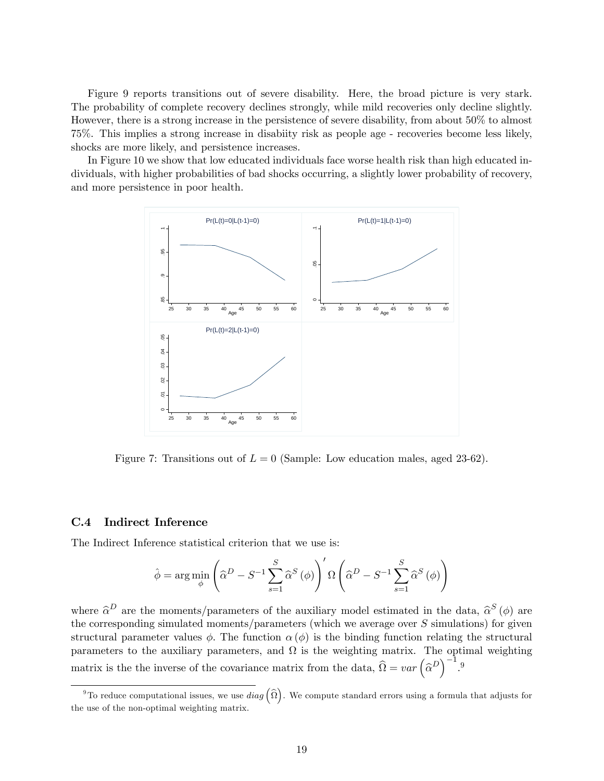Figure 9 reports transitions out of severe disability. Here, the broad picture is very stark. The probability of complete recovery declines strongly, while mild recoveries only decline slightly. However, there is a strong increase in the persistence of severe disability, from about 50% to almost 75%. This implies a strong increase in disabiity risk as people age - recoveries become less likely, shocks are more likely, and persistence increases.

In Figure 10 we show that low educated individuals face worse health risk than high educated individuals, with higher probabilities of bad shocks occurring, a slightly lower probability of recovery, and more persistence in poor health.



Figure 7: Transitions out of  $L = 0$  (Sample: Low education males, aged 23-62).

### C.4 Indirect Inference

The Indirect Inference statistical criterion that we use is:

$$
\hat{\phi} = \arg\min_{\phi} \left( \hat{\alpha}^D - S^{-1} \sum_{s=1}^S \hat{\alpha}^S (\phi) \right)' \Omega \left( \hat{\alpha}^D - S^{-1} \sum_{s=1}^S \hat{\alpha}^S (\phi) \right)
$$

where  $\hat{\alpha}^D$  are the moments/parameters of the auxiliary model estimated in the data,  $\hat{\alpha}^S(\phi)$  are the corresponding simulated moments/parameters (which we average over S simulations) for given structural parameter values  $\phi$ . The function  $\alpha(\phi)$  is the binding function relating the structural parameters to the auxiliary parameters, and  $\Omega$  is the weighting matrix. The optimal weighting matrix is the the inverse of the covariance matrix from the data,  $\widehat{\Omega} = var \left( \widehat{\alpha}^D \right)^{-1}$ .<sup>9</sup>

<sup>&</sup>lt;sup>9</sup>To reduce computational issues, we use  $diag\left(\widehat{\Omega}\right)$ . We compute standard errors using a formula that adjusts for the use of the non-optimal weighting matrix.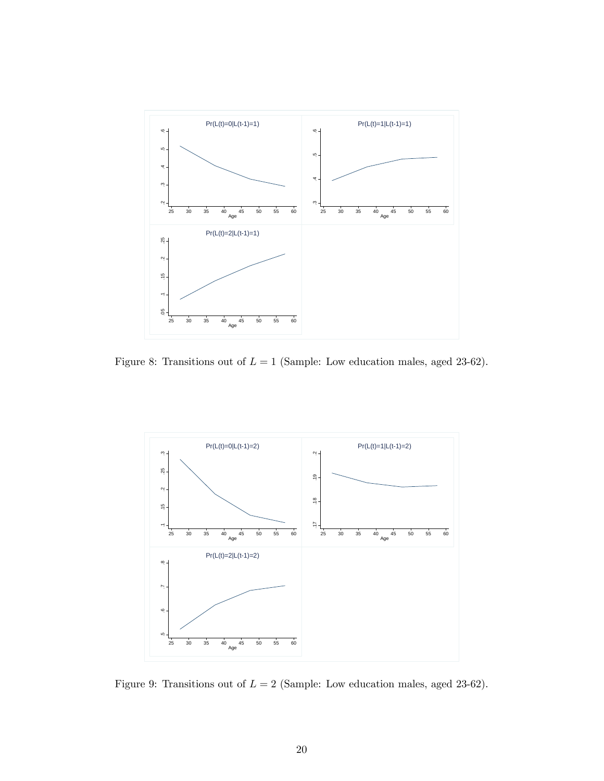

Figure 8: Transitions out of  $L = 1$  (Sample: Low education males, aged 23-62).



Figure 9: Transitions out of  $L = 2$  (Sample: Low education males, aged 23-62).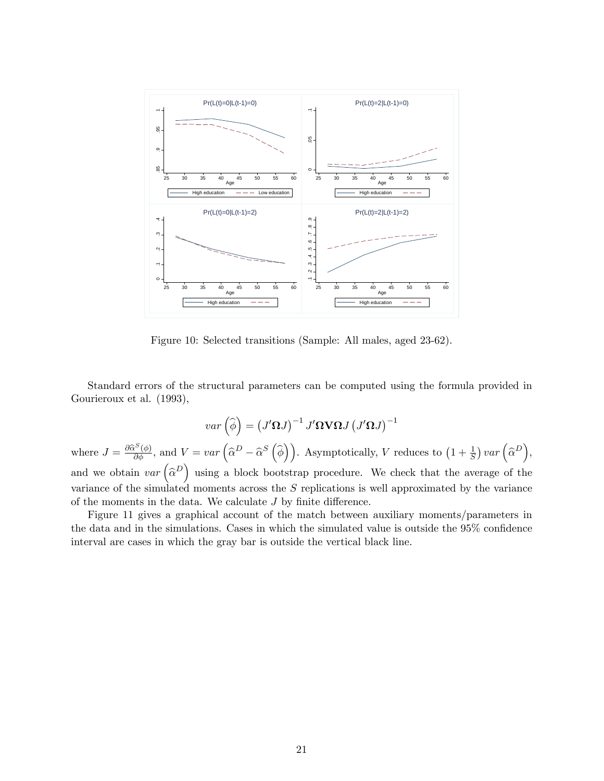

Figure 10: Selected transitions (Sample: All males, aged 23-62).

Standard errors of the structural parameters can be computed using the formula provided in Gourieroux et al. (1993),

$$
var\left(\widehat{\phi}\right) = \left(J'\Omega J\right)^{-1} J'\Omega \mathbf{V} \Omega J \left(J'\Omega J\right)^{-1}
$$
  
where  $J = \frac{\partial \widehat{\alpha}^{S}(\phi)}{\partial \phi}$ , and  $V = var\left(\widehat{\alpha}^{D} - \widehat{\alpha}^{S}\left(\widehat{\phi}\right)\right)$ . Asymptotically, V reduces to  $\left(1 + \frac{1}{S}\right) var\left(\widehat{\alpha}^{D}\right)$ ,  
and we obtain  $var\left(\widehat{\alpha}^{D}\right)$  using a block bootstrap procedure. We check that the average of the  
variance of the simulated moments across the S replications is well approximated by the variance  
of the moments in the data. We calculate J by finite difference.

Figure 11 gives a graphical account of the match between auxiliary moments/parameters in the data and in the simulations. Cases in which the simulated value is outside the  $95\%$  confidence interval are cases in which the gray bar is outside the vertical black line.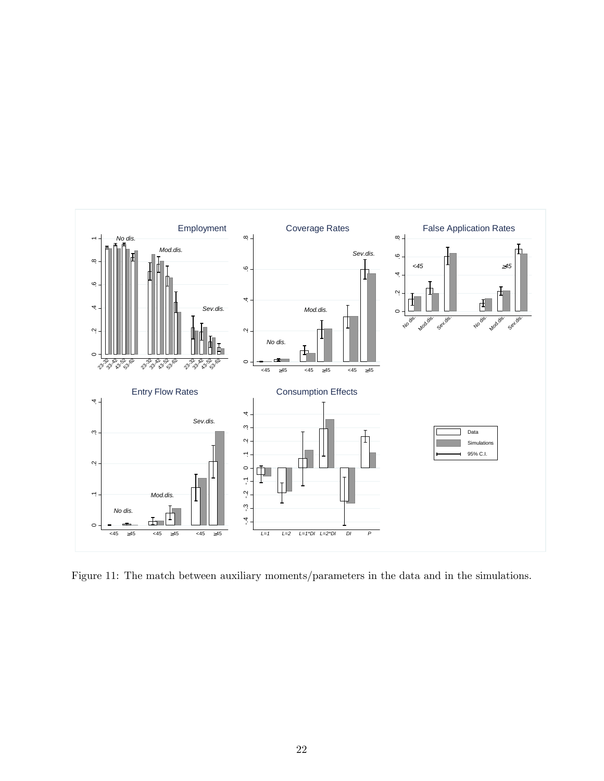

Figure 11: The match between auxiliary moments/parameters in the data and in the simulations.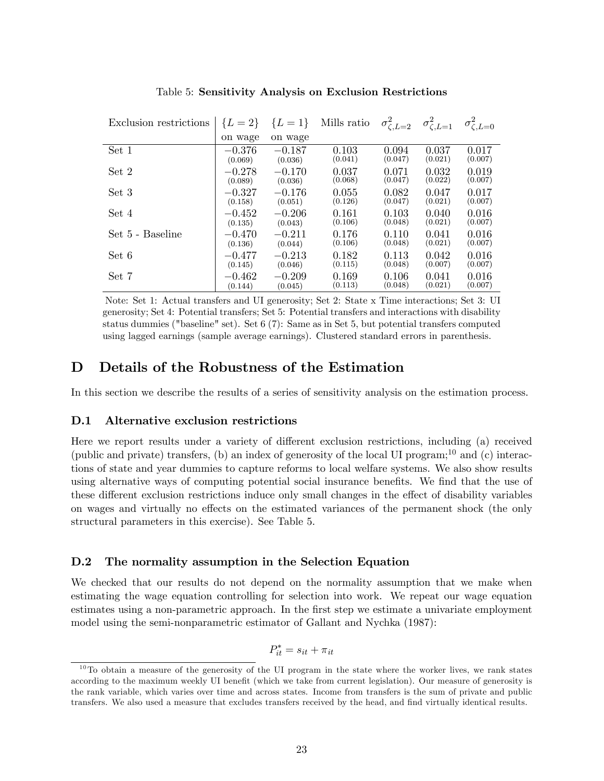| Exclusion restrictions | ${L = 2}$ | ${L = 1}$ | Mills ratio | $\sigma_{\zeta,L=2}^2$ | $\sigma_{\zeta,L=1}^2$ | $\sigma_{\zeta,L=0}^2$ |
|------------------------|-----------|-----------|-------------|------------------------|------------------------|------------------------|
|                        | on wage   | on wage   |             |                        |                        |                        |
| Set 1                  | $-0.376$  | $-0.187$  | 0.103       | 0.094                  | 0.037                  | 0.017                  |
|                        | (0.069)   | (0.036)   | (0.041)     | (0.047)                | (0.021)                | (0.007)                |
| Set 2                  | $-0.278$  | $-0.170$  | 0.037       | 0.071                  | 0.032                  | 0.019                  |
|                        | (0.089)   | (0.036)   | (0.068)     | (0.047)                | (0.022)                | (0.007)                |
| Set 3                  | $-0.327$  | $-0.176$  | 0.055       | 0.082                  | 0.047                  | 0.017                  |
|                        | (0.158)   | (0.051)   | (0.126)     | (0.047)                | (0.021)                | (0.007)                |
| Set 4                  | $-0.452$  | $-0.206$  | 0.161       | 0.103                  | 0.040                  | 0.016                  |
|                        | (0.135)   | (0.043)   | (0.106)     | (0.048)                | (0.021)                | (0.007)                |
| Set 5 - Baseline       | $-0.470$  | $-0.211$  | 0.176       | 0.110                  | 0.041                  | 0.016                  |
|                        | (0.136)   | (0.044)   | (0.106)     | (0.048)                | (0.021)                | (0.007)                |
| Set 6                  | $-0.477$  | $-0.213$  | 0.182       | 0.113                  | 0.042                  | 0.016                  |
|                        | (0.145)   | (0.046)   | (0.115)     | (0.048)                | (0.007)                | (0.007)                |
| Set 7                  | $-0.462$  | $-0.209$  | 0.169       | 0.106                  | 0.041                  | 0.016                  |
|                        | (0.144)   | (0.045)   | (0.113)     | (0.048)                | (0.021)                | (0.007)                |

Table 5: Sensitivity Analysis on Exclusion Restrictions

Note: Set 1: Actual transfers and UI generosity; Set 2: State x Time interactions; Set 3: UI generosity; Set 4: Potential transfers; Set 5: Potential transfers and interactions with disability status dummies ("baseline" set). Set 6 (7): Same as in Set 5, but potential transfers computed using lagged earnings (sample average earnings). Clustered standard errors in parenthesis.

# D Details of the Robustness of the Estimation

In this section we describe the results of a series of sensitivity analysis on the estimation process.

## D.1 Alternative exclusion restrictions

Here we report results under a variety of different exclusion restrictions, including (a) received (public and private) transfers, (b) an index of generosity of the local UI program;<sup>10</sup> and (c) interactions of state and year dummies to capture reforms to local welfare systems. We also show results using alternative ways of computing potential social insurance benefits. We find that the use of these different exclusion restrictions induce only small changes in the effect of disability variables on wages and virtually no effects on the estimated variances of the permanent shock (the only structural parameters in this exercise). See Table 5.

## D.2 The normality assumption in the Selection Equation

We checked that our results do not depend on the normality assumption that we make when estimating the wage equation controlling for selection into work. We repeat our wage equation estimates using a non-parametric approach. In the first step we estimate a univariate employment model using the semi-nonparametric estimator of Gallant and Nychka (1987):

$$
P_{it}^* = s_{it} + \pi_{it}
$$

 $10$ To obtain a measure of the generosity of the UI program in the state where the worker lives, we rank states according to the maximum weekly UI benefit (which we take from current legislation). Our measure of generosity is the rank variable, which varies over time and across states. Income from transfers is the sum of private and public transfers. We also used a measure that excludes transfers received by the head, and Önd virtually identical results.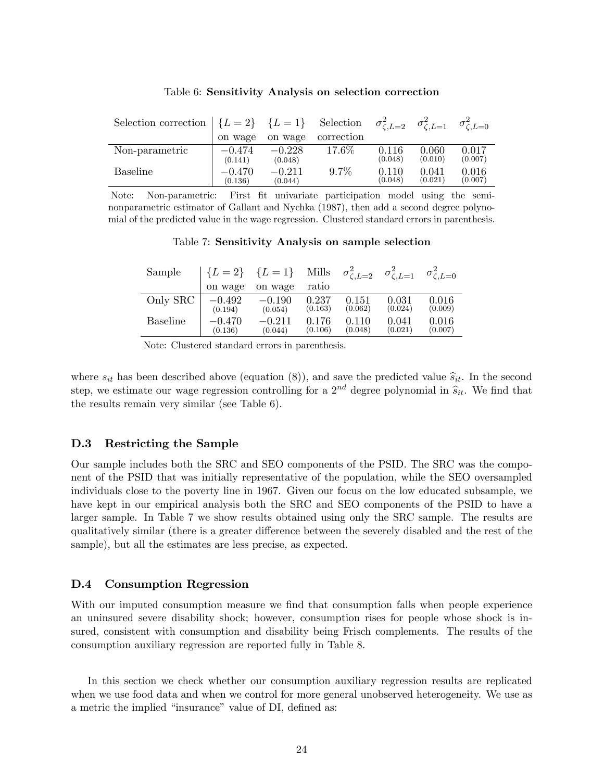| Selection correction $\{L=2\}$ $\{L=1\}$ Selection $\sigma_{\zeta,L=2}^2$ $\sigma_{\zeta,L=1}^2$ |                     |                     |            |                  |                  | $\sigma_{\zeta,L=0}^2$ |
|--------------------------------------------------------------------------------------------------|---------------------|---------------------|------------|------------------|------------------|------------------------|
|                                                                                                  | on wage             | on wage             | correction |                  |                  |                        |
| Non-parametric                                                                                   | $-0.474$<br>(0.141) | $-0.228$<br>(0.048) | 17.6%      | 0.116<br>(0.048) | 0.060<br>(0.010) | 0.017<br>(0.007)       |
| <b>Baseline</b>                                                                                  | $-0.470$<br>(0.136) | $-0.211$<br>(0.044) | $9.7\%$    | 0.110<br>(0.048) | 0.041<br>(0.021) | 0.016<br>(0.007)       |

#### Table 6: Sensitivity Analysis on selection correction

Note: Non-parametric: First Öt univariate participation model using the seminonparametric estimator of Gallant and Nychka (1987), then add a second degree polynomial of the predicted value in the wage regression. Clustered standard errors in parenthesis.

#### Table 7: Sensitivity Analysis on sample selection

| Sample          | ${L = 2}$ | ${L = 1}$ | Mills   | $\sigma^2_{\zeta,L=2}$ | $\sigma_{\zeta,L=1}^2$ | $\sigma_{c,L=0}^2$ |
|-----------------|-----------|-----------|---------|------------------------|------------------------|--------------------|
|                 | on wage   | on wage   | ratio   |                        |                        |                    |
| Only SRC        | $-0.492$  | $-0.190$  | 0.237   | 0.151                  | 0.031                  | 0.016              |
|                 | (0.194)   | (0.054)   | (0.163) | (0.062)                | (0.024)                | (0.009)            |
| <b>Baseline</b> | $-0.470$  | $-0.211$  | 0.176   | 0.110                  | 0.041                  | 0.016              |
|                 | (0.136)   | (0.044)   | (0.106) | (0.048)                | (0.021)                | (0.007)            |

Note: Clustered standard errors in parenthesis.

where  $s_{it}$  has been described above (equation (8)), and save the predicted value  $\hat{s}_{it}$ . In the second step, we estimate our wage regression controlling for a  $2^{nd}$  degree polynomial in  $\hat{s}_{it}$ . We find that the results remain very similar (see Table 6).

# D.3 Restricting the Sample

Our sample includes both the SRC and SEO components of the PSID. The SRC was the component of the PSID that was initially representative of the population, while the SEO oversampled individuals close to the poverty line in 1967. Given our focus on the low educated subsample, we have kept in our empirical analysis both the SRC and SEO components of the PSID to have a larger sample. In Table 7 we show results obtained using only the SRC sample. The results are qualitatively similar (there is a greater difference between the severely disabled and the rest of the sample), but all the estimates are less precise, as expected.

## D.4 Consumption Regression

With our imputed consumption measure we find that consumption falls when people experience an uninsured severe disability shock; however, consumption rises for people whose shock is insured, consistent with consumption and disability being Frisch complements. The results of the consumption auxiliary regression are reported fully in Table 8.

In this section we check whether our consumption auxiliary regression results are replicated when we use food data and when we control for more general unobserved heterogeneity. We use as a metric the implied "insurance" value of DI, defined as: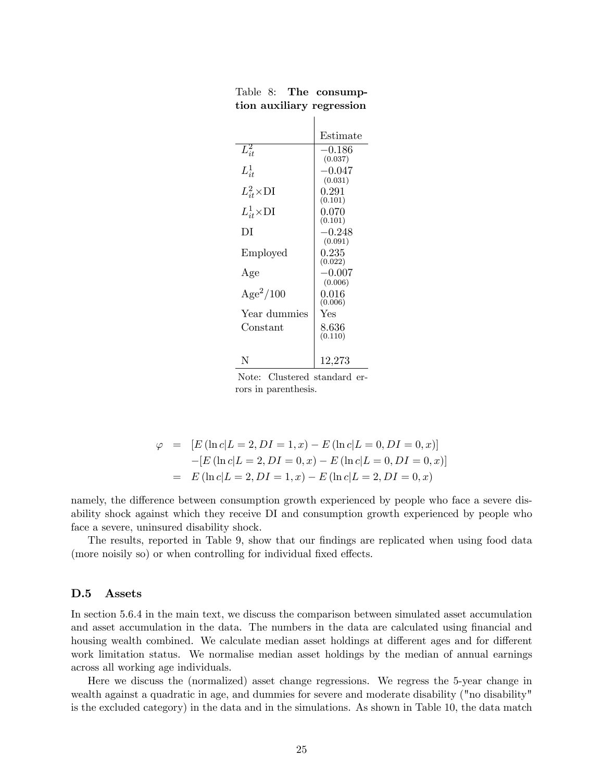|                      | Estimate    |
|----------------------|-------------|
| $L_{it}^2$           | $-0.186$    |
|                      | (0.037)     |
| $L_{it}^1$           | $-0.047$    |
|                      | (0.031)     |
| $L_{it}^2 \times DI$ | 0.291       |
|                      | (0.101)     |
| $L^1_{it}$ ×DI       | 0.070       |
|                      | (0.101)     |
| DI                   | $-0.248$    |
|                      | (0.091)     |
| Employed             | $\rm 0.235$ |
|                      | (0.022)     |
| Age                  | $-0.007$    |
|                      | (0.006)     |
| $Age^2/100$          | 0.016       |
|                      | (0.006)     |
| Year dummies         | Yes         |
| Constant             | 8.636       |
|                      | (0.110)     |
|                      |             |
|                      |             |
| N                    | 12,273      |

Table 8: The consumption auxiliary regression

Note: Clustered standard errors in parenthesis.

$$
\varphi = [E (\ln c | L = 2, DI = 1, x) - E (\ln c | L = 0, DI = 0, x)]
$$
  
-[E (\ln c | L = 2, DI = 0, x) - E (\ln c | L = 0, DI = 0, x)]  
= E (\ln c | L = 2, DI = 1, x) - E (\ln c | L = 2, DI = 0, x)

namely, the difference between consumption growth experienced by people who face a severe disability shock against which they receive DI and consumption growth experienced by people who face a severe, uninsured disability shock.

The results, reported in Table 9, show that our findings are replicated when using food data (more noisily so) or when controlling for individual fixed effects.

## D.5 Assets

In section 5.6.4 in the main text, we discuss the comparison between simulated asset accumulation and asset accumulation in the data. The numbers in the data are calculated using financial and housing wealth combined. We calculate median asset holdings at different ages and for different work limitation status. We normalise median asset holdings by the median of annual earnings across all working age individuals.

Here we discuss the (normalized) asset change regressions. We regress the 5-year change in wealth against a quadratic in age, and dummies for severe and moderate disability ("no disability" is the excluded category) in the data and in the simulations. As shown in Table 10, the data match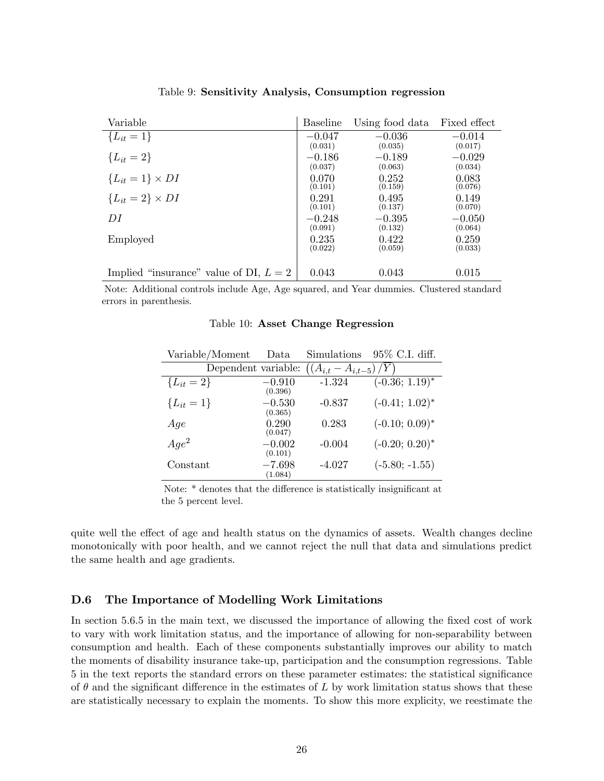| Variable                                 | <b>Baseline</b> | Using food data | Fixed effect |
|------------------------------------------|-----------------|-----------------|--------------|
| ${L_{it} = 1}$                           | $-0.047$        | $-0.036$        | $-0.014$     |
|                                          | (0.031)         | (0.035)         | (0.017)      |
| ${L_{it} = 2}$                           | $-0.186$        | $-0.189$        | $-0.029$     |
|                                          | (0.037)         | (0.063)         | (0.034)      |
| ${L_{it} = 1} \times DI$                 | 0.070           | 0.252           | 0.083        |
|                                          | (0.101)         | (0.159)         | (0.076)      |
| ${L_{it} = 2} \times DI$                 | 0.291           | 0.495           | 0.149        |
|                                          | (0.101)         | (0.137)         | (0.070)      |
| DI                                       | $-0.248$        | $-0.395$        | $-0.050$     |
|                                          | (0.091)         | (0.132)         | (0.064)      |
| Employed                                 | 0.235           | 0.422           | 0.259        |
|                                          | (0.022)         | (0.059)         | (0.033)      |
| Implied "insurance" value of DI, $L = 2$ | 0.043           | 0.043           | 0.015        |

Table 9: Sensitivity Analysis, Consumption regression

Note: Additional controls include Age, Age squared, and Year dummies. Clustered standard errors in parenthesis.

| Variable/Moment     | Data                | Simulations             | $95\%$ C.I. diff. |
|---------------------|---------------------|-------------------------|-------------------|
| Dependent variable: |                     | $((A_{i,t}-A_{i,t-5}))$ |                   |
| ${L_{it} = 2}$      | $-0.910$            | $-1.324$                | $(-0.36; 1.19)^*$ |
|                     | (0.396)             |                         |                   |
| ${L_{it} = 1}$      | $-0.530$            | $-0.837$                | $(-0.41; 1.02)^*$ |
|                     | (0.365)             |                         |                   |
| Age                 | 0.290<br>(0.047)    | 0.283                   | $(-0.10; 0.09)^*$ |
|                     |                     |                         |                   |
| $Age^2$             | $-0.002$<br>(0.101) | $-0.004$                | $(-0.20; 0.20)^*$ |
| Constant            | $-7.698$            | $-4.027$                | $(-5.80; -1.55)$  |
|                     | (1.084)             |                         |                   |

#### Table 10: Asset Change Regression

Note: \* denotes that the difference is statistically insignificant at the 5 percent level.

quite well the effect of age and health status on the dynamics of assets. Wealth changes decline monotonically with poor health, and we cannot reject the null that data and simulations predict the same health and age gradients.

## D.6 The Importance of Modelling Work Limitations

In section 5.6.5 in the main text, we discussed the importance of allowing the fixed cost of work to vary with work limitation status, and the importance of allowing for non-separability between consumption and health. Each of these components substantially improves our ability to match the moments of disability insurance take-up, participation and the consumption regressions. Table 5 in the text reports the standard errors on these parameter estimates: the statistical significance of  $\theta$  and the significant difference in the estimates of L by work limitation status shows that these are statistically necessary to explain the moments. To show this more explicity, we reestimate the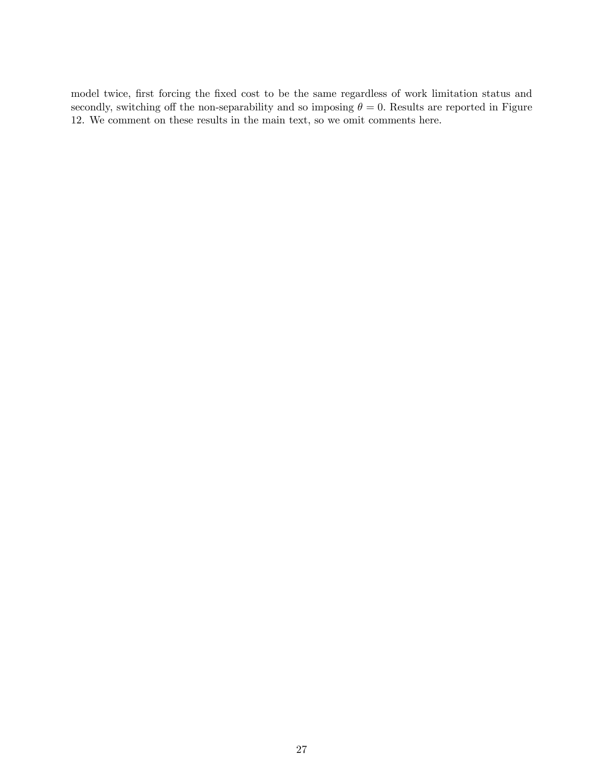model twice, first forcing the fixed cost to be the same regardless of work limitation status and secondly, switching off the non-separability and so imposing  $\theta = 0$ . Results are reported in Figure 12. We comment on these results in the main text, so we omit comments here.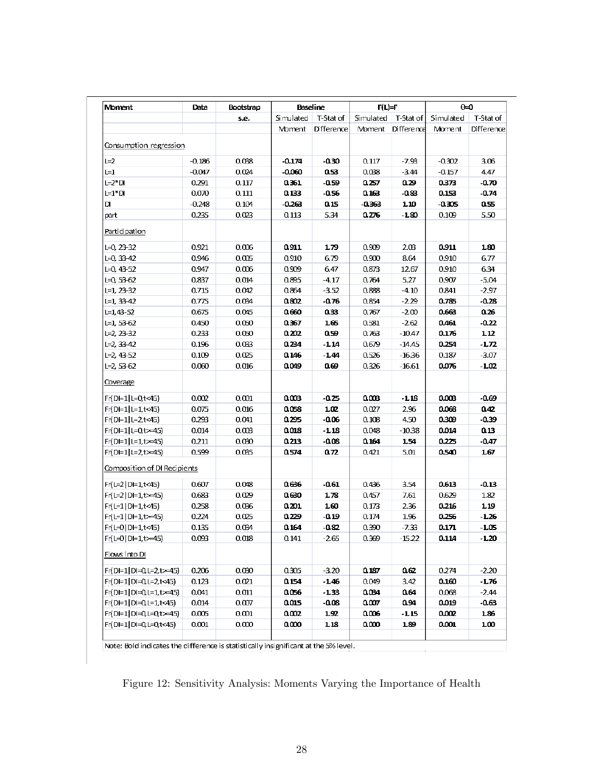| <b>Moment</b>                | Data     | Bootstrap |           | <b>Baseline</b> | $F(L)=F$  |            | $\Theta$ = 0 |            |  |
|------------------------------|----------|-----------|-----------|-----------------|-----------|------------|--------------|------------|--|
|                              |          | s.e.      | Simulated | T-Stat of       | Simulated | T-Stat of  | Simulated    | T-Stat of  |  |
|                              |          |           | Moment    | Difference      | Moment    | Difference | Moment       | Difference |  |
| Consumption regression       |          |           |           |                 |           |            |              |            |  |
| $L=2$                        | $-0.186$ | 0.038     | $-0.174$  | -0.30           | 0.117     | $-7.93$    | $-0.302$     | 3.06       |  |
| $L=1$                        | $-0.047$ | 0.024     | $-0.060$  | 0.53            | 0.088     | $-3.44$    | $-0.157$     | 4.47       |  |
| $L=2*D$                      | 0.291    | 0.117     | 0.361     | $-0.59$         | 0.257     | 0.29       | 0.373        | $-0.70$    |  |
| L=1*DI                       | 0.070    | 0.111     | 0.133     | -0.56           | 0.163     | -0.83      | 0.153        | $-0.74$    |  |
| D                            | $-0.248$ | 0.104     | $-0.263$  | 0.15            | -0.363    | 1.10       | -0.305       | 0.55       |  |
| part                         | 0.235    | 0.023     | 0.113     | 5.34            | 0.276     | -1.80      | 0.109        | 5.50       |  |
| Participation                |          |           |           |                 |           |            |              |            |  |
| $L = 0, 23 - 32$             | 0.921    | 0.006     | 0.911     | 1.79            | 0.909     | 2.03       | 0.911        | 1.80       |  |
| $L = 0, 33 - 42$             | 0.946    | 0.005     | 0.910     | 6.79            | 0.900     | 8.64       | 0.910        | 6.77       |  |
| $L=0, 43-52$                 | 0.947    | 0.006     | 0.909     | 6.47            | 0.873     | 12.67      | 0.910        | 6.34       |  |
| $L = 0, 53 - 62$             | 0.837    | 0.014     | 0.895     | $-4.17$         | 0.764     | 5.27       | 0.907        | $-5.04$    |  |
| L=1, 23-32                   | 0.715    | 0.042     | 0.864     | $-3.52$         | 0.888     | $-4.10$    | 0.841        | $-2.97$    |  |
| L=1, 33-42                   | 0.775    | 0.034     | 0.802     | $-0.76$         | 0.854     | $-2.29$    | 0.785        | $-0.28$    |  |
| $L = 1,43 - 52$              | 0.675    | 0.045     | 0.660     | 033             | 0.767     | $-2.00$    | 0.663        | 0.26       |  |
| $L=1, 53-62$                 | 0.450    | 0.050     | 0.367     | 165             | 0.581     | $-2.62$    | 0.461        | $-0.22$    |  |
| L=2, 23-32                   | 0.233    | 0.050     | 0.202     | 0.59            | 0.763     | $-10.47$   | 0.176        | 1.12       |  |
| $L=2, 33-42$                 | 0.196    | 0.033     | 0.234     | -114            | 0.679     | $-14.45$   | 0.254        | $-1.72$    |  |
| $L=2, 43-52$                 | 0.109    | 0.025     | 0.146     | $-1.44$         | 0.526     | $-16.36$   | 0.187        | $-3.07$    |  |
| L=2, 53-62                   | 0.060    | 0.016     | 0.049     | 0.69            | 0.326     | $-16.61$   | 0.076        | -1.02      |  |
| Coverage                     |          |           |           |                 |           |            |              |            |  |
| Fr(DI=1 L=0,t<45)            | 0.002    | 0.001     | aœs       | -0.25           | acce      | $-1.18$    | 0.00B        | $-0.69$    |  |
| $Fr(D=1 1=1,t<45)$           | 0.075    | 0.016     | 0.058     | ıœ              | 0.027     | 2.96       | 0.068        | 042        |  |
| Fr(DI=1 L=2,t<45)            | 0.293    | 0.041     | 0.295     | $-0.06$         | 0.108     | 4.50       | 0.309        | $-0.39$    |  |
| $Fr(D=1 L=0,t>=45)$          | 0.014    | 0.003     | ams       | $-1.18$         | 0.048     | $-10.38$   | 0.014        | 0.13       |  |
| $Fr(D=1 L=1,t>=45)$          | 0.211    | 0.030     | 0.213     | -0.08           | 0.164     | 1.54       | 0.225        | $-0.47$    |  |
| $Fr(D=1 L=2,t>=45)$          | 0.599    | 0.035     | 0.574     | 0.72            | 0.421     | 5.01       | 0.540        | 1.67       |  |
| Composition of DI Recipients |          |           |           |                 |           |            |              |            |  |
| Fr(L=2   DI=1,t<45)          | 0.607    | 0.048     | 0.636     | -0.61           | 0.436     | 3.54       | 0.613        | $-0.13$    |  |
| Fr(L=2 DI=1,t>=45)           | 0.683    | 0.029     | 0.630     | 1.78            | 0.457     | 7.61       | 0.629        | 1.82       |  |
| $Fr(L=1   D=1, t<45)$        | 0.258    | 0.036     | 0.201     | 1.60            | 0.173     | 2.36       | 0.216        | 1.19       |  |
| $Fr(L=1 D=1,t>=45)$          | 0.224    | 0.025     | متده      | -0.19           | 0.174     | 1.96       | 0.256        | -1.26      |  |
| Fr(L=0   DI=1,t<45)          | 0.135    | 0.034     | 0.164     | -0.82           | 0.390     | -7.33      | 0.171        | -1.05      |  |
| Fr(L=0 DI=1,t>=45)           | 0.093    | 0.018     | 0.141     | $-2.65$         | 0.369     | -15.22     | 0.114        | $-1.20$    |  |
| Flows into DI                |          |           |           |                 |           |            |              |            |  |
| Fr(DI=1 DI=0,L=2,t>=45)      | 0.206    | 0.030     | 0.305     | $-3.20$         | 0.187     | 0.62       | 0.274        | $-2.20$    |  |
| Fr(DI=1 DI=0,L=2,t<45)       | 0.123    | 0.021     | 0.154     | $-1.46$         | 0.049     | 3.42       | 0.160        | -1.76      |  |
| $Fr(D=1 D=0, l=1, t>=45)$    | 0.041    | 0.011     | 0.056     | $-1.33$         | 0.034     | 0.64       | 0.068        | $-2.44$    |  |
| Fr(DI=1 DI=0,L=1,t<45)       | 0.014    | 0.007     | 0.015     | $-0.08$         | 0.007     | 0.94       | 0.019        | -0.63      |  |
| Fr(DI=1 DI=0,L=0,t>=45)      | 0.005    | 0.001     | 0.002     | 1.92            | 0.006     | -1.15      | 0.002        | 1.86       |  |
| Fr(DI=1 DI=0,L=0,t<45)       | 0.001    | 0.000     | acco      | 1.18            | acco      | 1.89       | 0.001        | 1.00       |  |
|                              |          |           |           |                 |           |            |              |            |  |

Note: Bold indicates the difference is statistically insignificant at the 5% level.

Figure 12: Sensitivity Analysis: Moments Varying the Importance of Health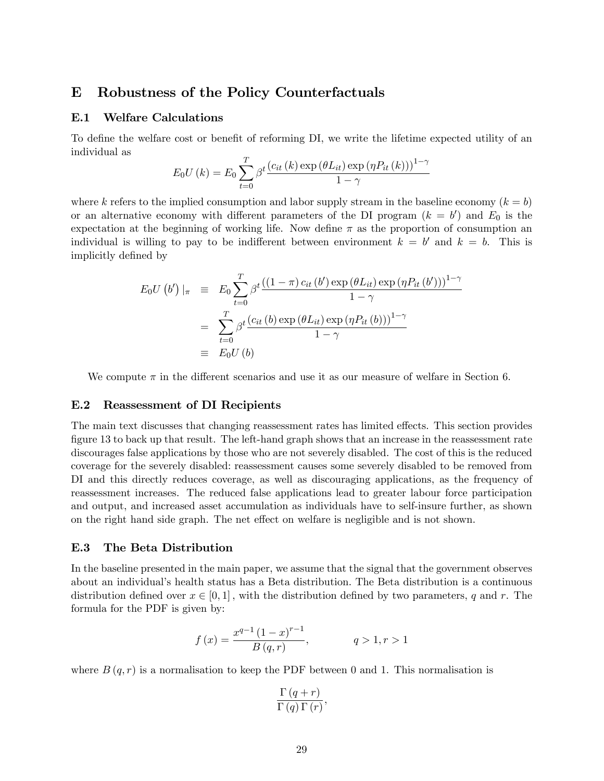# E Robustness of the Policy Counterfactuals

#### E.1 Welfare Calculations

To define the welfare cost or benefit of reforming DI, we write the lifetime expected utility of an individual as

$$
E_0U(k) = E_0 \sum_{t=0}^{T} \beta^t \frac{(c_{it}(k) \exp(\theta L_{it}) \exp(\eta P_{it}(k)))^{1-\gamma}}{1-\gamma}
$$

where k refers to the implied consumption and labor supply stream in the baseline economy  $(k = b)$ or an alternative economy with different parameters of the DI program  $(k = b')$  and  $E_0$  is the expectation at the beginning of working life. Now define  $\pi$  as the proportion of consumption an individual is willing to pay to be indifferent between environment  $k = b'$  and  $k = b$ . This is implicitly defined by

$$
E_0 U(b')|_{\pi} = E_0 \sum_{t=0}^{T} \beta^t \frac{((1-\pi) c_{it}(b') \exp(\theta L_{it}) \exp(\eta P_{it}(b')))^{1-\gamma}}{1-\gamma}
$$
  
= 
$$
\sum_{t=0}^{T} \beta^t \frac{(c_{it}(b) \exp(\theta L_{it}) \exp(\eta P_{it}(b)))^{1-\gamma}}{1-\gamma}
$$
  
= 
$$
E_0 U(b)
$$

We compute  $\pi$  in the different scenarios and use it as our measure of welfare in Section 6.

#### E.2 Reassessment of DI Recipients

The main text discusses that changing reassessment rates has limited effects. This section provides figure 13 to back up that result. The left-hand graph shows that an increase in the reassessment rate discourages false applications by those who are not severely disabled. The cost of this is the reduced coverage for the severely disabled: reassessment causes some severely disabled to be removed from DI and this directly reduces coverage, as well as discouraging applications, as the frequency of reassessment increases. The reduced false applications lead to greater labour force participation and output, and increased asset accumulation as individuals have to self-insure further, as shown on the right hand side graph. The net effect on welfare is negligible and is not shown.

# E.3 The Beta Distribution

In the baseline presented in the main paper, we assume that the signal that the government observes about an individualís health status has a Beta distribution. The Beta distribution is a continuous distribution defined over  $x \in [0, 1]$ , with the distribution defined by two parameters, q and r. The formula for the PDF is given by:

$$
f(x) = \frac{x^{q-1} (1-x)^{r-1}}{B(q,r)}, \qquad q > 1, r > 1
$$

where  $B(q,r)$  is a normalisation to keep the PDF between 0 and 1. This normalisation is

$$
\frac{\Gamma(q+r)}{\Gamma(q)\Gamma(r)},
$$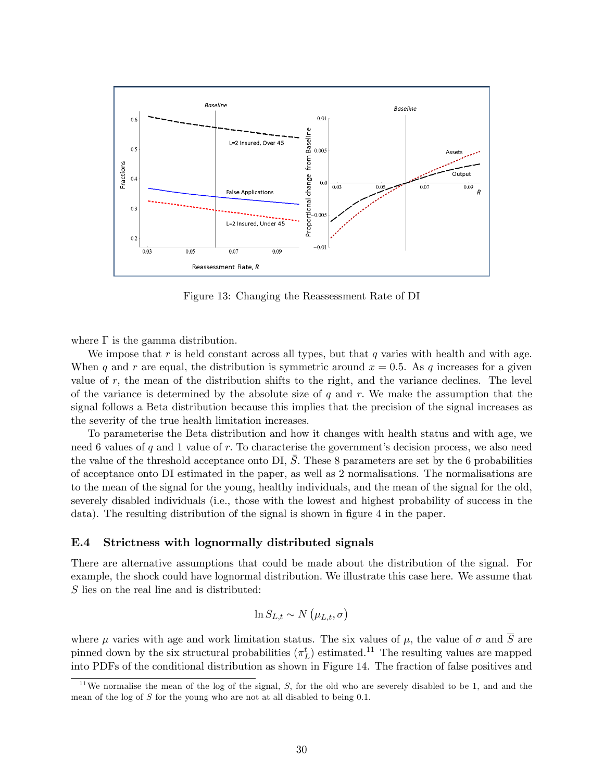

Figure 13: Changing the Reassessment Rate of DI

where  $\Gamma$  is the gamma distribution.

We impose that r is held constant across all types, but that q varies with health and with age. When q and r are equal, the distribution is symmetric around  $x = 0.5$ . As q increases for a given value of  $r$ , the mean of the distribution shifts to the right, and the variance declines. The level of the variance is determined by the absolute size of  $q$  and  $r$ . We make the assumption that the signal follows a Beta distribution because this implies that the precision of the signal increases as the severity of the true health limitation increases.

To parameterise the Beta distribution and how it changes with health status and with age, we need 6 values of q and 1 value of r. To characterise the government's decision process, we also need the value of the threshold acceptance onto DI,  $\overline{S}$ . These 8 parameters are set by the 6 probabilities of acceptance onto DI estimated in the paper, as well as 2 normalisations. The normalisations are to the mean of the signal for the young, healthy individuals, and the mean of the signal for the old, severely disabled individuals (i.e., those with the lowest and highest probability of success in the data). The resulting distribution of the signal is shown in figure 4 in the paper.

#### E.4 Strictness with lognormally distributed signals

There are alternative assumptions that could be made about the distribution of the signal. For example, the shock could have lognormal distribution. We illustrate this case here. We assume that S lies on the real line and is distributed:

$$
\ln S_{L,t} \sim N\left(\mu_{L,t}, \sigma\right)
$$

where  $\mu$  varies with age and work limitation status. The six values of  $\mu$ , the value of  $\sigma$  and  $\overline{S}$  are pinned down by the six structural probabilities  $(\pi_L^t)$  estimated.<sup>11</sup> The resulting values are mapped into PDFs of the conditional distribution as shown in Figure 14. The fraction of false positives and

<sup>&</sup>lt;sup>11</sup>We normalise the mean of the log of the signal, S, for the old who are severely disabled to be 1, and and the mean of the log of S for the young who are not at all disabled to being 0.1.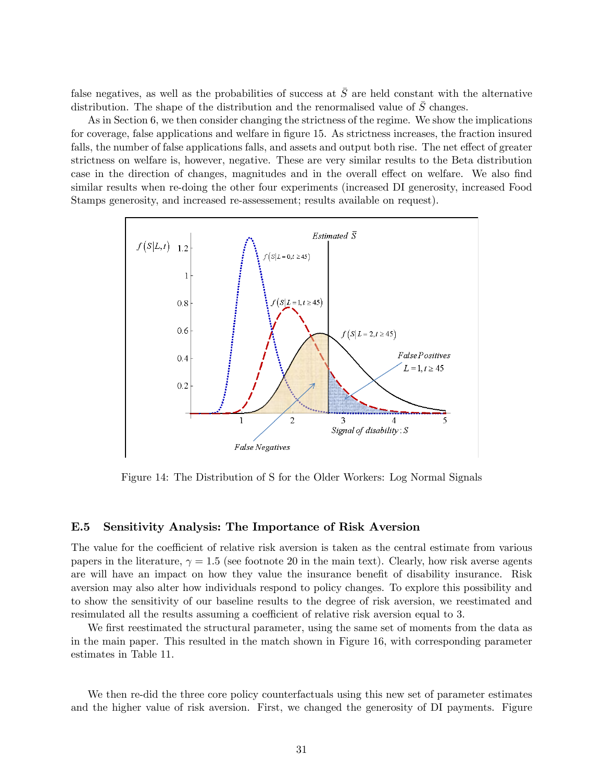false negatives, as well as the probabilities of success at  $\overline{S}$  are held constant with the alternative distribution. The shape of the distribution and the renormalised value of S changes.

As in Section 6, we then consider changing the strictness of the regime. We show the implications for coverage, false applications and welfare in figure 15. As strictness increases, the fraction insured falls, the number of false applications falls, and assets and output both rise. The net effect of greater strictness on welfare is, however, negative. These are very similar results to the Beta distribution case in the direction of changes, magnitudes and in the overall effect on welfare. We also find similar results when re-doing the other four experiments (increased DI generosity, increased Food Stamps generosity, and increased re-assessement; results available on request).



Figure 14: The Distribution of S for the Older Workers: Log Normal Signals

# E.5 Sensitivity Analysis: The Importance of Risk Aversion

The value for the coefficient of relative risk aversion is taken as the central estimate from various papers in the literature,  $\gamma = 1.5$  (see footnote 20 in the main text). Clearly, how risk averse agents are will have an impact on how they value the insurance benefit of disability insurance. Risk aversion may also alter how individuals respond to policy changes. To explore this possibility and to show the sensitivity of our baseline results to the degree of risk aversion, we reestimated and resimulated all the results assuming a coefficient of relative risk aversion equal to 3.

We first reestimated the structural parameter, using the same set of moments from the data as in the main paper. This resulted in the match shown in Figure 16, with corresponding parameter estimates in Table 11.

We then re-did the three core policy counterfactuals using this new set of parameter estimates and the higher value of risk aversion. First, we changed the generosity of DI payments. Figure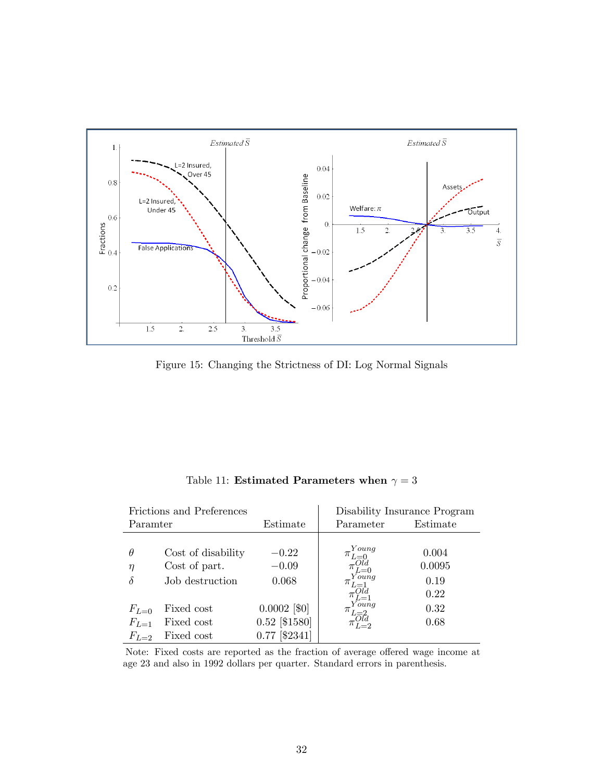

Figure 15: Changing the Strictness of DI: Log Normal Signals

|           | Frictions and Preferences | Disability Insurance Program |                         |          |  |
|-----------|---------------------------|------------------------------|-------------------------|----------|--|
| Paramter  |                           | Estimate                     | Parameter               | Estimate |  |
|           |                           |                              |                         |          |  |
| $\theta$  | Cost of disability        | $-0.22$                      | . You ng<br>$\pi_{L=0}$ | 0.004    |  |
| η         | Cost of part.             | $-0.09$                      | $\pi_{L=0}^{Old}$       | 0.0095   |  |
| δ         | Job destruction           | 0.068                        | Young<br>$\pi_{L=1}$    | 0.19     |  |
|           |                           |                              | $L=1$                   | 0.22     |  |
| $F_{L=0}$ | Fixed cost                | $0.0002$ [\$0]               | Young<br>$\pi_{L=2}$    | 0.32     |  |
| $F_{L=1}$ | Fixed cost                | $0.52$ [\$1580]              | Old<br>$L=2$            | 0.68     |  |
| $F_{L=2}$ | Fixed cost                | [\$2341]<br>0.77             |                         |          |  |

Table 11: Estimated Parameters when  $\gamma=3$ 

Note: Fixed costs are reported as the fraction of average offered wage income at age 23 and also in 1992 dollars per quarter. Standard errors in parenthesis.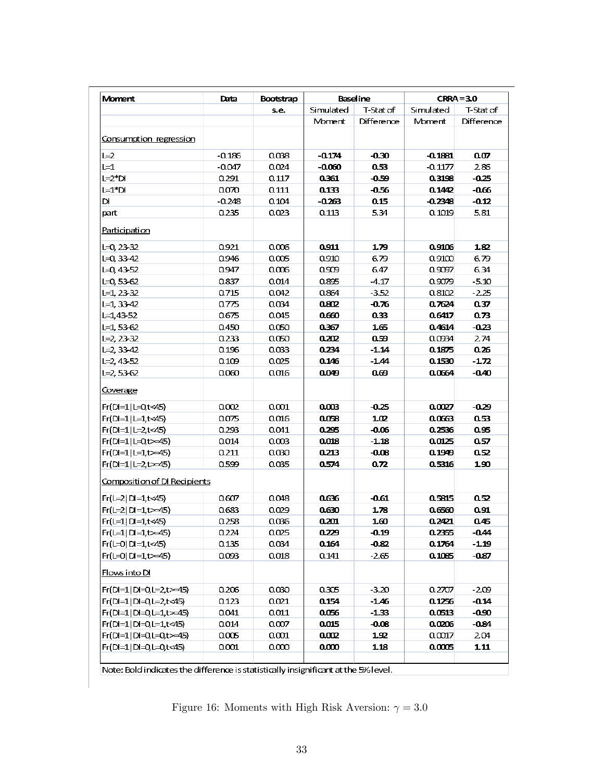| Moment                       | Baseline<br>Data<br>Bootstrap |       |           | $CRRA = 3.0$ |           |            |
|------------------------------|-------------------------------|-------|-----------|--------------|-----------|------------|
|                              |                               | s.e.  | Simulated | T-Stat of    | Simulated | T-Stat of  |
|                              |                               |       | Moment    | Difference   | Moment    | Difference |
| Consumption regression       |                               |       |           |              |           |            |
| $L=2$                        | $-0.186$                      | 0.038 | $-0.174$  | $-0.30$      | $-0.1881$ | 0.07       |
| $L=1$                        | $-0.047$                      | 0.024 | $-0.060$  | 0.53         | $-0.1177$ | 286        |
| $L=2*D$                      | 0.291                         | 0.117 | 0.361     | $-0.59$      | 0.3198    | -0.25      |
| $L=1*D$                      | 0.070                         | 0.111 | 0.133     | $-0.56$      | 0.1442    | $-0.66$    |
| DI                           | $-0.248$                      | 0.104 | -0.263    | 0.15         | $-0.2348$ | $-0.12$    |
| part                         | 0.235                         | 0.023 | 0.113     | 5.34         | 0.1019    | 5.81       |
| Participation                |                               |       |           |              |           |            |
| $L=0, 23-32$                 | 0.921                         | 0.006 | 0.911     | 1.79         | 0.9106    | 1.82       |
| $L = 0, 33 - 42$             | 0.946                         | 0.005 | 0.910     | 6.79         | 0.9100    | 6.79       |
| $L=0, 43 - 52$               | 0.947                         | 0.006 | 0.909     | 6.47         | 0.9097    | 6.34       |
| $L = 0, 53 - 62$             | 0.837                         | 0.014 | 0.895     | $-4.17$      | 0.9079    | $-5.10$    |
| $L=1, 23-32$                 | 0.715                         | 0.042 | 0.864     | $-3.52$      | 0.8102    | $-2.25$    |
| $L=1, 33-42$                 | 0.775                         | 0.034 | 0.802     | $-0.76$      | 0.7624    | 0.37       |
| $L = 1,43-52$                | 0.675                         | 0.045 | 0.660     | 0.33         | 0.6417    | 0.73       |
| $L=1, 53-62$                 | 0.450                         | 0.050 | 0.367     | 1.65         | 0.4614    | $-0.23$    |
| $L = 2.23 - 32$              | 0.233                         | 0.050 | 0.202     | 0.59         | 0.0934    | 2.74       |
| $L = 2, 33 - 42$             | 0.196                         | 0.033 | 0.234     | $-1.14$      | 0.1875    | 0.26       |
| $L=2, 43-52$                 | 0.109                         | 0.025 | 0.146     | $-1.44$      | 0.1530    | $-1.72$    |
| $L=2, 53-62$                 | 0.060                         | 0.016 | 0.049     | ൙            | 0.0664    | $-0.40$    |
| Coverage                     |                               |       |           |              |           |            |
| $Fr(D=1 L=0,t<45)$           | 0.002                         | 0.001 | 0.003     | $-0.25$      | 0.0027    | -0.29      |
| Fr(DI=1 L=1,t<45)            | 0.075                         | 0.016 | 0.058     | 102          | 0.0663    | 0.53       |
| Fr(DI=1 L=2,t<45)            | 0.293                         | 0.041 | 0.295     | $-0.06$      | 0.2536    | 0.95       |
| $Fr(D=1 L=0,t>=45)$          | 0.014                         | 0.003 | 0.018     | $-1.18$      | 0.0125    | 0.57       |
| $Fr(D=1 L=1,t>=45)$          | 0.211                         | 0.030 | 0.213     | $-0.08$      | 0.1949    | 0.52       |
| $Fr(D=1 L=2t>=45)$           | 0.599                         | 0.035 | 0.574     | 0.72         | 0.5316    | 1.90       |
| Composition of DI Recipients |                               |       |           |              |           |            |
| $Fr(L=2 D=1,t<45)$           | 0.607                         | 0.048 | 0.636     | $-0.61$      | 0.5815    | 0.52       |
| $Fr(L=2 D=1,t>=45)$          | 0.683                         | 0.029 | 0.630     | 1.78         | 0.6560    | 0.91       |
| $Fr(L=1   D=1, t<45)$        | 0.258                         | 0.036 | 0.201     | 1.60         | 0.2421    | 0.45       |
| $Fr(L=1   D=1, t \geq -45)$  | 0.224                         | 0.025 | 0.ZZ9     | -0.19        | 0.2355    | -0.44      |
| $Fr(L=0   D=1, t<45)$        | 0.135                         | 0.034 | 0.164     | $-0.82$      | 0.1764    | $-1.19$    |
| $Fr(L=0   D=1, t \geq -45)$  | 0.093                         | 0.018 | 0.141     | $-2.65$      | 0.1085    | $-0.87$    |
| Flows into DI                |                               |       |           |              |           |            |
| $Fr(D=1 D=0, l=2, t>=45)$    | 0.206                         | 0.030 | 0.305     | $-3.20$      | 0.2707    | $-2.09$    |
| $Fr(D=1 D=0, l=2, t<45)$     | 0.123                         | 0.021 | 0.154     | $-1.46$      | 0.1256    | $-0.14$    |
| $Fr(D=1 D=0, l=1, t>=45)$    | 0.041                         | 0.011 | 0.056     | $-1.33$      | 0.0513    | $-0.90$    |
| Fr(DI=1 DI=0,L=1,t<45)       | 0.014                         | 0.007 | 0.015     | $-0.08$      | 0.0206    | $-0.84$    |
| $Fr(D=1 D=0,1=0,t>45)$       | 0.005                         | 0.001 | 0.002     | 1.92         | 0.0017    | 2.04       |
| $Fr(D=1 D=0, l=0, t<45)$     | 0.001                         | 0.000 | 0.000     | 1.18         | 0.0005    | 1.11       |
|                              |                               |       |           |              |           |            |

Note: Bold indicates the difference is statistically insignificant at the 5% level.

Figure 16: Moments with High Risk Aversion:  $\gamma = 3.0$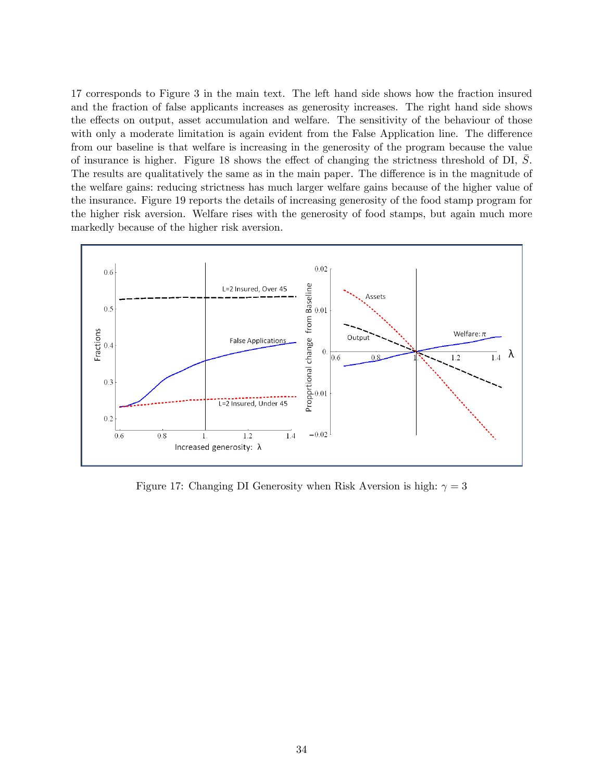17 corresponds to Figure 3 in the main text. The left hand side shows how the fraction insured and the fraction of false applicants increases as generosity increases. The right hand side shows the effects on output, asset accumulation and welfare. The sensitivity of the behaviour of those with only a moderate limitation is again evident from the False Application line. The difference from our baseline is that welfare is increasing in the generosity of the program because the value of insurance is higher. Figure 18 shows the effect of changing the strictness threshold of  $DI, S$ . The results are qualitatively the same as in the main paper. The difference is in the magnitude of the welfare gains: reducing strictness has much larger welfare gains because of the higher value of the insurance. Figure 19 reports the details of increasing generosity of the food stamp program for the higher risk aversion. Welfare rises with the generosity of food stamps, but again much more markedly because of the higher risk aversion.



Figure 17: Changing DI Generosity when Risk Aversion is high:  $\gamma = 3$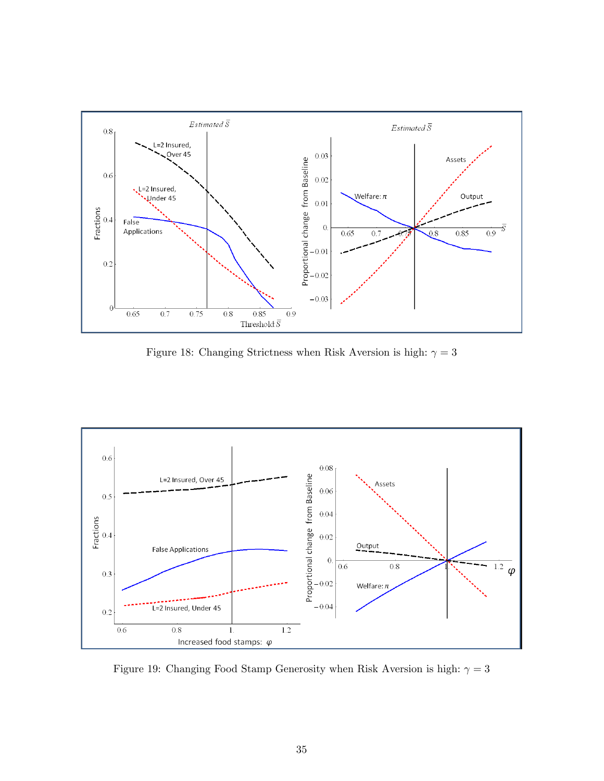

Figure 18: Changing Strictness when Risk Aversion is high:  $\gamma=3$ 



Figure 19: Changing Food Stamp Generosity when Risk Aversion is high:  $\gamma=3$